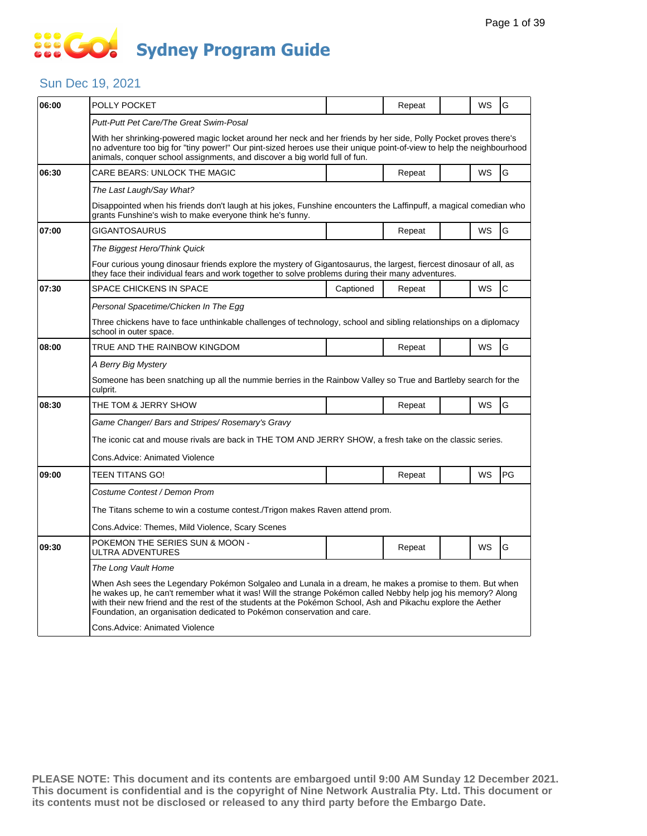### Sun Dec 19, 2021

| 06:00 | POLLY POCKET                                                                                                                                                                                                                                                                                                                                                                                                        |           | Repeat |  | WS        | G         |  |  |  |
|-------|---------------------------------------------------------------------------------------------------------------------------------------------------------------------------------------------------------------------------------------------------------------------------------------------------------------------------------------------------------------------------------------------------------------------|-----------|--------|--|-----------|-----------|--|--|--|
|       | Putt-Putt Pet Care/The Great Swim-Posal                                                                                                                                                                                                                                                                                                                                                                             |           |        |  |           |           |  |  |  |
|       | With her shrinking-powered magic locket around her neck and her friends by her side, Polly Pocket proves there's<br>no adventure too big for "tiny power!" Our pint-sized heroes use their unique point-of-view to help the neighbourhood<br>animals, conquer school assignments, and discover a big world full of fun.                                                                                             |           |        |  |           |           |  |  |  |
| 06:30 | CARE BEARS: UNLOCK THE MAGIC                                                                                                                                                                                                                                                                                                                                                                                        |           | Repeat |  | <b>WS</b> | G         |  |  |  |
|       | The Last Laugh/Say What?                                                                                                                                                                                                                                                                                                                                                                                            |           |        |  |           |           |  |  |  |
|       | Disappointed when his friends don't laugh at his jokes, Funshine encounters the Laffinpuff, a magical comedian who<br>grants Funshine's wish to make everyone think he's funny.                                                                                                                                                                                                                                     |           |        |  |           |           |  |  |  |
| 07:00 | GIGANTOSAURUS                                                                                                                                                                                                                                                                                                                                                                                                       |           | Repeat |  | <b>WS</b> | G         |  |  |  |
|       | The Biggest Hero/Think Quick                                                                                                                                                                                                                                                                                                                                                                                        |           |        |  |           |           |  |  |  |
|       | Four curious young dinosaur friends explore the mystery of Gigantosaurus, the largest, fiercest dinosaur of all, as<br>they face their individual fears and work together to solve problems during their many adventures.                                                                                                                                                                                           |           |        |  |           |           |  |  |  |
| 07:30 | <b>SPACE CHICKENS IN SPACE</b>                                                                                                                                                                                                                                                                                                                                                                                      | Captioned | Repeat |  | <b>WS</b> | lC.       |  |  |  |
|       | Personal Spacetime/Chicken In The Egg                                                                                                                                                                                                                                                                                                                                                                               |           |        |  |           |           |  |  |  |
|       | Three chickens have to face unthinkable challenges of technology, school and sibling relationships on a diplomacy<br>school in outer space.                                                                                                                                                                                                                                                                         |           |        |  |           |           |  |  |  |
| 08:00 | TRUE AND THE RAINBOW KINGDOM                                                                                                                                                                                                                                                                                                                                                                                        |           | Repeat |  | <b>WS</b> | G         |  |  |  |
|       | A Berry Big Mystery                                                                                                                                                                                                                                                                                                                                                                                                 |           |        |  |           |           |  |  |  |
|       | Someone has been snatching up all the nummie berries in the Rainbow Valley so True and Bartleby search for the<br>culprit.                                                                                                                                                                                                                                                                                          |           |        |  |           |           |  |  |  |
| 08:30 | THE TOM & JERRY SHOW                                                                                                                                                                                                                                                                                                                                                                                                |           | Repeat |  | WS        | G         |  |  |  |
|       | Game Changer/ Bars and Stripes/ Rosemary's Gravy                                                                                                                                                                                                                                                                                                                                                                    |           |        |  |           |           |  |  |  |
|       | The iconic cat and mouse rivals are back in THE TOM AND JERRY SHOW, a fresh take on the classic series.                                                                                                                                                                                                                                                                                                             |           |        |  |           |           |  |  |  |
|       | Cons.Advice: Animated Violence                                                                                                                                                                                                                                                                                                                                                                                      |           |        |  |           |           |  |  |  |
| 09:00 | TEEN TITANS GO!                                                                                                                                                                                                                                                                                                                                                                                                     |           | Repeat |  | <b>WS</b> | <b>PG</b> |  |  |  |
|       | Costume Contest / Demon Prom                                                                                                                                                                                                                                                                                                                                                                                        |           |        |  |           |           |  |  |  |
|       | The Titans scheme to win a costume contest./Trigon makes Raven attend prom.                                                                                                                                                                                                                                                                                                                                         |           |        |  |           |           |  |  |  |
|       | Cons.Advice: Themes, Mild Violence, Scary Scenes                                                                                                                                                                                                                                                                                                                                                                    |           |        |  |           |           |  |  |  |
| 09:30 | POKEMON THE SERIES SUN & MOON -<br>ULTRA ADVENTURES                                                                                                                                                                                                                                                                                                                                                                 |           | Repeat |  | <b>WS</b> | G         |  |  |  |
|       | The Long Vault Home                                                                                                                                                                                                                                                                                                                                                                                                 |           |        |  |           |           |  |  |  |
|       | When Ash sees the Legendary Pokémon Solgaleo and Lunala in a dream, he makes a promise to them. But when<br>he wakes up, he can't remember what it was! Will the strange Pokémon called Nebby help jog his memory? Along<br>with their new friend and the rest of the students at the Pokémon School, Ash and Pikachu explore the Aether<br>Foundation, an organisation dedicated to Pokémon conservation and care. |           |        |  |           |           |  |  |  |
|       | <b>Cons.Advice: Animated Violence</b>                                                                                                                                                                                                                                                                                                                                                                               |           |        |  |           |           |  |  |  |
|       |                                                                                                                                                                                                                                                                                                                                                                                                                     |           |        |  |           |           |  |  |  |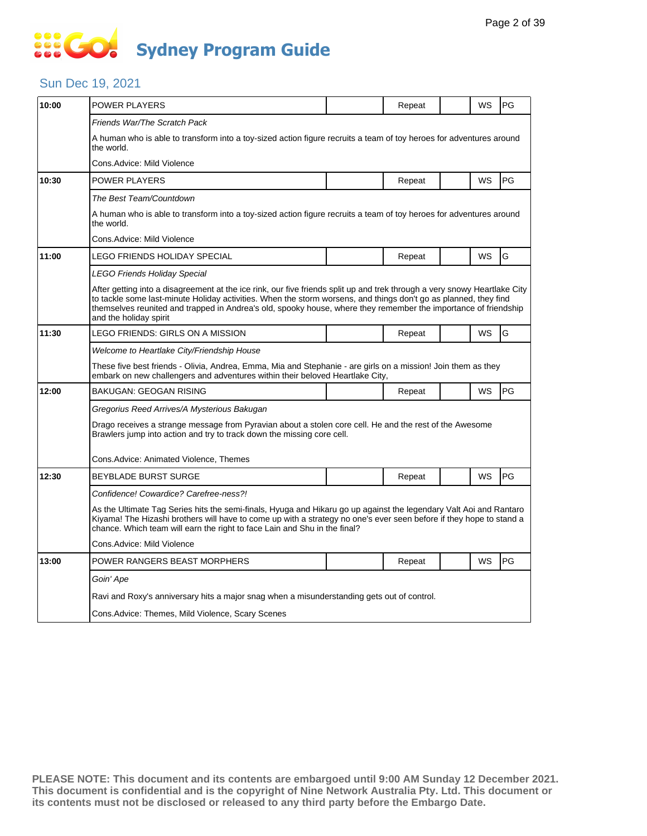### Sun Dec 19, 2021

| 10:00 | POWER PLAYERS                                                                                                                                                                                                                                                                                                                                                                              |  | Repeat |  | WS | PG |  |  |  |
|-------|--------------------------------------------------------------------------------------------------------------------------------------------------------------------------------------------------------------------------------------------------------------------------------------------------------------------------------------------------------------------------------------------|--|--------|--|----|----|--|--|--|
|       | Friends War/The Scratch Pack                                                                                                                                                                                                                                                                                                                                                               |  |        |  |    |    |  |  |  |
|       | A human who is able to transform into a toy-sized action figure recruits a team of toy heroes for adventures around<br>the world.                                                                                                                                                                                                                                                          |  |        |  |    |    |  |  |  |
|       | Cons.Advice: Mild Violence                                                                                                                                                                                                                                                                                                                                                                 |  |        |  |    |    |  |  |  |
| 10:30 | POWER PLAYERS                                                                                                                                                                                                                                                                                                                                                                              |  | Repeat |  | WS | PG |  |  |  |
|       | The Best Team/Countdown                                                                                                                                                                                                                                                                                                                                                                    |  |        |  |    |    |  |  |  |
|       | A human who is able to transform into a toy-sized action figure recruits a team of toy heroes for adventures around<br>the world.                                                                                                                                                                                                                                                          |  |        |  |    |    |  |  |  |
|       | Cons.Advice: Mild Violence                                                                                                                                                                                                                                                                                                                                                                 |  |        |  |    |    |  |  |  |
| 11:00 | LEGO FRIENDS HOLIDAY SPECIAL                                                                                                                                                                                                                                                                                                                                                               |  | Repeat |  | WS | G  |  |  |  |
|       | LEGO Friends Holiday Special                                                                                                                                                                                                                                                                                                                                                               |  |        |  |    |    |  |  |  |
|       | After getting into a disagreement at the ice rink, our five friends split up and trek through a very snowy Heartlake City<br>to tackle some last-minute Holiday activities. When the storm worsens, and things don't go as planned, they find<br>themselves reunited and trapped in Andrea's old, spooky house, where they remember the importance of friendship<br>and the holiday spirit |  |        |  |    |    |  |  |  |
| 11:30 | LEGO FRIENDS: GIRLS ON A MISSION                                                                                                                                                                                                                                                                                                                                                           |  | Repeat |  | WS | G  |  |  |  |
|       | Welcome to Heartlake City/Friendship House                                                                                                                                                                                                                                                                                                                                                 |  |        |  |    |    |  |  |  |
|       | These five best friends - Olivia, Andrea, Emma, Mia and Stephanie - are girls on a mission! Join them as they<br>embark on new challengers and adventures within their beloved Heartlake City,                                                                                                                                                                                             |  |        |  |    |    |  |  |  |
| 12:00 | BAKUGAN: GEOGAN RISING                                                                                                                                                                                                                                                                                                                                                                     |  | Repeat |  | WS | PG |  |  |  |
|       | Gregorius Reed Arrives/A Mysterious Bakugan                                                                                                                                                                                                                                                                                                                                                |  |        |  |    |    |  |  |  |
|       | Drago receives a strange message from Pyravian about a stolen core cell. He and the rest of the Awesome<br>Brawlers jump into action and try to track down the missing core cell.                                                                                                                                                                                                          |  |        |  |    |    |  |  |  |
|       | Cons.Advice: Animated Violence, Themes                                                                                                                                                                                                                                                                                                                                                     |  |        |  |    |    |  |  |  |
| 12:30 | BEYBLADE BURST SURGE                                                                                                                                                                                                                                                                                                                                                                       |  | Repeat |  | WS | PG |  |  |  |
|       | Confidence! Cowardice? Carefree-ness?!                                                                                                                                                                                                                                                                                                                                                     |  |        |  |    |    |  |  |  |
|       | As the Ultimate Tag Series hits the semi-finals, Hyuga and Hikaru go up against the legendary Valt Aoi and Rantaro<br>Kiyama! The Hizashi brothers will have to come up with a strategy no one's ever seen before if they hope to stand a<br>chance. Which team will earn the right to face Lain and Shu in the final?                                                                     |  |        |  |    |    |  |  |  |
|       | Cons.Advice: Mild Violence                                                                                                                                                                                                                                                                                                                                                                 |  |        |  |    |    |  |  |  |
| 13:00 | POWER RANGERS BEAST MORPHERS                                                                                                                                                                                                                                                                                                                                                               |  | Repeat |  | WS | PG |  |  |  |
|       | Goin' Ape                                                                                                                                                                                                                                                                                                                                                                                  |  |        |  |    |    |  |  |  |
|       | Ravi and Roxy's anniversary hits a major snag when a misunderstanding gets out of control.                                                                                                                                                                                                                                                                                                 |  |        |  |    |    |  |  |  |
|       | Cons. Advice: Themes, Mild Violence, Scary Scenes                                                                                                                                                                                                                                                                                                                                          |  |        |  |    |    |  |  |  |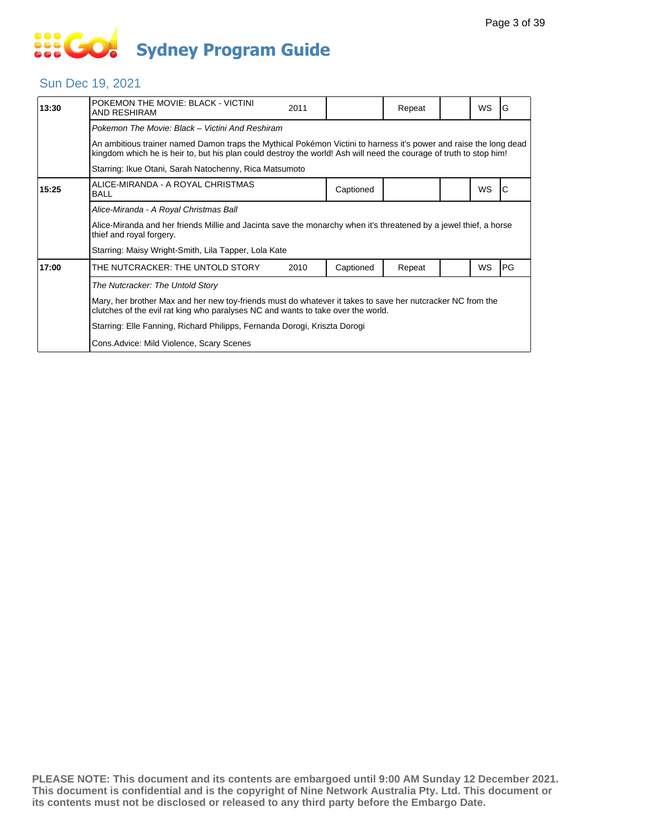### Sun Dec 19, 2021

| 13:30                                                                                                                                         | POKEMON THE MOVIE: BLACK - VICTINI<br><b>AND RESHIRAM</b>                                                                                                                                                                               | 2011 |           | Repeat |  | <b>WS</b> | G  |  |  |
|-----------------------------------------------------------------------------------------------------------------------------------------------|-----------------------------------------------------------------------------------------------------------------------------------------------------------------------------------------------------------------------------------------|------|-----------|--------|--|-----------|----|--|--|
|                                                                                                                                               | Pokemon The Movie: Black - Victini And Reshiram                                                                                                                                                                                         |      |           |        |  |           |    |  |  |
|                                                                                                                                               | An ambitious trainer named Damon traps the Mythical Pokémon Victini to harness it's power and raise the long dead<br>kingdom which he is heir to, but his plan could destroy the world! Ash will need the courage of truth to stop him! |      |           |        |  |           |    |  |  |
|                                                                                                                                               | Starring: Ikue Otani, Sarah Natochenny, Rica Matsumoto                                                                                                                                                                                  |      |           |        |  |           |    |  |  |
| 15:25                                                                                                                                         | ALICE-MIRANDA - A ROYAL CHRISTMAS<br><b>BALL</b>                                                                                                                                                                                        |      | Captioned |        |  | WS        |    |  |  |
|                                                                                                                                               | Alice-Miranda - A Royal Christmas Ball                                                                                                                                                                                                  |      |           |        |  |           |    |  |  |
| Alice-Miranda and her friends Millie and Jacinta save the monarchy when it's threatened by a jewel thief, a horse<br>thief and royal forgery. |                                                                                                                                                                                                                                         |      |           |        |  |           |    |  |  |
|                                                                                                                                               | Starring: Maisy Wright-Smith, Lila Tapper, Lola Kate                                                                                                                                                                                    |      |           |        |  |           |    |  |  |
| 17:00                                                                                                                                         | THE NUTCRACKER: THE UNTOLD STORY                                                                                                                                                                                                        | 2010 | Captioned | Repeat |  | <b>WS</b> | PG |  |  |
|                                                                                                                                               | The Nutcracker: The Untold Story                                                                                                                                                                                                        |      |           |        |  |           |    |  |  |
|                                                                                                                                               | Mary, her brother Max and her new toy-friends must do whatever it takes to save her nutcracker NC from the<br>clutches of the evil rat king who paralyses NC and wants to take over the world.                                          |      |           |        |  |           |    |  |  |
|                                                                                                                                               | Starring: Elle Fanning, Richard Philipps, Fernanda Dorogi, Kriszta Dorogi                                                                                                                                                               |      |           |        |  |           |    |  |  |
|                                                                                                                                               | Cons. Advice: Mild Violence, Scary Scenes                                                                                                                                                                                               |      |           |        |  |           |    |  |  |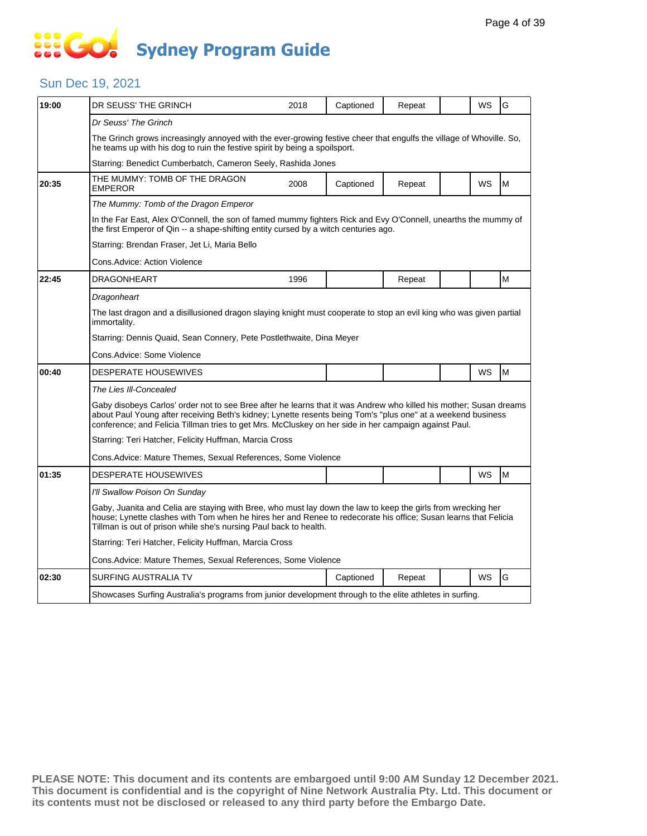# **SIS GO Sydney Program Guide**

### Sun Dec 19, 2021

| 19:00 | DR SEUSS' THE GRINCH                                                                                                                                                                                                                                                                                                                        | 2018                                                                                                                                                                                                                                                                                                 | Captioned | Repeat |  | WS        | G |  |  |
|-------|---------------------------------------------------------------------------------------------------------------------------------------------------------------------------------------------------------------------------------------------------------------------------------------------------------------------------------------------|------------------------------------------------------------------------------------------------------------------------------------------------------------------------------------------------------------------------------------------------------------------------------------------------------|-----------|--------|--|-----------|---|--|--|
|       | Dr Seuss' The Grinch                                                                                                                                                                                                                                                                                                                        |                                                                                                                                                                                                                                                                                                      |           |        |  |           |   |  |  |
|       | The Grinch grows increasingly annoyed with the ever-growing festive cheer that engulfs the village of Whoville. So,<br>he teams up with his dog to ruin the festive spirit by being a spoilsport.                                                                                                                                           |                                                                                                                                                                                                                                                                                                      |           |        |  |           |   |  |  |
|       | Starring: Benedict Cumberbatch, Cameron Seely, Rashida Jones                                                                                                                                                                                                                                                                                |                                                                                                                                                                                                                                                                                                      |           |        |  |           |   |  |  |
| 20:35 | THE MUMMY: TOMB OF THE DRAGON<br><b>EMPEROR</b>                                                                                                                                                                                                                                                                                             | 2008                                                                                                                                                                                                                                                                                                 | Captioned | Repeat |  | <b>WS</b> | M |  |  |
|       | The Mummy: Tomb of the Dragon Emperor                                                                                                                                                                                                                                                                                                       |                                                                                                                                                                                                                                                                                                      |           |        |  |           |   |  |  |
|       | In the Far East, Alex O'Connell, the son of famed mummy fighters Rick and Evy O'Connell, unearths the mummy of<br>the first Emperor of Qin -- a shape-shifting entity cursed by a witch centuries ago.                                                                                                                                      |                                                                                                                                                                                                                                                                                                      |           |        |  |           |   |  |  |
|       | Starring: Brendan Fraser, Jet Li, Maria Bello                                                                                                                                                                                                                                                                                               |                                                                                                                                                                                                                                                                                                      |           |        |  |           |   |  |  |
|       | Cons.Advice: Action Violence                                                                                                                                                                                                                                                                                                                |                                                                                                                                                                                                                                                                                                      |           |        |  |           |   |  |  |
| 22:45 | <b>DRAGONHEART</b>                                                                                                                                                                                                                                                                                                                          | 1996                                                                                                                                                                                                                                                                                                 |           | Repeat |  |           | M |  |  |
|       | Dragonheart                                                                                                                                                                                                                                                                                                                                 |                                                                                                                                                                                                                                                                                                      |           |        |  |           |   |  |  |
|       | The last dragon and a disillusioned dragon slaying knight must cooperate to stop an evil king who was given partial<br>immortality.                                                                                                                                                                                                         |                                                                                                                                                                                                                                                                                                      |           |        |  |           |   |  |  |
|       | Starring: Dennis Quaid, Sean Connery, Pete Postlethwaite, Dina Meyer                                                                                                                                                                                                                                                                        |                                                                                                                                                                                                                                                                                                      |           |        |  |           |   |  |  |
|       | Cons.Advice: Some Violence                                                                                                                                                                                                                                                                                                                  |                                                                                                                                                                                                                                                                                                      |           |        |  |           |   |  |  |
| 00:40 | <b>DESPERATE HOUSEWIVES</b>                                                                                                                                                                                                                                                                                                                 |                                                                                                                                                                                                                                                                                                      |           |        |  | WS        | M |  |  |
|       | The Lies III-Concealed                                                                                                                                                                                                                                                                                                                      |                                                                                                                                                                                                                                                                                                      |           |        |  |           |   |  |  |
|       | Gaby disobeys Carlos' order not to see Bree after he learns that it was Andrew who killed his mother; Susan dreams<br>about Paul Young after receiving Beth's kidney; Lynette resents being Tom's "plus one" at a weekend business<br>conference; and Felicia Tillman tries to get Mrs. McCluskey on her side in her campaign against Paul. |                                                                                                                                                                                                                                                                                                      |           |        |  |           |   |  |  |
|       | Starring: Teri Hatcher, Felicity Huffman, Marcia Cross                                                                                                                                                                                                                                                                                      |                                                                                                                                                                                                                                                                                                      |           |        |  |           |   |  |  |
|       | Cons. Advice: Mature Themes, Sexual References, Some Violence                                                                                                                                                                                                                                                                               |                                                                                                                                                                                                                                                                                                      |           |        |  |           |   |  |  |
| 01:35 | DESPERATE HOUSEWIVES                                                                                                                                                                                                                                                                                                                        |                                                                                                                                                                                                                                                                                                      |           |        |  | WS        | M |  |  |
|       | I'll Swallow Poison On Sunday                                                                                                                                                                                                                                                                                                               |                                                                                                                                                                                                                                                                                                      |           |        |  |           |   |  |  |
|       |                                                                                                                                                                                                                                                                                                                                             | Gaby, Juanita and Celia are staying with Bree, who must lay down the law to keep the girls from wrecking her<br>house; Lynette clashes with Tom when he hires her and Renee to redecorate his office; Susan learns that Felicia<br>Tillman is out of prison while she's nursing Paul back to health. |           |        |  |           |   |  |  |
|       | Starring: Teri Hatcher, Felicity Huffman, Marcia Cross                                                                                                                                                                                                                                                                                      |                                                                                                                                                                                                                                                                                                      |           |        |  |           |   |  |  |
|       | Cons. Advice: Mature Themes, Sexual References, Some Violence                                                                                                                                                                                                                                                                               |                                                                                                                                                                                                                                                                                                      |           |        |  |           |   |  |  |
| 02:30 | SURFING AUSTRALIA TV                                                                                                                                                                                                                                                                                                                        |                                                                                                                                                                                                                                                                                                      | Captioned | Repeat |  | WS        | G |  |  |
|       | Showcases Surfing Australia's programs from junior development through to the elite athletes in surfing.                                                                                                                                                                                                                                    |                                                                                                                                                                                                                                                                                                      |           |        |  |           |   |  |  |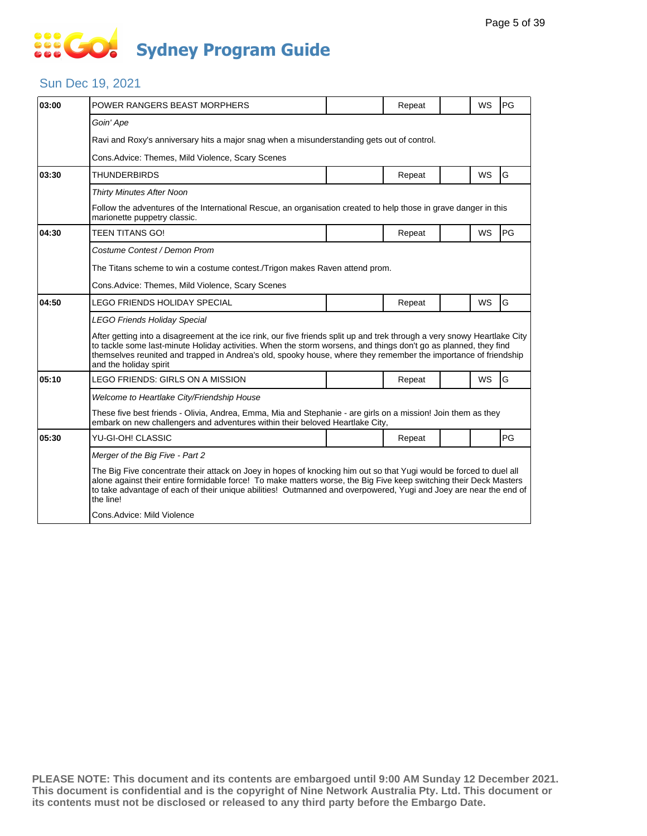# **SIS GO Sydney Program Guide**

### Sun Dec 19, 2021

| 03:00 | POWER RANGERS BEAST MORPHERS                                                                                                                                                                                                                                                                                                                                                               |  | Repeat |  | WS        | PG |  |  |  |
|-------|--------------------------------------------------------------------------------------------------------------------------------------------------------------------------------------------------------------------------------------------------------------------------------------------------------------------------------------------------------------------------------------------|--|--------|--|-----------|----|--|--|--|
|       | Goin' Ape                                                                                                                                                                                                                                                                                                                                                                                  |  |        |  |           |    |  |  |  |
|       | Ravi and Roxy's anniversary hits a major snag when a misunderstanding gets out of control.                                                                                                                                                                                                                                                                                                 |  |        |  |           |    |  |  |  |
|       | Cons. Advice: Themes, Mild Violence, Scary Scenes                                                                                                                                                                                                                                                                                                                                          |  |        |  |           |    |  |  |  |
| 03:30 | <b>THUNDERBIRDS</b>                                                                                                                                                                                                                                                                                                                                                                        |  | Repeat |  | <b>WS</b> | G  |  |  |  |
|       | <b>Thirty Minutes After Noon</b>                                                                                                                                                                                                                                                                                                                                                           |  |        |  |           |    |  |  |  |
|       | Follow the adventures of the International Rescue, an organisation created to help those in grave danger in this<br>marionette puppetry classic.                                                                                                                                                                                                                                           |  |        |  |           |    |  |  |  |
| 04:30 | <b>TEEN TITANS GO!</b>                                                                                                                                                                                                                                                                                                                                                                     |  | Repeat |  | <b>WS</b> | PG |  |  |  |
|       | Costume Contest / Demon Prom                                                                                                                                                                                                                                                                                                                                                               |  |        |  |           |    |  |  |  |
|       | The Titans scheme to win a costume contest./Trigon makes Raven attend prom.                                                                                                                                                                                                                                                                                                                |  |        |  |           |    |  |  |  |
|       | Cons. Advice: Themes, Mild Violence, Scary Scenes                                                                                                                                                                                                                                                                                                                                          |  |        |  |           |    |  |  |  |
| 04:50 | LEGO FRIENDS HOLIDAY SPECIAL                                                                                                                                                                                                                                                                                                                                                               |  | Repeat |  | WS        | G  |  |  |  |
|       | <b>LEGO Friends Holiday Special</b>                                                                                                                                                                                                                                                                                                                                                        |  |        |  |           |    |  |  |  |
|       | After getting into a disagreement at the ice rink, our five friends split up and trek through a very snowy Heartlake City<br>to tackle some last-minute Holiday activities. When the storm worsens, and things don't go as planned, they find<br>themselves reunited and trapped in Andrea's old, spooky house, where they remember the importance of friendship<br>and the holiday spirit |  |        |  |           |    |  |  |  |
| 05:10 | LEGO FRIENDS: GIRLS ON A MISSION                                                                                                                                                                                                                                                                                                                                                           |  | Repeat |  | <b>WS</b> | G  |  |  |  |
|       | Welcome to Heartlake City/Friendship House                                                                                                                                                                                                                                                                                                                                                 |  |        |  |           |    |  |  |  |
|       | These five best friends - Olivia, Andrea, Emma, Mia and Stephanie - are girls on a mission! Join them as they<br>embark on new challengers and adventures within their beloved Heartlake City,                                                                                                                                                                                             |  |        |  |           |    |  |  |  |
| 05:30 | YU-GI-OH! CLASSIC                                                                                                                                                                                                                                                                                                                                                                          |  | Repeat |  |           | PG |  |  |  |
|       | Merger of the Big Five - Part 2                                                                                                                                                                                                                                                                                                                                                            |  |        |  |           |    |  |  |  |
|       | The Big Five concentrate their attack on Joey in hopes of knocking him out so that Yugi would be forced to duel all<br>alone against their entire formidable force! To make matters worse, the Big Five keep switching their Deck Masters<br>to take advantage of each of their unique abilities! Outmanned and overpowered, Yugi and Joey are near the end of<br>the line!                |  |        |  |           |    |  |  |  |
|       | Cons.Advice: Mild Violence                                                                                                                                                                                                                                                                                                                                                                 |  |        |  |           |    |  |  |  |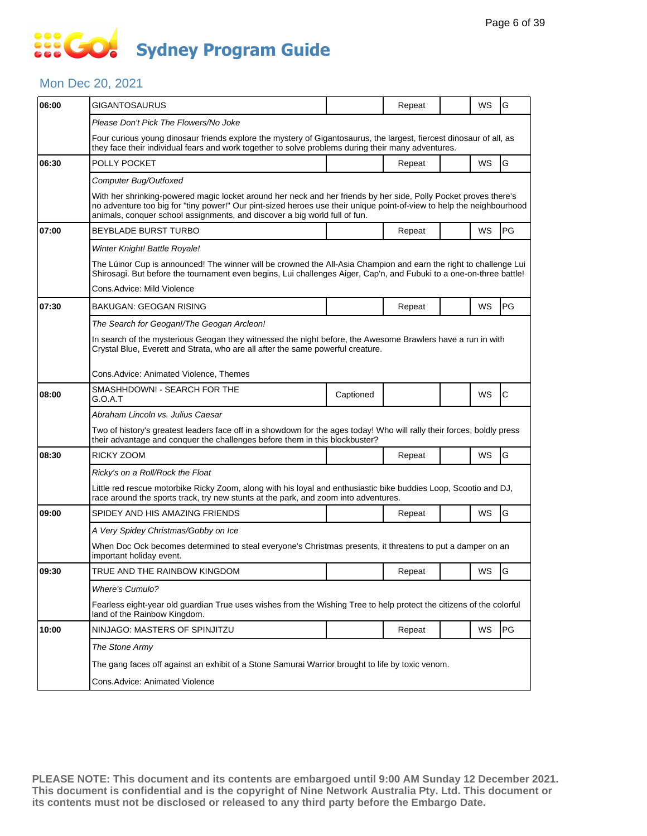## SSEG **Sydney Program Guide**

#### Mon Dec 20, 2021

| 06:00 | GIGANTOSAURUS                                                                                                                                                                                                                                                                                                           |           | Repeat |  | WS | G            |  |  |  |
|-------|-------------------------------------------------------------------------------------------------------------------------------------------------------------------------------------------------------------------------------------------------------------------------------------------------------------------------|-----------|--------|--|----|--------------|--|--|--|
|       | Please Don't Pick The Flowers/No Joke                                                                                                                                                                                                                                                                                   |           |        |  |    |              |  |  |  |
|       | Four curious young dinosaur friends explore the mystery of Gigantosaurus, the largest, fiercest dinosaur of all, as<br>they face their individual fears and work together to solve problems during their many adventures.                                                                                               |           |        |  |    |              |  |  |  |
| 06:30 | POLLY POCKET                                                                                                                                                                                                                                                                                                            |           | Repeat |  | WS | G            |  |  |  |
|       | Computer Bug/Outfoxed                                                                                                                                                                                                                                                                                                   |           |        |  |    |              |  |  |  |
|       | With her shrinking-powered magic locket around her neck and her friends by her side, Polly Pocket proves there's<br>no adventure too big for "tiny power!" Our pint-sized heroes use their unique point-of-view to help the neighbourhood<br>animals, conquer school assignments, and discover a big world full of fun. |           |        |  |    |              |  |  |  |
| 07:00 | <b>BEYBLADE BURST TURBO</b>                                                                                                                                                                                                                                                                                             |           | Repeat |  | WS | PG           |  |  |  |
|       | Winter Knight! Battle Royale!                                                                                                                                                                                                                                                                                           |           |        |  |    |              |  |  |  |
|       | The Lúinor Cup is announced! The winner will be crowned the All-Asia Champion and earn the right to challenge Lui<br>Shirosagi. But before the tournament even begins, Lui challenges Aiger, Cap'n, and Fubuki to a one-on-three battle!                                                                                |           |        |  |    |              |  |  |  |
|       | Cons.Advice: Mild Violence                                                                                                                                                                                                                                                                                              |           |        |  |    |              |  |  |  |
| 07:30 | BAKUGAN: GEOGAN RISING                                                                                                                                                                                                                                                                                                  |           | Repeat |  | WS | PG           |  |  |  |
|       | The Search for Geogan!/The Geogan Arcleon!                                                                                                                                                                                                                                                                              |           |        |  |    |              |  |  |  |
|       | In search of the mysterious Geogan they witnessed the night before, the Awesome Brawlers have a run in with<br>Crystal Blue, Everett and Strata, who are all after the same powerful creature.                                                                                                                          |           |        |  |    |              |  |  |  |
|       | Cons.Advice: Animated Violence, Themes                                                                                                                                                                                                                                                                                  |           |        |  |    |              |  |  |  |
| 08:00 | SMASHHDOWN! - SEARCH FOR THE<br>G.O.A.T                                                                                                                                                                                                                                                                                 | Captioned |        |  | WS | $\mathsf{C}$ |  |  |  |
|       | Abraham Lincoln vs. Julius Caesar                                                                                                                                                                                                                                                                                       |           |        |  |    |              |  |  |  |
|       | Two of history's greatest leaders face off in a showdown for the ages today! Who will rally their forces, boldly press<br>their advantage and conquer the challenges before them in this blockbuster?                                                                                                                   |           |        |  |    |              |  |  |  |
| 08:30 | RICKY ZOOM                                                                                                                                                                                                                                                                                                              |           | Repeat |  | WS | G            |  |  |  |
|       | Ricky's on a Roll/Rock the Float                                                                                                                                                                                                                                                                                        |           |        |  |    |              |  |  |  |
|       | Little red rescue motorbike Ricky Zoom, along with his loyal and enthusiastic bike buddies Loop, Scootio and DJ,<br>race around the sports track, try new stunts at the park, and zoom into adventures.                                                                                                                 |           |        |  |    |              |  |  |  |
| 09:00 | SPIDEY AND HIS AMAZING FRIENDS                                                                                                                                                                                                                                                                                          |           | Repeat |  | WS | G            |  |  |  |
|       | A Very Spidey Christmas/Gobby on Ice                                                                                                                                                                                                                                                                                    |           |        |  |    |              |  |  |  |
|       | When Doc Ock becomes determined to steal everyone's Christmas presents, it threatens to put a damper on an<br>important holiday event.                                                                                                                                                                                  |           |        |  |    |              |  |  |  |
| 09:30 | TRUE AND THE RAINBOW KINGDOM                                                                                                                                                                                                                                                                                            |           | Repeat |  | WS | G            |  |  |  |
|       | <b>Where's Cumulo?</b>                                                                                                                                                                                                                                                                                                  |           |        |  |    |              |  |  |  |
|       | Fearless eight-year old guardian True uses wishes from the Wishing Tree to help protect the citizens of the colorful<br>land of the Rainbow Kingdom.                                                                                                                                                                    |           |        |  |    |              |  |  |  |
| 10:00 | NINJAGO: MASTERS OF SPINJITZU                                                                                                                                                                                                                                                                                           |           | Repeat |  | WS | PG           |  |  |  |
|       | The Stone Army                                                                                                                                                                                                                                                                                                          |           |        |  |    |              |  |  |  |
|       | The gang faces off against an exhibit of a Stone Samurai Warrior brought to life by toxic venom.                                                                                                                                                                                                                        |           |        |  |    |              |  |  |  |
|       | Cons.Advice: Animated Violence                                                                                                                                                                                                                                                                                          |           |        |  |    |              |  |  |  |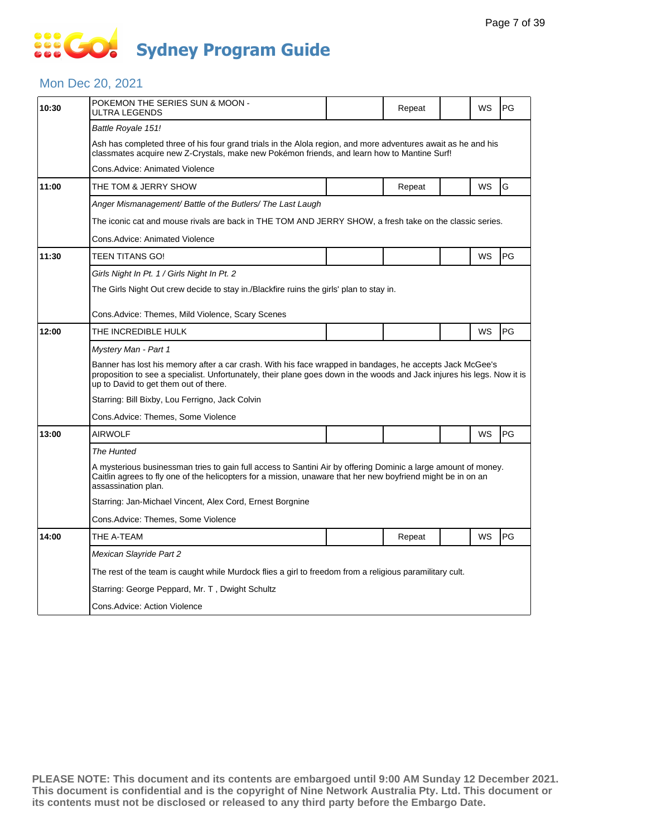#### Mon Dec 20, 2021

| POKEMON THE SERIES SUN & MOON -<br>ULTRA LEGENDS                                                                                                                                                                                                      |                                                                                                 | Repeat |  | WS | PG                                                                                                             |  |  |  |
|-------------------------------------------------------------------------------------------------------------------------------------------------------------------------------------------------------------------------------------------------------|-------------------------------------------------------------------------------------------------|--------|--|----|----------------------------------------------------------------------------------------------------------------|--|--|--|
| Battle Royale 151!                                                                                                                                                                                                                                    |                                                                                                 |        |  |    |                                                                                                                |  |  |  |
| Ash has completed three of his four grand trials in the Alola region, and more adventures await as he and his<br>classmates acquire new Z-Crystals, make new Pokémon friends, and learn how to Mantine Surf!                                          |                                                                                                 |        |  |    |                                                                                                                |  |  |  |
| <b>Cons.Advice: Animated Violence</b>                                                                                                                                                                                                                 |                                                                                                 |        |  |    |                                                                                                                |  |  |  |
| THE TOM & JERRY SHOW                                                                                                                                                                                                                                  |                                                                                                 | Repeat |  | WS | G                                                                                                              |  |  |  |
| Anger Mismanagement/ Battle of the Butlers/ The Last Laugh                                                                                                                                                                                            |                                                                                                 |        |  |    |                                                                                                                |  |  |  |
| The iconic cat and mouse rivals are back in THE TOM AND JERRY SHOW, a fresh take on the classic series.                                                                                                                                               |                                                                                                 |        |  |    |                                                                                                                |  |  |  |
| Cons.Advice: Animated Violence                                                                                                                                                                                                                        |                                                                                                 |        |  |    |                                                                                                                |  |  |  |
| TEEN TITANS GO!                                                                                                                                                                                                                                       |                                                                                                 |        |  | WS | PG                                                                                                             |  |  |  |
| Girls Night In Pt. 1 / Girls Night In Pt. 2                                                                                                                                                                                                           |                                                                                                 |        |  |    |                                                                                                                |  |  |  |
| The Girls Night Out crew decide to stay in./Blackfire ruins the girls' plan to stay in.                                                                                                                                                               |                                                                                                 |        |  |    |                                                                                                                |  |  |  |
|                                                                                                                                                                                                                                                       |                                                                                                 |        |  |    |                                                                                                                |  |  |  |
|                                                                                                                                                                                                                                                       |                                                                                                 |        |  |    |                                                                                                                |  |  |  |
|                                                                                                                                                                                                                                                       |                                                                                                 |        |  |    | PG                                                                                                             |  |  |  |
|                                                                                                                                                                                                                                                       |                                                                                                 |        |  |    |                                                                                                                |  |  |  |
| proposition to see a specialist. Unfortunately, their plane goes down in the woods and Jack injures his legs. Now it is<br>up to David to get them out of there.                                                                                      |                                                                                                 |        |  |    |                                                                                                                |  |  |  |
| Starring: Bill Bixby, Lou Ferrigno, Jack Colvin                                                                                                                                                                                                       |                                                                                                 |        |  |    |                                                                                                                |  |  |  |
| Cons.Advice: Themes, Some Violence                                                                                                                                                                                                                    |                                                                                                 |        |  |    |                                                                                                                |  |  |  |
| <b>AIRWOLF</b>                                                                                                                                                                                                                                        |                                                                                                 |        |  | WS | PG                                                                                                             |  |  |  |
| The Hunted                                                                                                                                                                                                                                            |                                                                                                 |        |  |    |                                                                                                                |  |  |  |
| A mysterious businessman tries to gain full access to Santini Air by offering Dominic a large amount of money.<br>Caitlin agrees to fly one of the helicopters for a mission, unaware that her new boyfriend might be in on an<br>assassination plan. |                                                                                                 |        |  |    |                                                                                                                |  |  |  |
| Starring: Jan-Michael Vincent, Alex Cord, Ernest Borgnine                                                                                                                                                                                             |                                                                                                 |        |  |    |                                                                                                                |  |  |  |
| Cons.Advice: Themes, Some Violence                                                                                                                                                                                                                    |                                                                                                 |        |  |    |                                                                                                                |  |  |  |
|                                                                                                                                                                                                                                                       |                                                                                                 |        |  |    |                                                                                                                |  |  |  |
| THE A-TEAM                                                                                                                                                                                                                                            |                                                                                                 | Repeat |  | WS | PG                                                                                                             |  |  |  |
| Mexican Slayride Part 2                                                                                                                                                                                                                               |                                                                                                 |        |  |    |                                                                                                                |  |  |  |
| The rest of the team is caught while Murdock flies a girl to freedom from a religious paramilitary cult.                                                                                                                                              |                                                                                                 |        |  |    |                                                                                                                |  |  |  |
| Starring: George Peppard, Mr. T, Dwight Schultz                                                                                                                                                                                                       |                                                                                                 |        |  |    |                                                                                                                |  |  |  |
|                                                                                                                                                                                                                                                       | Cons.Advice: Themes, Mild Violence, Scary Scenes<br>THE INCREDIBLE HULK<br>Mystery Man - Part 1 |        |  |    | WS<br>Banner has lost his memory after a car crash. With his face wrapped in bandages, he accepts Jack McGee's |  |  |  |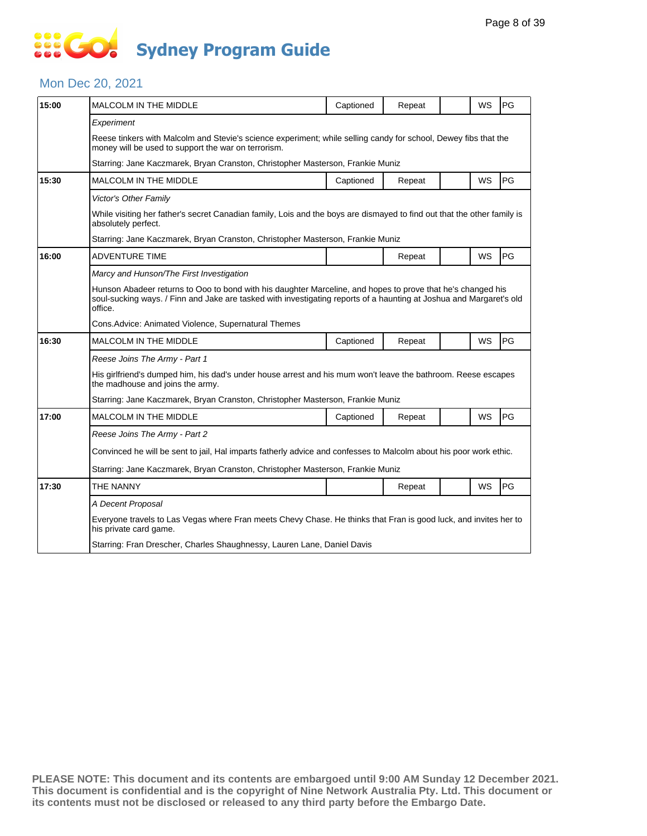#### Mon Dec 20, 2021

| 15:00 | <b>MALCOLM IN THE MIDDLE</b>                                                                                                                                                                                                                  | Captioned | Repeat |  | WS        | PG        |  |  |
|-------|-----------------------------------------------------------------------------------------------------------------------------------------------------------------------------------------------------------------------------------------------|-----------|--------|--|-----------|-----------|--|--|
|       | Experiment                                                                                                                                                                                                                                    |           |        |  |           |           |  |  |
|       | Reese tinkers with Malcolm and Stevie's science experiment; while selling candy for school, Dewey fibs that the<br>money will be used to support the war on terrorism.                                                                        |           |        |  |           |           |  |  |
|       | Starring: Jane Kaczmarek, Bryan Cranston, Christopher Masterson, Frankie Muniz                                                                                                                                                                |           |        |  |           |           |  |  |
| 15:30 | MALCOLM IN THE MIDDLE                                                                                                                                                                                                                         | Captioned | Repeat |  | <b>WS</b> | <b>PG</b> |  |  |
|       | Victor's Other Family                                                                                                                                                                                                                         |           |        |  |           |           |  |  |
|       | While visiting her father's secret Canadian family, Lois and the boys are dismayed to find out that the other family is<br>absolutely perfect.                                                                                                |           |        |  |           |           |  |  |
|       | Starring: Jane Kaczmarek, Bryan Cranston, Christopher Masterson, Frankie Muniz                                                                                                                                                                |           |        |  |           |           |  |  |
| 16:00 | <b>ADVENTURE TIME</b>                                                                                                                                                                                                                         |           | Repeat |  | WS        | PG        |  |  |
|       | Marcy and Hunson/The First Investigation                                                                                                                                                                                                      |           |        |  |           |           |  |  |
|       | Hunson Abadeer returns to Ooo to bond with his daughter Marceline, and hopes to prove that he's changed his<br>soul-sucking ways. / Finn and Jake are tasked with investigating reports of a haunting at Joshua and Margaret's old<br>office. |           |        |  |           |           |  |  |
|       | Cons. Advice: Animated Violence, Supernatural Themes                                                                                                                                                                                          |           |        |  |           |           |  |  |
| 16:30 | <b>MALCOLM IN THE MIDDLE</b>                                                                                                                                                                                                                  | Captioned | Repeat |  | WS        | PG        |  |  |
|       | Reese Joins The Army - Part 1                                                                                                                                                                                                                 |           |        |  |           |           |  |  |
|       | His girlfriend's dumped him, his dad's under house arrest and his mum won't leave the bathroom. Reese escapes<br>the madhouse and joins the army.                                                                                             |           |        |  |           |           |  |  |
|       | Starring: Jane Kaczmarek, Bryan Cranston, Christopher Masterson, Frankie Muniz                                                                                                                                                                |           |        |  |           |           |  |  |
| 17:00 | MALCOLM IN THE MIDDLE                                                                                                                                                                                                                         | Captioned | Repeat |  | <b>WS</b> | PG        |  |  |
|       | Reese Joins The Army - Part 2                                                                                                                                                                                                                 |           |        |  |           |           |  |  |
|       | Convinced he will be sent to jail, Hal imparts fatherly advice and confesses to Malcolm about his poor work ethic.                                                                                                                            |           |        |  |           |           |  |  |
|       | Starring: Jane Kaczmarek, Bryan Cranston, Christopher Masterson, Frankie Muniz                                                                                                                                                                |           |        |  |           |           |  |  |
| 17:30 | THE NANNY                                                                                                                                                                                                                                     |           | Repeat |  | WS        | PG        |  |  |
|       | A Decent Proposal                                                                                                                                                                                                                             |           |        |  |           |           |  |  |
|       | Everyone travels to Las Vegas where Fran meets Chevy Chase. He thinks that Fran is good luck, and invites her to<br>his private card game.                                                                                                    |           |        |  |           |           |  |  |
|       | Starring: Fran Drescher, Charles Shaughnessy, Lauren Lane, Daniel Davis                                                                                                                                                                       |           |        |  |           |           |  |  |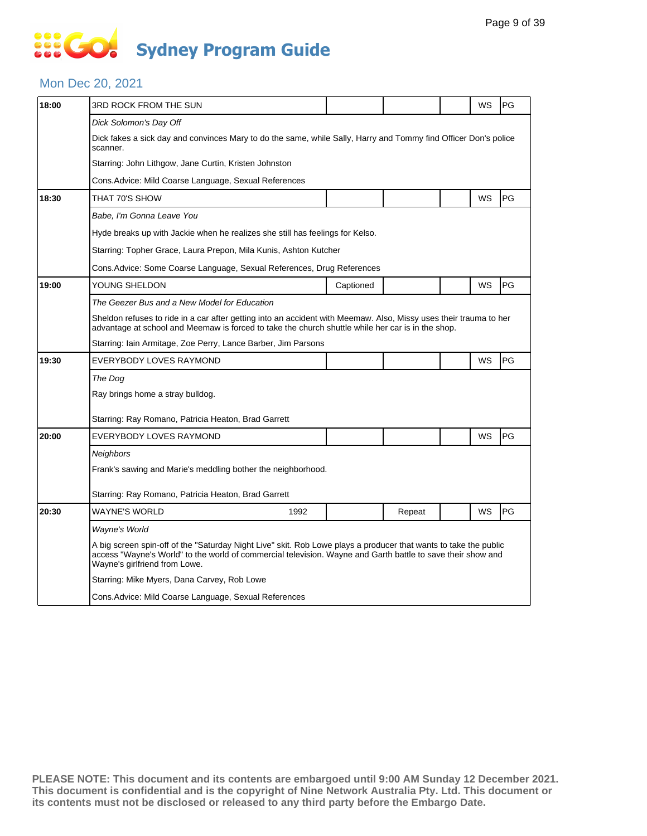#### Mon Dec 20, 2021

| 3RD ROCK FROM THE SUN                                                                                                                                                                                                                                            |           |        |                                                                        | WS | PG                                                                                                              |  |  |  |
|------------------------------------------------------------------------------------------------------------------------------------------------------------------------------------------------------------------------------------------------------------------|-----------|--------|------------------------------------------------------------------------|----|-----------------------------------------------------------------------------------------------------------------|--|--|--|
| Dick Solomon's Day Off                                                                                                                                                                                                                                           |           |        |                                                                        |    |                                                                                                                 |  |  |  |
| scanner.                                                                                                                                                                                                                                                         |           |        |                                                                        |    |                                                                                                                 |  |  |  |
| Starring: John Lithgow, Jane Curtin, Kristen Johnston                                                                                                                                                                                                            |           |        |                                                                        |    |                                                                                                                 |  |  |  |
| Cons.Advice: Mild Coarse Language, Sexual References                                                                                                                                                                                                             |           |        |                                                                        |    |                                                                                                                 |  |  |  |
| THAT 70'S SHOW                                                                                                                                                                                                                                                   |           |        |                                                                        | WS | PG                                                                                                              |  |  |  |
| Babe, I'm Gonna Leave You                                                                                                                                                                                                                                        |           |        |                                                                        |    |                                                                                                                 |  |  |  |
| Hyde breaks up with Jackie when he realizes she still has feelings for Kelso.                                                                                                                                                                                    |           |        |                                                                        |    |                                                                                                                 |  |  |  |
| Starring: Topher Grace, Laura Prepon, Mila Kunis, Ashton Kutcher                                                                                                                                                                                                 |           |        |                                                                        |    |                                                                                                                 |  |  |  |
|                                                                                                                                                                                                                                                                  |           |        |                                                                        |    |                                                                                                                 |  |  |  |
| YOUNG SHELDON                                                                                                                                                                                                                                                    | Captioned |        |                                                                        | WS | PG                                                                                                              |  |  |  |
| The Geezer Bus and a New Model for Education                                                                                                                                                                                                                     |           |        |                                                                        |    |                                                                                                                 |  |  |  |
| Sheldon refuses to ride in a car after getting into an accident with Meemaw. Also, Missy uses their trauma to her<br>advantage at school and Meemaw is forced to take the church shuttle while her car is in the shop.                                           |           |        |                                                                        |    |                                                                                                                 |  |  |  |
| Starring: Iain Armitage, Zoe Perry, Lance Barber, Jim Parsons                                                                                                                                                                                                    |           |        |                                                                        |    |                                                                                                                 |  |  |  |
| EVERYBODY LOVES RAYMOND                                                                                                                                                                                                                                          |           |        |                                                                        | WS | PG                                                                                                              |  |  |  |
| The Dog                                                                                                                                                                                                                                                          |           |        |                                                                        |    |                                                                                                                 |  |  |  |
| Ray brings home a stray bulldog.                                                                                                                                                                                                                                 |           |        |                                                                        |    |                                                                                                                 |  |  |  |
| Starring: Ray Romano, Patricia Heaton, Brad Garrett                                                                                                                                                                                                              |           |        |                                                                        |    |                                                                                                                 |  |  |  |
| EVERYBODY LOVES RAYMOND                                                                                                                                                                                                                                          |           |        |                                                                        | WS | PG                                                                                                              |  |  |  |
| Neighbors                                                                                                                                                                                                                                                        |           |        |                                                                        |    |                                                                                                                 |  |  |  |
| Frank's sawing and Marie's meddling bother the neighborhood.                                                                                                                                                                                                     |           |        |                                                                        |    |                                                                                                                 |  |  |  |
| Starring: Ray Romano, Patricia Heaton, Brad Garrett                                                                                                                                                                                                              |           |        |                                                                        |    |                                                                                                                 |  |  |  |
| WAYNE'S WORLD<br>1992                                                                                                                                                                                                                                            |           | Repeat |                                                                        | WS | PG                                                                                                              |  |  |  |
|                                                                                                                                                                                                                                                                  |           |        |                                                                        |    |                                                                                                                 |  |  |  |
| Wayne's World                                                                                                                                                                                                                                                    |           |        |                                                                        |    |                                                                                                                 |  |  |  |
| A big screen spin-off of the "Saturday Night Live" skit. Rob Lowe plays a producer that wants to take the public<br>access "Wayne's World" to the world of commercial television. Wayne and Garth battle to save their show and<br>Wayne's girlfriend from Lowe. |           |        |                                                                        |    |                                                                                                                 |  |  |  |
| Starring: Mike Myers, Dana Carvey, Rob Lowe                                                                                                                                                                                                                      |           |        |                                                                        |    |                                                                                                                 |  |  |  |
|                                                                                                                                                                                                                                                                  |           |        | Cons. Advice: Some Coarse Language, Sexual References, Drug References |    | Dick fakes a sick day and convinces Mary to do the same, while Sally, Harry and Tommy find Officer Don's police |  |  |  |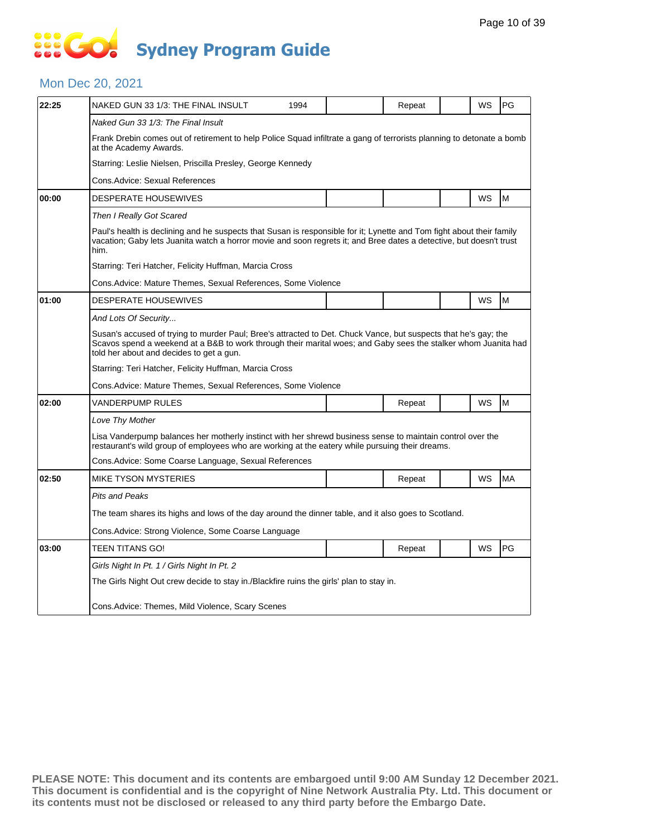#### Mon Dec 20, 2021

| 22:25 | NAKED GUN 33 1/3: THE FINAL INSULT                                                                                                                                                                                                                                            | 1994 |  | Repeat |  | WS | PG        |  |  |  |
|-------|-------------------------------------------------------------------------------------------------------------------------------------------------------------------------------------------------------------------------------------------------------------------------------|------|--|--------|--|----|-----------|--|--|--|
|       | Naked Gun 33 1/3: The Final Insult                                                                                                                                                                                                                                            |      |  |        |  |    |           |  |  |  |
|       | Frank Drebin comes out of retirement to help Police Squad infiltrate a gang of terrorists planning to detonate a bomb<br>at the Academy Awards.                                                                                                                               |      |  |        |  |    |           |  |  |  |
|       | Starring: Leslie Nielsen, Priscilla Presley, George Kennedy                                                                                                                                                                                                                   |      |  |        |  |    |           |  |  |  |
|       | Cons.Advice: Sexual References                                                                                                                                                                                                                                                |      |  |        |  |    |           |  |  |  |
| 00:00 | <b>DESPERATE HOUSEWIVES</b>                                                                                                                                                                                                                                                   |      |  |        |  | WS | M         |  |  |  |
|       | Then I Really Got Scared                                                                                                                                                                                                                                                      |      |  |        |  |    |           |  |  |  |
|       | Paul's health is declining and he suspects that Susan is responsible for it; Lynette and Tom fight about their family<br>vacation; Gaby lets Juanita watch a horror movie and soon regrets it; and Bree dates a detective, but doesn't trust<br>him.                          |      |  |        |  |    |           |  |  |  |
|       | Starring: Teri Hatcher, Felicity Huffman, Marcia Cross                                                                                                                                                                                                                        |      |  |        |  |    |           |  |  |  |
|       | Cons.Advice: Mature Themes, Sexual References, Some Violence                                                                                                                                                                                                                  |      |  |        |  |    |           |  |  |  |
| 01:00 | <b>DESPERATE HOUSEWIVES</b>                                                                                                                                                                                                                                                   |      |  |        |  | WS | M         |  |  |  |
|       | And Lots Of Security                                                                                                                                                                                                                                                          |      |  |        |  |    |           |  |  |  |
|       | Susan's accused of trying to murder Paul; Bree's attracted to Det. Chuck Vance, but suspects that he's gay; the<br>Scavos spend a weekend at a B&B to work through their marital woes; and Gaby sees the stalker whom Juanita had<br>told her about and decides to get a gun. |      |  |        |  |    |           |  |  |  |
|       | Starring: Teri Hatcher, Felicity Huffman, Marcia Cross                                                                                                                                                                                                                        |      |  |        |  |    |           |  |  |  |
|       | Cons.Advice: Mature Themes, Sexual References, Some Violence                                                                                                                                                                                                                  |      |  |        |  |    |           |  |  |  |
| 02:00 | VANDERPUMP RULES                                                                                                                                                                                                                                                              |      |  | Repeat |  | WS | M         |  |  |  |
|       | Love Thy Mother                                                                                                                                                                                                                                                               |      |  |        |  |    |           |  |  |  |
|       | Lisa Vanderpump balances her motherly instinct with her shrewd business sense to maintain control over the<br>restaurant's wild group of employees who are working at the eatery while pursuing their dreams.                                                                 |      |  |        |  |    |           |  |  |  |
|       | Cons.Advice: Some Coarse Language, Sexual References                                                                                                                                                                                                                          |      |  |        |  |    |           |  |  |  |
| 02:50 | <b>MIKE TYSON MYSTERIES</b>                                                                                                                                                                                                                                                   |      |  | Repeat |  | WS | <b>MA</b> |  |  |  |
|       | Pits and Peaks                                                                                                                                                                                                                                                                |      |  |        |  |    |           |  |  |  |
|       | The team shares its highs and lows of the day around the dinner table, and it also goes to Scotland.                                                                                                                                                                          |      |  |        |  |    |           |  |  |  |
|       | Cons.Advice: Strong Violence, Some Coarse Language                                                                                                                                                                                                                            |      |  |        |  |    |           |  |  |  |
| 03:00 | TEEN TITANS GO!                                                                                                                                                                                                                                                               |      |  | Repeat |  | WS | PG        |  |  |  |
|       | Girls Night In Pt. 1 / Girls Night In Pt. 2                                                                                                                                                                                                                                   |      |  |        |  |    |           |  |  |  |
|       | The Girls Night Out crew decide to stay in /Blackfire ruins the girls' plan to stay in.                                                                                                                                                                                       |      |  |        |  |    |           |  |  |  |
|       | Cons. Advice: Themes, Mild Violence, Scary Scenes                                                                                                                                                                                                                             |      |  |        |  |    |           |  |  |  |
|       |                                                                                                                                                                                                                                                                               |      |  |        |  |    |           |  |  |  |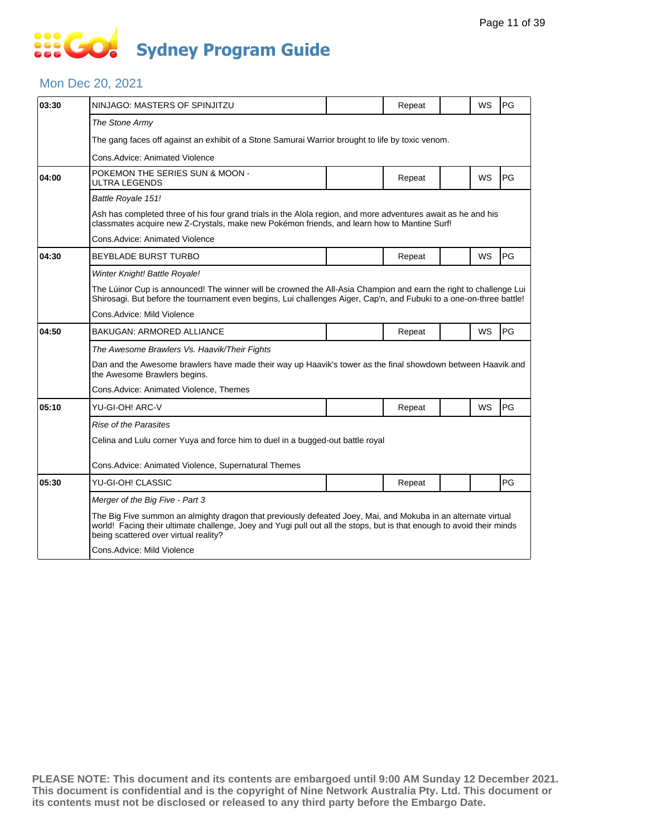#### Mon Dec 20, 2021

| 03:30 | NINJAGO: MASTERS OF SPINJITZU                                                                                                                                                                                                                                                   |  | Repeat |  | <b>WS</b> | PG |  |  |  |
|-------|---------------------------------------------------------------------------------------------------------------------------------------------------------------------------------------------------------------------------------------------------------------------------------|--|--------|--|-----------|----|--|--|--|
|       | The Stone Army                                                                                                                                                                                                                                                                  |  |        |  |           |    |  |  |  |
|       | The gang faces off against an exhibit of a Stone Samurai Warrior brought to life by toxic venom.                                                                                                                                                                                |  |        |  |           |    |  |  |  |
|       | Cons.Advice: Animated Violence                                                                                                                                                                                                                                                  |  |        |  |           |    |  |  |  |
| 04:00 | POKEMON THE SERIES SUN & MOON -<br>ULTRA LEGENDS                                                                                                                                                                                                                                |  | Repeat |  | WS        | PG |  |  |  |
|       | Battle Royale 151!                                                                                                                                                                                                                                                              |  |        |  |           |    |  |  |  |
|       | Ash has completed three of his four grand trials in the Alola region, and more adventures await as he and his<br>classmates acquire new Z-Crystals, make new Pokémon friends, and learn how to Mantine Surf!                                                                    |  |        |  |           |    |  |  |  |
|       | Cons. Advice: Animated Violence                                                                                                                                                                                                                                                 |  |        |  |           |    |  |  |  |
| 04:30 | <b>BEYBLADE BURST TURBO</b>                                                                                                                                                                                                                                                     |  | Repeat |  | <b>WS</b> | PG |  |  |  |
|       | Winter Knight! Battle Royale!                                                                                                                                                                                                                                                   |  |        |  |           |    |  |  |  |
|       | The Lúinor Cup is announced! The winner will be crowned the All-Asia Champion and earn the right to challenge Lui<br>Shirosagi. But before the tournament even begins, Lui challenges Aiger, Cap'n, and Fubuki to a one-on-three battle!                                        |  |        |  |           |    |  |  |  |
|       | Cons.Advice: Mild Violence                                                                                                                                                                                                                                                      |  |        |  |           |    |  |  |  |
| 04:50 | <b>BAKUGAN: ARMORED ALLIANCE</b>                                                                                                                                                                                                                                                |  | Repeat |  | WS        | PG |  |  |  |
|       | The Awesome Brawlers Vs. Haavik/Their Fights                                                                                                                                                                                                                                    |  |        |  |           |    |  |  |  |
|       | Dan and the Awesome brawlers have made their way up Haavik's tower as the final showdown between Haavik and<br>the Awesome Brawlers begins.                                                                                                                                     |  |        |  |           |    |  |  |  |
|       | Cons.Advice: Animated Violence, Themes                                                                                                                                                                                                                                          |  |        |  |           |    |  |  |  |
| 05:10 | YU-GI-OH! ARC-V                                                                                                                                                                                                                                                                 |  | Repeat |  | <b>WS</b> | PG |  |  |  |
|       | Rise of the Parasites                                                                                                                                                                                                                                                           |  |        |  |           |    |  |  |  |
|       | Celina and Lulu corner Yuya and force him to duel in a bugged-out battle royal                                                                                                                                                                                                  |  |        |  |           |    |  |  |  |
|       | Cons. Advice: Animated Violence, Supernatural Themes                                                                                                                                                                                                                            |  |        |  |           |    |  |  |  |
| 05:30 | YU-GI-OH! CLASSIC                                                                                                                                                                                                                                                               |  | Repeat |  |           | PG |  |  |  |
|       | Merger of the Big Five - Part 3                                                                                                                                                                                                                                                 |  |        |  |           |    |  |  |  |
|       | The Big Five summon an almighty dragon that previously defeated Joey, Mai, and Mokuba in an alternate virtual<br>world! Facing their ultimate challenge, Joey and Yugi pull out all the stops, but is that enough to avoid their minds<br>being scattered over virtual reality? |  |        |  |           |    |  |  |  |
|       | Cons.Advice: Mild Violence                                                                                                                                                                                                                                                      |  |        |  |           |    |  |  |  |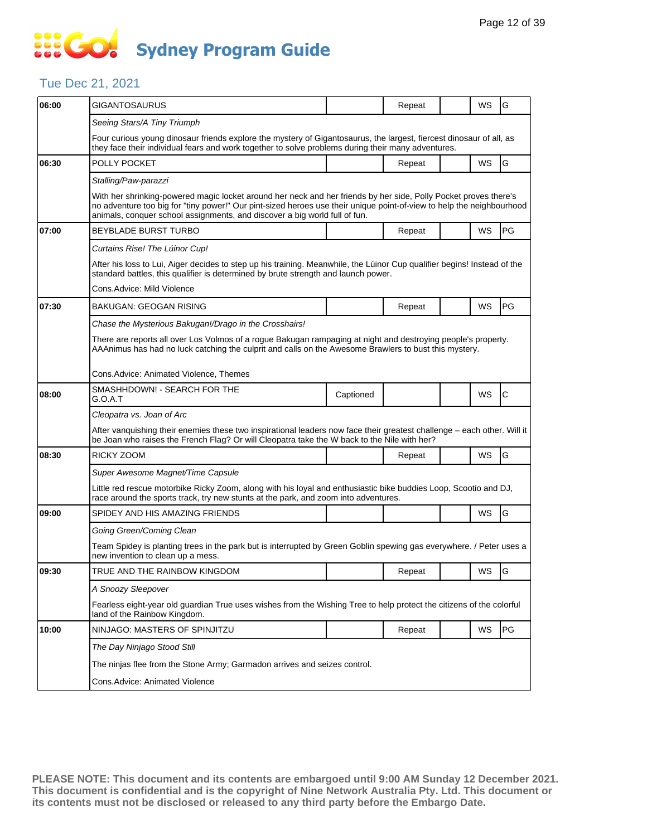### Tue Dec 21, 2021

| 06:00 | GIGANTOSAURUS                                                                                                                                                                                                                                                                                                           |           | Repeat |  | WS        | G  |  |  |  |  |
|-------|-------------------------------------------------------------------------------------------------------------------------------------------------------------------------------------------------------------------------------------------------------------------------------------------------------------------------|-----------|--------|--|-----------|----|--|--|--|--|
|       | Seeing Stars/A Tiny Triumph                                                                                                                                                                                                                                                                                             |           |        |  |           |    |  |  |  |  |
|       | Four curious young dinosaur friends explore the mystery of Gigantosaurus, the largest, fiercest dinosaur of all, as<br>they face their individual fears and work together to solve problems during their many adventures.                                                                                               |           |        |  |           |    |  |  |  |  |
| 06:30 | POLLY POCKET                                                                                                                                                                                                                                                                                                            |           | Repeat |  | WS        | G  |  |  |  |  |
|       | Stalling/Paw-parazzi                                                                                                                                                                                                                                                                                                    |           |        |  |           |    |  |  |  |  |
|       | With her shrinking-powered magic locket around her neck and her friends by her side, Polly Pocket proves there's<br>no adventure too big for "tiny power!" Our pint-sized heroes use their unique point-of-view to help the neighbourhood<br>animals, conquer school assignments, and discover a big world full of fun. |           |        |  |           |    |  |  |  |  |
| 07:00 | <b>BEYBLADE BURST TURBO</b>                                                                                                                                                                                                                                                                                             |           | Repeat |  | WS        | PG |  |  |  |  |
|       | Curtains Rise! The Lúinor Cup!                                                                                                                                                                                                                                                                                          |           |        |  |           |    |  |  |  |  |
|       | After his loss to Lui, Aiger decides to step up his training. Meanwhile, the Lúinor Cup qualifier begins! Instead of the<br>standard battles, this qualifier is determined by brute strength and launch power.                                                                                                          |           |        |  |           |    |  |  |  |  |
|       | Cons.Advice: Mild Violence                                                                                                                                                                                                                                                                                              |           |        |  |           |    |  |  |  |  |
| 07:30 | BAKUGAN: GEOGAN RISING                                                                                                                                                                                                                                                                                                  |           | Repeat |  | <b>WS</b> | PG |  |  |  |  |
|       | Chase the Mysterious Bakugan!/Drago in the Crosshairs!                                                                                                                                                                                                                                                                  |           |        |  |           |    |  |  |  |  |
|       | There are reports all over Los Volmos of a rogue Bakugan rampaging at night and destroying people's property.<br>AAAnimus has had no luck catching the culprit and calls on the Awesome Brawlers to bust this mystery.                                                                                                  |           |        |  |           |    |  |  |  |  |
|       | Cons.Advice: Animated Violence, Themes                                                                                                                                                                                                                                                                                  |           |        |  |           |    |  |  |  |  |
| 08:00 | SMASHHDOWN! - SEARCH FOR THE<br>G.O.A.T                                                                                                                                                                                                                                                                                 | Captioned |        |  | WS        | C  |  |  |  |  |
|       | Cleopatra vs. Joan of Arc                                                                                                                                                                                                                                                                                               |           |        |  |           |    |  |  |  |  |
|       | After vanquishing their enemies these two inspirational leaders now face their greatest challenge - each other. Will it<br>be Joan who raises the French Flag? Or will Cleopatra take the W back to the Nile with her?                                                                                                  |           |        |  |           |    |  |  |  |  |
| 08:30 | RICKY ZOOM                                                                                                                                                                                                                                                                                                              |           | Repeat |  | WS        | G  |  |  |  |  |
|       | Super Awesome Magnet/Time Capsule                                                                                                                                                                                                                                                                                       |           |        |  |           |    |  |  |  |  |
|       | Little red rescue motorbike Ricky Zoom, along with his loyal and enthusiastic bike buddies Loop, Scootio and DJ,<br>race around the sports track, try new stunts at the park, and zoom into adventures.                                                                                                                 |           |        |  |           |    |  |  |  |  |
| 09:00 | SPIDEY AND HIS AMAZING FRIENDS                                                                                                                                                                                                                                                                                          |           |        |  | WS        | G  |  |  |  |  |
|       | Going Green/Coming Clean                                                                                                                                                                                                                                                                                                |           |        |  |           |    |  |  |  |  |
|       | Team Spidey is planting trees in the park but is interrupted by Green Goblin spewing gas everywhere. / Peter uses a<br>new invention to clean up a mess.                                                                                                                                                                |           |        |  |           |    |  |  |  |  |
| 09:30 | TRUE AND THE RAINBOW KINGDOM                                                                                                                                                                                                                                                                                            |           | Repeat |  | WS        | G  |  |  |  |  |
|       | A Snoozy Sleepover                                                                                                                                                                                                                                                                                                      |           |        |  |           |    |  |  |  |  |
|       | Fearless eight-year old guardian True uses wishes from the Wishing Tree to help protect the citizens of the colorful<br>land of the Rainbow Kingdom.                                                                                                                                                                    |           |        |  |           |    |  |  |  |  |
| 10:00 | NINJAGO: MASTERS OF SPINJITZU                                                                                                                                                                                                                                                                                           |           | Repeat |  | WS        | PG |  |  |  |  |
|       | The Day Ninjago Stood Still                                                                                                                                                                                                                                                                                             |           |        |  |           |    |  |  |  |  |
|       | The ninjas flee from the Stone Army; Garmadon arrives and seizes control.                                                                                                                                                                                                                                               |           |        |  |           |    |  |  |  |  |
|       | Cons.Advice: Animated Violence                                                                                                                                                                                                                                                                                          |           |        |  |           |    |  |  |  |  |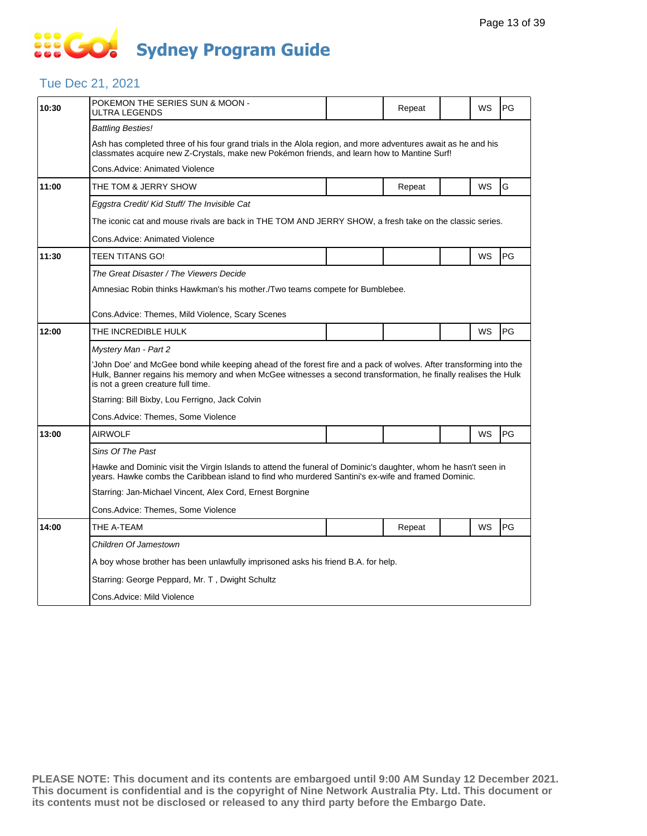# **SIS GO Sydney Program Guide**

### Tue Dec 21, 2021

| 10:30 | POKEMON THE SERIES SUN & MOON -<br>ULTRA LEGENDS                                                                                                                                                                                                                          |  | Repeat |  | WS | PG |  |  |  |
|-------|---------------------------------------------------------------------------------------------------------------------------------------------------------------------------------------------------------------------------------------------------------------------------|--|--------|--|----|----|--|--|--|
|       | <b>Battling Besties!</b>                                                                                                                                                                                                                                                  |  |        |  |    |    |  |  |  |
|       | Ash has completed three of his four grand trials in the Alola region, and more adventures await as he and his<br>classmates acquire new Z-Crystals, make new Pokémon friends, and learn how to Mantine Surf!                                                              |  |        |  |    |    |  |  |  |
|       | Cons.Advice: Animated Violence                                                                                                                                                                                                                                            |  |        |  |    |    |  |  |  |
| 11:00 | THE TOM & JERRY SHOW                                                                                                                                                                                                                                                      |  | Repeat |  | WS | G  |  |  |  |
|       | Eggstra Credit/ Kid Stuff/ The Invisible Cat                                                                                                                                                                                                                              |  |        |  |    |    |  |  |  |
|       | The iconic cat and mouse rivals are back in THE TOM AND JERRY SHOW, a fresh take on the classic series.                                                                                                                                                                   |  |        |  |    |    |  |  |  |
|       | Cons.Advice: Animated Violence                                                                                                                                                                                                                                            |  |        |  |    |    |  |  |  |
| 11:30 | TEEN TITANS GO!                                                                                                                                                                                                                                                           |  |        |  | WS | PG |  |  |  |
|       | The Great Disaster / The Viewers Decide                                                                                                                                                                                                                                   |  |        |  |    |    |  |  |  |
|       | Amnesiac Robin thinks Hawkman's his mother./Two teams compete for Bumblebee.                                                                                                                                                                                              |  |        |  |    |    |  |  |  |
|       | Cons.Advice: Themes, Mild Violence, Scary Scenes                                                                                                                                                                                                                          |  |        |  |    |    |  |  |  |
| 12:00 | THE INCREDIBLE HULK                                                                                                                                                                                                                                                       |  |        |  | WS | PG |  |  |  |
|       | Mystery Man - Part 2                                                                                                                                                                                                                                                      |  |        |  |    |    |  |  |  |
|       | John Doe' and McGee bond while keeping ahead of the forest fire and a pack of wolves. After transforming into the<br>Hulk, Banner regains his memory and when McGee witnesses a second transformation, he finally realises the Hulk<br>is not a green creature full time. |  |        |  |    |    |  |  |  |
|       | Starring: Bill Bixby, Lou Ferrigno, Jack Colvin                                                                                                                                                                                                                           |  |        |  |    |    |  |  |  |
|       | Cons.Advice: Themes, Some Violence                                                                                                                                                                                                                                        |  |        |  |    |    |  |  |  |
| 13:00 | <b>AIRWOLF</b>                                                                                                                                                                                                                                                            |  |        |  | WS | PG |  |  |  |
|       | Sins Of The Past                                                                                                                                                                                                                                                          |  |        |  |    |    |  |  |  |
|       | Hawke and Dominic visit the Virgin Islands to attend the funeral of Dominic's daughter, whom he hasn't seen in<br>years. Hawke combs the Caribbean island to find who murdered Santini's ex-wife and framed Dominic.                                                      |  |        |  |    |    |  |  |  |
|       | Starring: Jan-Michael Vincent, Alex Cord, Ernest Borgnine                                                                                                                                                                                                                 |  |        |  |    |    |  |  |  |
|       | Cons.Advice: Themes, Some Violence                                                                                                                                                                                                                                        |  |        |  |    |    |  |  |  |
| 14:00 | THE A-TEAM                                                                                                                                                                                                                                                                |  | Repeat |  | WS | PG |  |  |  |
|       | Children Of Jamestown                                                                                                                                                                                                                                                     |  |        |  |    |    |  |  |  |
|       | A boy whose brother has been unlawfully imprisoned asks his friend B.A. for help.                                                                                                                                                                                         |  |        |  |    |    |  |  |  |
|       | Starring: George Peppard, Mr. T, Dwight Schultz                                                                                                                                                                                                                           |  |        |  |    |    |  |  |  |
|       | Cons.Advice: Mild Violence                                                                                                                                                                                                                                                |  |        |  |    |    |  |  |  |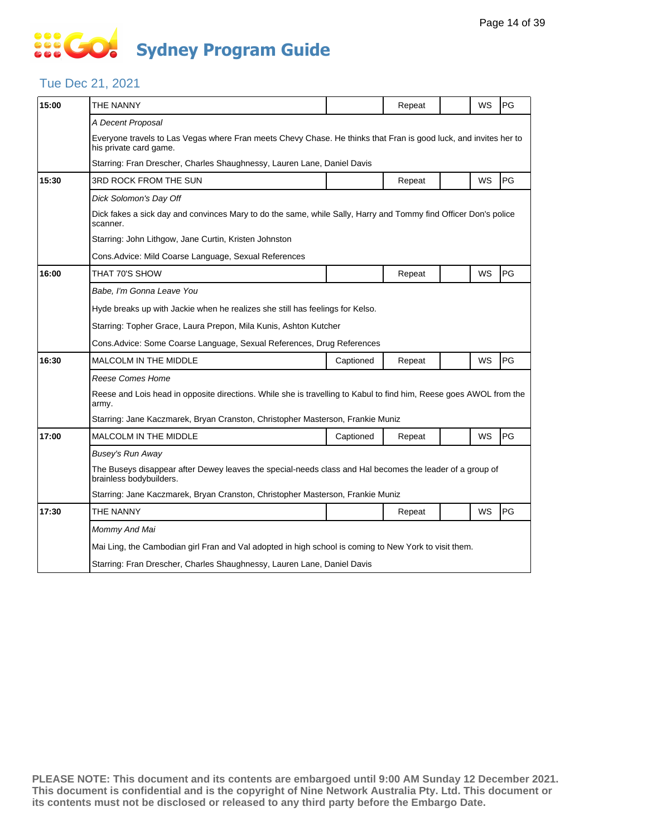# **SIS GO Sydney Program Guide**

### Tue Dec 21, 2021

| 15:00 | THE NANNY                                                                                                                                  |                                                                                                          | Repeat |  | WS        | PG |  |  |  |  |
|-------|--------------------------------------------------------------------------------------------------------------------------------------------|----------------------------------------------------------------------------------------------------------|--------|--|-----------|----|--|--|--|--|
|       | A Decent Proposal                                                                                                                          |                                                                                                          |        |  |           |    |  |  |  |  |
|       | Everyone travels to Las Vegas where Fran meets Chevy Chase. He thinks that Fran is good luck, and invites her to<br>his private card game. |                                                                                                          |        |  |           |    |  |  |  |  |
|       | Starring: Fran Drescher, Charles Shaughnessy, Lauren Lane, Daniel Davis                                                                    |                                                                                                          |        |  |           |    |  |  |  |  |
| 15:30 | 3RD ROCK FROM THE SUN                                                                                                                      |                                                                                                          | Repeat |  | WS        | PG |  |  |  |  |
|       | Dick Solomon's Day Off                                                                                                                     |                                                                                                          |        |  |           |    |  |  |  |  |
|       | Dick fakes a sick day and convinces Mary to do the same, while Sally, Harry and Tommy find Officer Don's police<br>scanner.                |                                                                                                          |        |  |           |    |  |  |  |  |
|       | Starring: John Lithgow, Jane Curtin, Kristen Johnston                                                                                      |                                                                                                          |        |  |           |    |  |  |  |  |
|       | Cons. Advice: Mild Coarse Language, Sexual References                                                                                      |                                                                                                          |        |  |           |    |  |  |  |  |
| 16:00 | THAT 70'S SHOW                                                                                                                             |                                                                                                          | Repeat |  | WS        | PG |  |  |  |  |
|       | Babe, I'm Gonna Leave You                                                                                                                  |                                                                                                          |        |  |           |    |  |  |  |  |
|       | Hyde breaks up with Jackie when he realizes she still has feelings for Kelso.                                                              |                                                                                                          |        |  |           |    |  |  |  |  |
|       | Starring: Topher Grace, Laura Prepon, Mila Kunis, Ashton Kutcher                                                                           |                                                                                                          |        |  |           |    |  |  |  |  |
|       | Cons. Advice: Some Coarse Language, Sexual References, Drug References                                                                     |                                                                                                          |        |  |           |    |  |  |  |  |
| 16:30 | <b>MALCOLM IN THE MIDDLE</b>                                                                                                               | Captioned                                                                                                | Repeat |  | <b>WS</b> | PG |  |  |  |  |
|       | <b>Reese Comes Home</b>                                                                                                                    |                                                                                                          |        |  |           |    |  |  |  |  |
|       | Reese and Lois head in opposite directions. While she is travelling to Kabul to find him, Reese goes AWOL from the<br>army.                |                                                                                                          |        |  |           |    |  |  |  |  |
|       |                                                                                                                                            | Starring: Jane Kaczmarek, Bryan Cranston, Christopher Masterson, Frankie Muniz                           |        |  |           |    |  |  |  |  |
| 17:00 | <b>MALCOLM IN THE MIDDLE</b>                                                                                                               | Captioned                                                                                                | Repeat |  | <b>WS</b> | PG |  |  |  |  |
|       | <b>Busey's Run Away</b>                                                                                                                    |                                                                                                          |        |  |           |    |  |  |  |  |
|       | brainless bodybuilders.                                                                                                                    | The Buseys disappear after Dewey leaves the special-needs class and Hal becomes the leader of a group of |        |  |           |    |  |  |  |  |
|       | Starring: Jane Kaczmarek, Bryan Cranston, Christopher Masterson, Frankie Muniz                                                             |                                                                                                          |        |  |           |    |  |  |  |  |
| 17:30 | THE NANNY                                                                                                                                  |                                                                                                          | Repeat |  | WS        | PG |  |  |  |  |
|       | Mommy And Mai                                                                                                                              |                                                                                                          |        |  |           |    |  |  |  |  |
|       | Mai Ling, the Cambodian girl Fran and Val adopted in high school is coming to New York to visit them.                                      |                                                                                                          |        |  |           |    |  |  |  |  |
|       | Starring: Fran Drescher, Charles Shaughnessy, Lauren Lane, Daniel Davis                                                                    |                                                                                                          |        |  |           |    |  |  |  |  |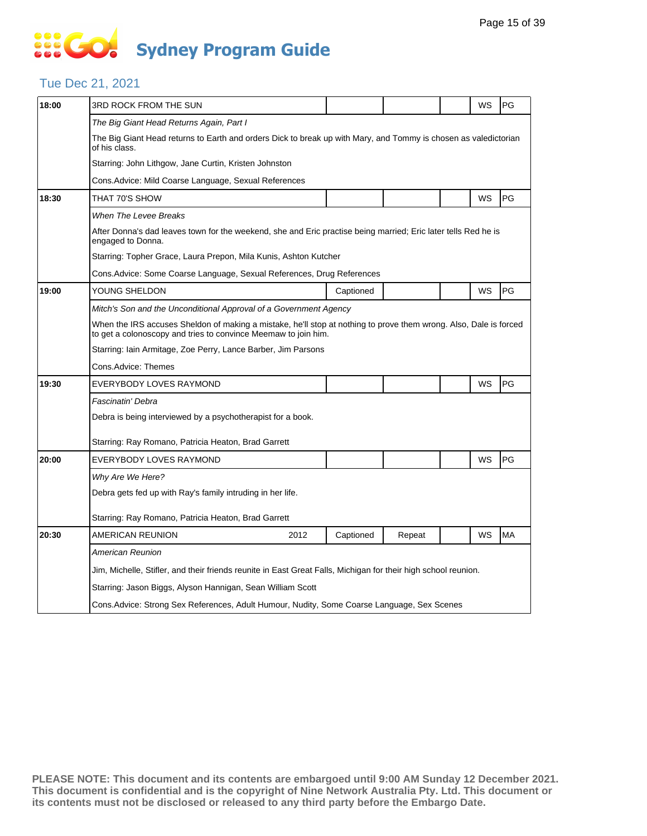### Tue Dec 21, 2021

| 18:00 | 3RD ROCK FROM THE SUN                                                                                                                                                               |      |           |        |  | WS        | PG |  |  |
|-------|-------------------------------------------------------------------------------------------------------------------------------------------------------------------------------------|------|-----------|--------|--|-----------|----|--|--|
|       | The Big Giant Head Returns Again, Part I                                                                                                                                            |      |           |        |  |           |    |  |  |
|       | The Big Giant Head returns to Earth and orders Dick to break up with Mary, and Tommy is chosen as valedictorian<br>of his class.                                                    |      |           |        |  |           |    |  |  |
|       | Starring: John Lithgow, Jane Curtin, Kristen Johnston                                                                                                                               |      |           |        |  |           |    |  |  |
|       | Cons.Advice: Mild Coarse Language, Sexual References                                                                                                                                |      |           |        |  |           |    |  |  |
| 18:30 | THAT 70'S SHOW                                                                                                                                                                      |      |           |        |  | <b>WS</b> | PG |  |  |
|       | When The Levee Breaks                                                                                                                                                               |      |           |        |  |           |    |  |  |
|       | After Donna's dad leaves town for the weekend, she and Eric practise being married; Eric later tells Red he is<br>engaged to Donna.                                                 |      |           |        |  |           |    |  |  |
|       | Starring: Topher Grace, Laura Prepon, Mila Kunis, Ashton Kutcher                                                                                                                    |      |           |        |  |           |    |  |  |
|       | Cons.Advice: Some Coarse Language, Sexual References, Drug References                                                                                                               |      |           |        |  |           |    |  |  |
| 19:00 | YOUNG SHELDON                                                                                                                                                                       |      | Captioned |        |  | WS        | PG |  |  |
|       | Mitch's Son and the Unconditional Approval of a Government Agency                                                                                                                   |      |           |        |  |           |    |  |  |
|       | When the IRS accuses Sheldon of making a mistake, he'll stop at nothing to prove them wrong. Also, Dale is forced<br>to get a colonoscopy and tries to convince Meemaw to join him. |      |           |        |  |           |    |  |  |
|       | Starring: Iain Armitage, Zoe Perry, Lance Barber, Jim Parsons                                                                                                                       |      |           |        |  |           |    |  |  |
|       | Cons.Advice: Themes                                                                                                                                                                 |      |           |        |  |           |    |  |  |
| 19:30 | EVERYBODY LOVES RAYMOND                                                                                                                                                             |      |           |        |  | WS        | PG |  |  |
|       | Fascinatin' Debra                                                                                                                                                                   |      |           |        |  |           |    |  |  |
|       | Debra is being interviewed by a psychotherapist for a book.                                                                                                                         |      |           |        |  |           |    |  |  |
|       | Starring: Ray Romano, Patricia Heaton, Brad Garrett                                                                                                                                 |      |           |        |  |           |    |  |  |
| 20:00 | EVERYBODY LOVES RAYMOND                                                                                                                                                             |      |           |        |  | WS        | PG |  |  |
|       | Why Are We Here?                                                                                                                                                                    |      |           |        |  |           |    |  |  |
|       | Debra gets fed up with Ray's family intruding in her life.                                                                                                                          |      |           |        |  |           |    |  |  |
|       |                                                                                                                                                                                     |      |           |        |  |           |    |  |  |
|       | Starring: Ray Romano, Patricia Heaton, Brad Garrett                                                                                                                                 |      |           |        |  |           |    |  |  |
| 20:30 | AMERICAN REUNION                                                                                                                                                                    | 2012 | Captioned | Repeat |  | WS        | MA |  |  |
|       | American Reunion                                                                                                                                                                    |      |           |        |  |           |    |  |  |
|       | Jim, Michelle, Stifler, and their friends reunite in East Great Falls, Michigan for their high school reunion.                                                                      |      |           |        |  |           |    |  |  |
|       | Starring: Jason Biggs, Alyson Hannigan, Sean William Scott                                                                                                                          |      |           |        |  |           |    |  |  |
|       | Cons. Advice: Strong Sex References, Adult Humour, Nudity, Some Coarse Language, Sex Scenes                                                                                         |      |           |        |  |           |    |  |  |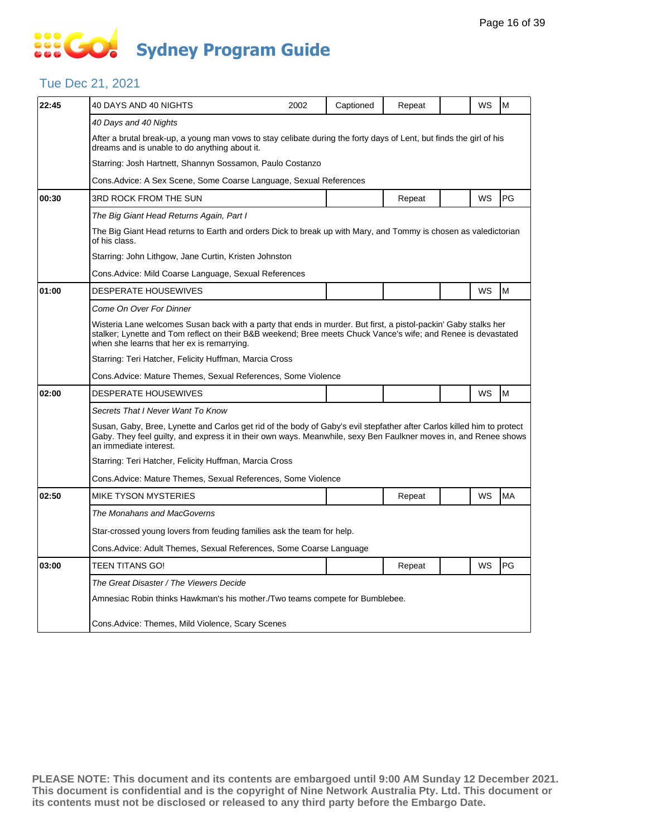# **SIS GO Sydney Program Guide**

#### Tue Dec 21, 2021

| 22:45 | 40 DAYS AND 40 NIGHTS                                                                                                                                                                                                                                                          | 2002                                                  | Captioned | Repeat |  | WS | M  |  |  |  |  |
|-------|--------------------------------------------------------------------------------------------------------------------------------------------------------------------------------------------------------------------------------------------------------------------------------|-------------------------------------------------------|-----------|--------|--|----|----|--|--|--|--|
|       | 40 Days and 40 Nights                                                                                                                                                                                                                                                          |                                                       |           |        |  |    |    |  |  |  |  |
|       | After a brutal break-up, a young man vows to stay celibate during the forty days of Lent, but finds the girl of his<br>dreams and is unable to do anything about it.                                                                                                           |                                                       |           |        |  |    |    |  |  |  |  |
|       | Starring: Josh Hartnett, Shannyn Sossamon, Paulo Costanzo                                                                                                                                                                                                                      |                                                       |           |        |  |    |    |  |  |  |  |
|       | Cons. Advice: A Sex Scene, Some Coarse Language, Sexual References                                                                                                                                                                                                             |                                                       |           |        |  |    |    |  |  |  |  |
| 00:30 | 3RD ROCK FROM THE SUN                                                                                                                                                                                                                                                          |                                                       |           | Repeat |  | WS | PG |  |  |  |  |
|       | The Big Giant Head Returns Again, Part I                                                                                                                                                                                                                                       |                                                       |           |        |  |    |    |  |  |  |  |
|       | The Big Giant Head returns to Earth and orders Dick to break up with Mary, and Tommy is chosen as valedictorian<br>of his class.                                                                                                                                               |                                                       |           |        |  |    |    |  |  |  |  |
|       | Starring: John Lithgow, Jane Curtin, Kristen Johnston                                                                                                                                                                                                                          |                                                       |           |        |  |    |    |  |  |  |  |
|       |                                                                                                                                                                                                                                                                                | Cons. Advice: Mild Coarse Language, Sexual References |           |        |  |    |    |  |  |  |  |
| 01:00 | <b>DESPERATE HOUSEWIVES</b>                                                                                                                                                                                                                                                    |                                                       |           |        |  | WS | M  |  |  |  |  |
|       | Come On Over For Dinner                                                                                                                                                                                                                                                        |                                                       |           |        |  |    |    |  |  |  |  |
|       | Wisteria Lane welcomes Susan back with a party that ends in murder. But first, a pistol-packin' Gaby stalks her<br>stalker; Lynette and Tom reflect on their B&B weekend; Bree meets Chuck Vance's wife; and Renee is devastated<br>when she learns that her ex is remarrying. |                                                       |           |        |  |    |    |  |  |  |  |
|       | Starring: Teri Hatcher, Felicity Huffman, Marcia Cross                                                                                                                                                                                                                         |                                                       |           |        |  |    |    |  |  |  |  |
|       | Cons. Advice: Mature Themes, Sexual References, Some Violence                                                                                                                                                                                                                  |                                                       |           |        |  |    |    |  |  |  |  |
| 02:00 | <b>DESPERATE HOUSEWIVES</b>                                                                                                                                                                                                                                                    |                                                       |           |        |  | WS | M  |  |  |  |  |
|       | Secrets That I Never Want To Know                                                                                                                                                                                                                                              |                                                       |           |        |  |    |    |  |  |  |  |
|       | Susan, Gaby, Bree, Lynette and Carlos get rid of the body of Gaby's evil stepfather after Carlos killed him to protect<br>Gaby. They feel quilty, and express it in their own ways. Meanwhile, sexy Ben Faulkner moves in, and Renee shows<br>an immediate interest.           |                                                       |           |        |  |    |    |  |  |  |  |
|       | Starring: Teri Hatcher, Felicity Huffman, Marcia Cross                                                                                                                                                                                                                         |                                                       |           |        |  |    |    |  |  |  |  |
|       | Cons. Advice: Mature Themes, Sexual References, Some Violence                                                                                                                                                                                                                  |                                                       |           |        |  |    |    |  |  |  |  |
| 02:50 | <b>MIKE TYSON MYSTERIES</b>                                                                                                                                                                                                                                                    |                                                       |           | Repeat |  | WS | MA |  |  |  |  |
|       | The Monahans and MacGoverns                                                                                                                                                                                                                                                    |                                                       |           |        |  |    |    |  |  |  |  |
|       | Star-crossed young lovers from feuding families ask the team for help.                                                                                                                                                                                                         |                                                       |           |        |  |    |    |  |  |  |  |
|       | Cons. Advice: Adult Themes, Sexual References, Some Coarse Language                                                                                                                                                                                                            |                                                       |           |        |  |    |    |  |  |  |  |
| 03:00 | TEEN TITANS GO!                                                                                                                                                                                                                                                                |                                                       |           | Repeat |  | WS | PG |  |  |  |  |
|       | The Great Disaster / The Viewers Decide                                                                                                                                                                                                                                        |                                                       |           |        |  |    |    |  |  |  |  |
|       | Amnesiac Robin thinks Hawkman's his mother./Two teams compete for Bumblebee.                                                                                                                                                                                                   |                                                       |           |        |  |    |    |  |  |  |  |
|       | Cons. Advice: Themes, Mild Violence, Scary Scenes                                                                                                                                                                                                                              |                                                       |           |        |  |    |    |  |  |  |  |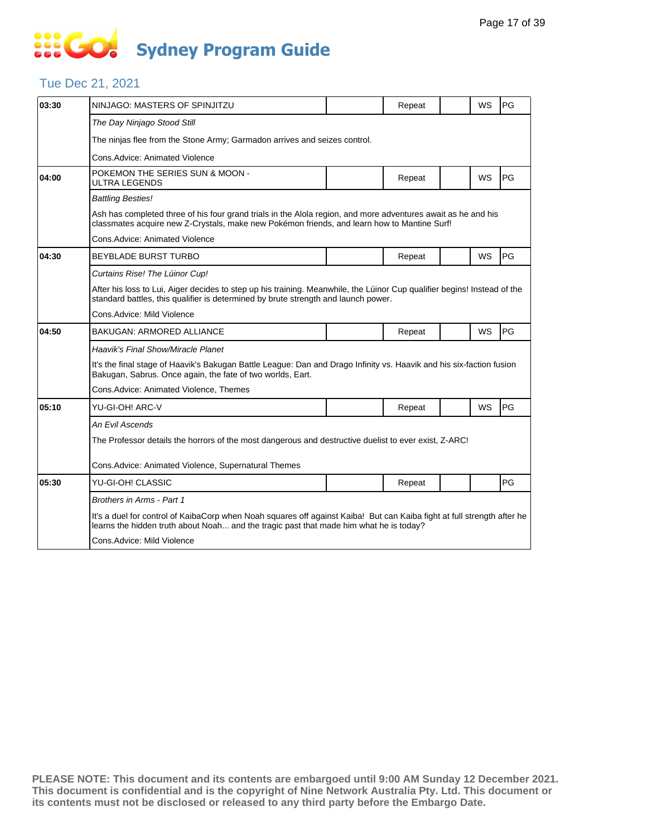# **... Go Sydney Program Guide**

### Tue Dec 21, 2021

| 03:30 | NINJAGO: MASTERS OF SPINJITZU                                                                                                                                                                                     |  | Repeat |  | WS        | PG |  |  |  |
|-------|-------------------------------------------------------------------------------------------------------------------------------------------------------------------------------------------------------------------|--|--------|--|-----------|----|--|--|--|
|       | The Day Ninjago Stood Still                                                                                                                                                                                       |  |        |  |           |    |  |  |  |
|       | The ninjas flee from the Stone Army; Garmadon arrives and seizes control.                                                                                                                                         |  |        |  |           |    |  |  |  |
|       | Cons.Advice: Animated Violence                                                                                                                                                                                    |  |        |  |           |    |  |  |  |
| 04:00 | POKEMON THE SERIES SUN & MOON -<br>ULTRA LEGENDS                                                                                                                                                                  |  | Repeat |  | WS        | PG |  |  |  |
|       | <b>Battling Besties!</b>                                                                                                                                                                                          |  |        |  |           |    |  |  |  |
|       | Ash has completed three of his four grand trials in the Alola region, and more adventures await as he and his<br>classmates acquire new Z-Crystals, make new Pokémon friends, and learn how to Mantine Surf!      |  |        |  |           |    |  |  |  |
|       | Cons. Advice: Animated Violence                                                                                                                                                                                   |  |        |  |           |    |  |  |  |
| 04:30 | <b>BEYBLADE BURST TURBO</b>                                                                                                                                                                                       |  | Repeat |  | WS        | PG |  |  |  |
|       | Curtains Rise! The Lúinor Cup!                                                                                                                                                                                    |  |        |  |           |    |  |  |  |
|       | After his loss to Lui, Aiger decides to step up his training. Meanwhile, the Lúinor Cup qualifier begins! Instead of the<br>standard battles, this qualifier is determined by brute strength and launch power.    |  |        |  |           |    |  |  |  |
|       | Cons.Advice: Mild Violence                                                                                                                                                                                        |  |        |  |           |    |  |  |  |
| 04:50 | BAKUGAN: ARMORED ALLIANCE                                                                                                                                                                                         |  | Repeat |  | WS        | PG |  |  |  |
|       | Haavik's Final Show/Miracle Planet                                                                                                                                                                                |  |        |  |           |    |  |  |  |
|       | It's the final stage of Haavik's Bakugan Battle League: Dan and Drago Infinity vs. Haavik and his six-faction fusion<br>Bakugan, Sabrus. Once again, the fate of two worlds, Eart.                                |  |        |  |           |    |  |  |  |
|       | Cons. Advice: Animated Violence, Themes                                                                                                                                                                           |  |        |  |           |    |  |  |  |
| 05:10 | YU-GI-OH! ARC-V                                                                                                                                                                                                   |  | Repeat |  | <b>WS</b> | PG |  |  |  |
|       | An Evil Ascends                                                                                                                                                                                                   |  |        |  |           |    |  |  |  |
|       | The Professor details the horrors of the most dangerous and destructive duelist to ever exist, Z-ARC!                                                                                                             |  |        |  |           |    |  |  |  |
|       | Cons. Advice: Animated Violence, Supernatural Themes                                                                                                                                                              |  |        |  |           |    |  |  |  |
| 05:30 | YU-GI-OH! CLASSIC                                                                                                                                                                                                 |  | Repeat |  |           | PG |  |  |  |
|       | Brothers in Arms - Part 1                                                                                                                                                                                         |  |        |  |           |    |  |  |  |
|       | It's a duel for control of KaibaCorp when Noah squares off against Kaiba! But can Kaiba fight at full strength after he<br>learns the hidden truth about Noah and the tragic past that made him what he is today? |  |        |  |           |    |  |  |  |
|       | Cons.Advice: Mild Violence                                                                                                                                                                                        |  |        |  |           |    |  |  |  |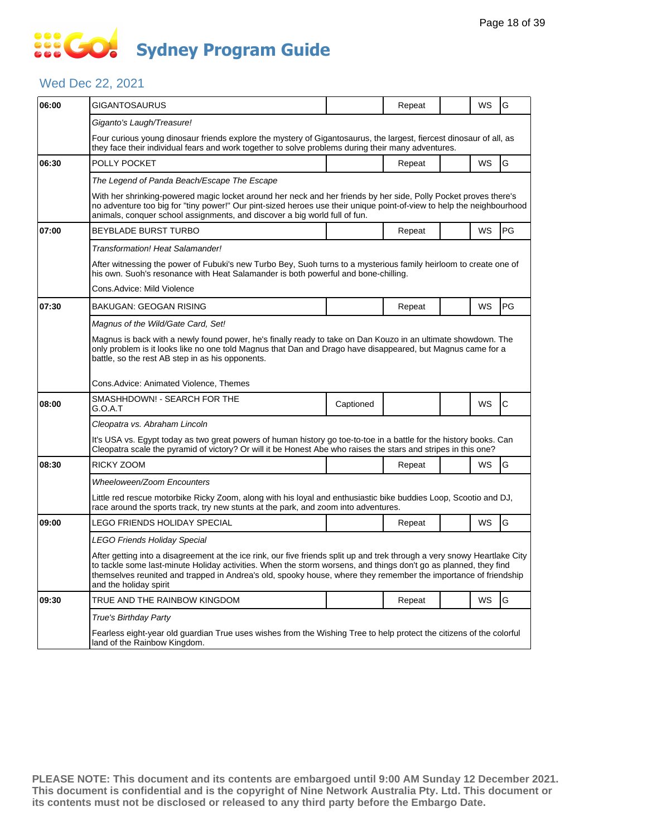### Wed Dec 22, 2021

| 06:00 | GIGANTOSAURUS                                                                                                                                                                                                                                                                                                                                                                              |           | Repeat |  | WS        | G           |  |  |  |  |
|-------|--------------------------------------------------------------------------------------------------------------------------------------------------------------------------------------------------------------------------------------------------------------------------------------------------------------------------------------------------------------------------------------------|-----------|--------|--|-----------|-------------|--|--|--|--|
|       | Giganto's Laugh/Treasure!                                                                                                                                                                                                                                                                                                                                                                  |           |        |  |           |             |  |  |  |  |
|       | Four curious young dinosaur friends explore the mystery of Gigantosaurus, the largest, fiercest dinosaur of all, as<br>they face their individual fears and work together to solve problems during their many adventures.                                                                                                                                                                  |           |        |  |           |             |  |  |  |  |
| 06:30 | POLLY POCKET                                                                                                                                                                                                                                                                                                                                                                               |           | Repeat |  | WS        | G           |  |  |  |  |
|       | The Legend of Panda Beach/Escape The Escape                                                                                                                                                                                                                                                                                                                                                |           |        |  |           |             |  |  |  |  |
|       | With her shrinking-powered magic locket around her neck and her friends by her side, Polly Pocket proves there's<br>no adventure too big for "tiny power!" Our pint-sized heroes use their unique point-of-view to help the neighbourhood<br>animals, conquer school assignments, and discover a big world full of fun.                                                                    |           |        |  |           |             |  |  |  |  |
| 07:00 | <b>BEYBLADE BURST TURBO</b>                                                                                                                                                                                                                                                                                                                                                                |           | Repeat |  | WS        | PG          |  |  |  |  |
|       | Transformation! Heat Salamander!                                                                                                                                                                                                                                                                                                                                                           |           |        |  |           |             |  |  |  |  |
|       | After witnessing the power of Fubuki's new Turbo Bey, Suoh turns to a mysterious family heirloom to create one of<br>his own. Suoh's resonance with Heat Salamander is both powerful and bone-chilling.                                                                                                                                                                                    |           |        |  |           |             |  |  |  |  |
|       | Cons.Advice: Mild Violence                                                                                                                                                                                                                                                                                                                                                                 |           |        |  |           |             |  |  |  |  |
| 07:30 | <b>BAKUGAN: GEOGAN RISING</b>                                                                                                                                                                                                                                                                                                                                                              |           | Repeat |  | WS        | <b>PG</b>   |  |  |  |  |
|       | Magnus of the Wild/Gate Card, Set!                                                                                                                                                                                                                                                                                                                                                         |           |        |  |           |             |  |  |  |  |
|       | Magnus is back with a newly found power, he's finally ready to take on Dan Kouzo in an ultimate showdown. The<br>only problem is it looks like no one told Magnus that Dan and Drago have disappeared, but Magnus came for a<br>battle, so the rest AB step in as his opponents.                                                                                                           |           |        |  |           |             |  |  |  |  |
|       | Cons.Advice: Animated Violence, Themes                                                                                                                                                                                                                                                                                                                                                     |           |        |  |           |             |  |  |  |  |
| 08:00 | SMASHHDOWN! - SEARCH FOR THE<br>G.O.A.T                                                                                                                                                                                                                                                                                                                                                    | Captioned |        |  | WS        | $\mathbf C$ |  |  |  |  |
|       | Cleopatra vs. Abraham Lincoln                                                                                                                                                                                                                                                                                                                                                              |           |        |  |           |             |  |  |  |  |
|       | It's USA vs. Egypt today as two great powers of human history go toe-to-toe in a battle for the history books. Can<br>Cleopatra scale the pyramid of victory? Or will it be Honest Abe who raises the stars and stripes in this one?                                                                                                                                                       |           |        |  |           |             |  |  |  |  |
| 08:30 | RICKY ZOOM                                                                                                                                                                                                                                                                                                                                                                                 |           | Repeat |  | <b>WS</b> | G           |  |  |  |  |
|       | Wheeloween/Zoom Encounters                                                                                                                                                                                                                                                                                                                                                                 |           |        |  |           |             |  |  |  |  |
|       | Little red rescue motorbike Ricky Zoom, along with his loyal and enthusiastic bike buddies Loop, Scootio and DJ,<br>race around the sports track, try new stunts at the park, and zoom into adventures.                                                                                                                                                                                    |           |        |  |           |             |  |  |  |  |
| 09:00 | LEGO FRIENDS HOLIDAY SPECIAL                                                                                                                                                                                                                                                                                                                                                               |           | Repeat |  | WS        | G           |  |  |  |  |
|       | LEGO Friends Holiday Special                                                                                                                                                                                                                                                                                                                                                               |           |        |  |           |             |  |  |  |  |
|       | After getting into a disagreement at the ice rink, our five friends split up and trek through a very snowy Heartlake City<br>to tackle some last-minute Holiday activities. When the storm worsens, and things don't go as planned, they find<br>themselves reunited and trapped in Andrea's old, spooky house, where they remember the importance of friendship<br>and the holiday spirit |           |        |  |           |             |  |  |  |  |
| 09:30 | TRUE AND THE RAINBOW KINGDOM                                                                                                                                                                                                                                                                                                                                                               |           | Repeat |  | WS        | G           |  |  |  |  |
|       | True's Birthday Party                                                                                                                                                                                                                                                                                                                                                                      |           |        |  |           |             |  |  |  |  |
|       | Fearless eight-year old guardian True uses wishes from the Wishing Tree to help protect the citizens of the colorful<br>land of the Rainbow Kingdom.                                                                                                                                                                                                                                       |           |        |  |           |             |  |  |  |  |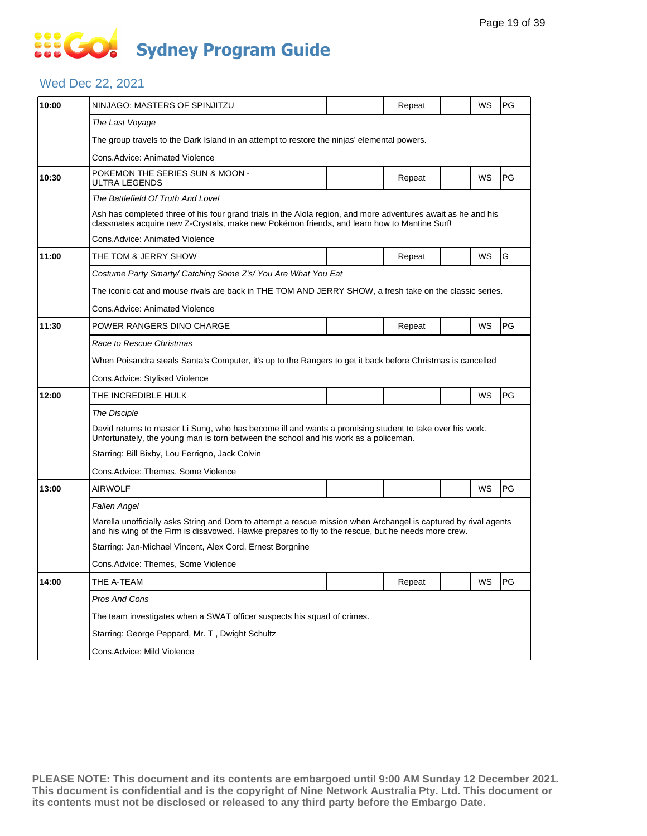### Wed Dec 22, 2021

| 10:00 | NINJAGO: MASTERS OF SPINJITZU                                                                                                                                                                                          |  | Repeat |  | WS        | PG |  |  |  |
|-------|------------------------------------------------------------------------------------------------------------------------------------------------------------------------------------------------------------------------|--|--------|--|-----------|----|--|--|--|
|       | The Last Voyage                                                                                                                                                                                                        |  |        |  |           |    |  |  |  |
|       | The group travels to the Dark Island in an attempt to restore the ninjas' elemental powers.                                                                                                                            |  |        |  |           |    |  |  |  |
|       | Cons.Advice: Animated Violence                                                                                                                                                                                         |  |        |  |           |    |  |  |  |
| 10:30 | POKEMON THE SERIES SUN & MOON -<br>ULTRA LEGENDS                                                                                                                                                                       |  | Repeat |  | WS        | PG |  |  |  |
|       | The Battlefield Of Truth And Love!                                                                                                                                                                                     |  |        |  |           |    |  |  |  |
|       | Ash has completed three of his four grand trials in the Alola region, and more adventures await as he and his<br>classmates acquire new Z-Crystals, make new Pokémon friends, and learn how to Mantine Surf!           |  |        |  |           |    |  |  |  |
|       | Cons.Advice: Animated Violence                                                                                                                                                                                         |  |        |  |           |    |  |  |  |
| 11:00 | THE TOM & JERRY SHOW                                                                                                                                                                                                   |  | Repeat |  | <b>WS</b> | G  |  |  |  |
|       | Costume Party Smarty/ Catching Some Z's/ You Are What You Eat                                                                                                                                                          |  |        |  |           |    |  |  |  |
|       | The iconic cat and mouse rivals are back in THE TOM AND JERRY SHOW, a fresh take on the classic series.                                                                                                                |  |        |  |           |    |  |  |  |
|       | Cons.Advice: Animated Violence                                                                                                                                                                                         |  |        |  |           |    |  |  |  |
| 11:30 | POWER RANGERS DINO CHARGE                                                                                                                                                                                              |  | Repeat |  | WS        | PG |  |  |  |
|       | Race to Rescue Christmas                                                                                                                                                                                               |  |        |  |           |    |  |  |  |
|       | When Poisandra steals Santa's Computer, it's up to the Rangers to get it back before Christmas is cancelled                                                                                                            |  |        |  |           |    |  |  |  |
|       | Cons. Advice: Stylised Violence                                                                                                                                                                                        |  |        |  |           |    |  |  |  |
| 12:00 | THE INCREDIBLE HULK                                                                                                                                                                                                    |  |        |  | WS        | PG |  |  |  |
|       | <b>The Disciple</b>                                                                                                                                                                                                    |  |        |  |           |    |  |  |  |
|       | David returns to master Li Sung, who has become ill and wants a promising student to take over his work.<br>Unfortunately, the young man is torn between the school and his work as a policeman.                       |  |        |  |           |    |  |  |  |
|       | Starring: Bill Bixby, Lou Ferrigno, Jack Colvin                                                                                                                                                                        |  |        |  |           |    |  |  |  |
|       | Cons.Advice: Themes, Some Violence                                                                                                                                                                                     |  |        |  |           |    |  |  |  |
| 13:00 | AIRWOLF                                                                                                                                                                                                                |  |        |  | WS        | PG |  |  |  |
|       | Fallen Angel                                                                                                                                                                                                           |  |        |  |           |    |  |  |  |
|       | Marella unofficially asks String and Dom to attempt a rescue mission when Archangel is captured by rival agents<br>and his wing of the Firm is disavowed. Hawke prepares to fly to the rescue, but he needs more crew. |  |        |  |           |    |  |  |  |
|       | Starring: Jan-Michael Vincent, Alex Cord, Ernest Borgnine                                                                                                                                                              |  |        |  |           |    |  |  |  |
|       | Cons.Advice: Themes, Some Violence                                                                                                                                                                                     |  |        |  |           |    |  |  |  |
| 14:00 | THE A-TEAM                                                                                                                                                                                                             |  | Repeat |  | WS        | PG |  |  |  |
|       | Pros And Cons                                                                                                                                                                                                          |  |        |  |           |    |  |  |  |
|       | The team investigates when a SWAT officer suspects his squad of crimes.                                                                                                                                                |  |        |  |           |    |  |  |  |
|       | Starring: George Peppard, Mr. T, Dwight Schultz                                                                                                                                                                        |  |        |  |           |    |  |  |  |
|       | Cons.Advice: Mild Violence                                                                                                                                                                                             |  |        |  |           |    |  |  |  |
|       |                                                                                                                                                                                                                        |  |        |  |           |    |  |  |  |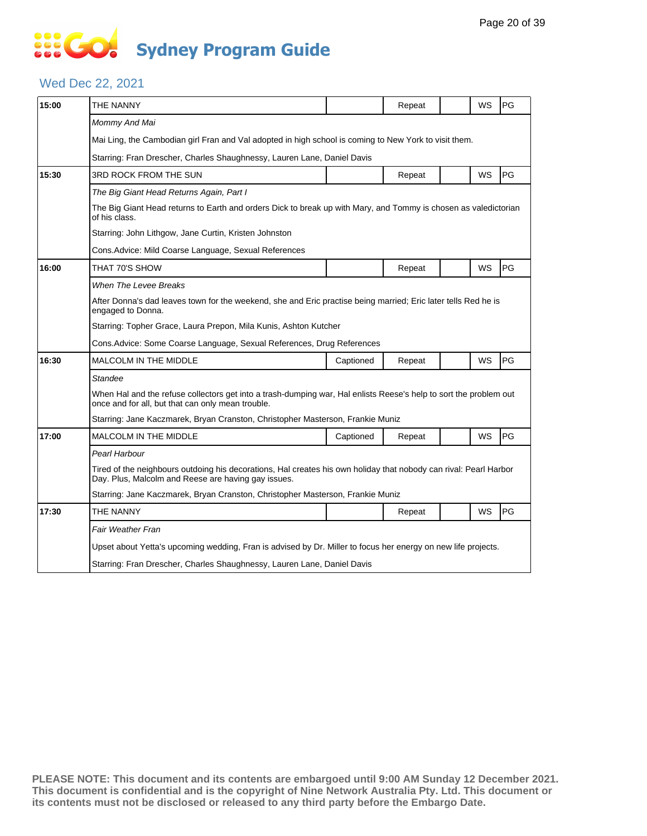# **... Go Sydney Program Guide**

### Wed Dec 22, 2021

| 15:00 | THE NANNY                                                                                                                                                                |           | Repeat |  | WS        | PG |  |  |  |
|-------|--------------------------------------------------------------------------------------------------------------------------------------------------------------------------|-----------|--------|--|-----------|----|--|--|--|
|       | Mommy And Mai                                                                                                                                                            |           |        |  |           |    |  |  |  |
|       | Mai Ling, the Cambodian girl Fran and Val adopted in high school is coming to New York to visit them.                                                                    |           |        |  |           |    |  |  |  |
|       | Starring: Fran Drescher, Charles Shaughnessy, Lauren Lane, Daniel Davis                                                                                                  |           |        |  |           |    |  |  |  |
| 15:30 | 3RD ROCK FROM THE SUN                                                                                                                                                    |           | Repeat |  | <b>WS</b> | PG |  |  |  |
|       | The Big Giant Head Returns Again, Part I                                                                                                                                 |           |        |  |           |    |  |  |  |
|       | The Big Giant Head returns to Earth and orders Dick to break up with Mary, and Tommy is chosen as valedictorian<br>of his class.                                         |           |        |  |           |    |  |  |  |
|       | Starring: John Lithgow, Jane Curtin, Kristen Johnston                                                                                                                    |           |        |  |           |    |  |  |  |
|       | Cons.Advice: Mild Coarse Language, Sexual References                                                                                                                     |           |        |  |           |    |  |  |  |
| 16:00 | THAT 70'S SHOW                                                                                                                                                           |           | Repeat |  | WS        | PG |  |  |  |
|       | When The Levee Breaks                                                                                                                                                    |           |        |  |           |    |  |  |  |
|       | After Donna's dad leaves town for the weekend, she and Eric practise being married; Eric later tells Red he is<br>engaged to Donna.                                      |           |        |  |           |    |  |  |  |
|       | Starring: Topher Grace, Laura Prepon, Mila Kunis, Ashton Kutcher                                                                                                         |           |        |  |           |    |  |  |  |
|       | Cons. Advice: Some Coarse Language, Sexual References, Drug References                                                                                                   |           |        |  |           |    |  |  |  |
| 16:30 | <b>MALCOLM IN THE MIDDLE</b>                                                                                                                                             | Captioned | Repeat |  | WS        | PG |  |  |  |
|       | Standee                                                                                                                                                                  |           |        |  |           |    |  |  |  |
|       | When Hal and the refuse collectors get into a trash-dumping war, Hal enlists Reese's help to sort the problem out<br>once and for all, but that can only mean trouble.   |           |        |  |           |    |  |  |  |
|       | Starring: Jane Kaczmarek, Bryan Cranston, Christopher Masterson, Frankie Muniz                                                                                           |           |        |  |           |    |  |  |  |
| 17:00 | <b>MALCOLM IN THE MIDDLE</b>                                                                                                                                             | Captioned | Repeat |  | WS        | PG |  |  |  |
|       | Pearl Harbour                                                                                                                                                            |           |        |  |           |    |  |  |  |
|       | Tired of the neighbours outdoing his decorations, Hal creates his own holiday that nobody can rival: Pearl Harbor<br>Day. Plus, Malcolm and Reese are having gay issues. |           |        |  |           |    |  |  |  |
|       | Starring: Jane Kaczmarek, Bryan Cranston, Christopher Masterson, Frankie Muniz                                                                                           |           |        |  |           |    |  |  |  |
|       | THE NANNY                                                                                                                                                                |           |        |  |           |    |  |  |  |
| 17:30 |                                                                                                                                                                          |           | Repeat |  | WS        | PG |  |  |  |
|       | <b>Fair Weather Fran</b>                                                                                                                                                 |           |        |  |           |    |  |  |  |
|       | Upset about Yetta's upcoming wedding, Fran is advised by Dr. Miller to focus her energy on new life projects.                                                            |           |        |  |           |    |  |  |  |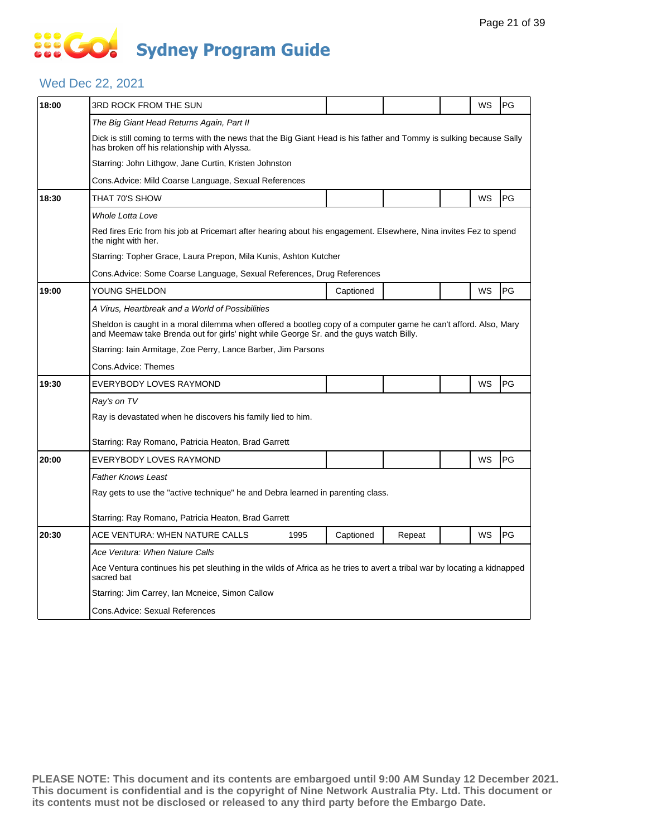### Wed Dec 22, 2021

| 18:00 | 3RD ROCK FROM THE SUN                                                                                                                                                                                     |      |           |        |  | WS | PG |  |  |  |
|-------|-----------------------------------------------------------------------------------------------------------------------------------------------------------------------------------------------------------|------|-----------|--------|--|----|----|--|--|--|
|       | The Big Giant Head Returns Again, Part II                                                                                                                                                                 |      |           |        |  |    |    |  |  |  |
|       | Dick is still coming to terms with the news that the Big Giant Head is his father and Tommy is sulking because Sally<br>has broken off his relationship with Alyssa.                                      |      |           |        |  |    |    |  |  |  |
|       | Starring: John Lithgow, Jane Curtin, Kristen Johnston                                                                                                                                                     |      |           |        |  |    |    |  |  |  |
|       | Cons. Advice: Mild Coarse Language, Sexual References                                                                                                                                                     |      |           |        |  |    |    |  |  |  |
| 18:30 | THAT 70'S SHOW                                                                                                                                                                                            |      |           |        |  | WS | PG |  |  |  |
|       | Whole Lotta Love                                                                                                                                                                                          |      |           |        |  |    |    |  |  |  |
|       | Red fires Eric from his job at Pricemart after hearing about his engagement. Elsewhere, Nina invites Fez to spend<br>the night with her.                                                                  |      |           |        |  |    |    |  |  |  |
|       | Starring: Topher Grace, Laura Prepon, Mila Kunis, Ashton Kutcher                                                                                                                                          |      |           |        |  |    |    |  |  |  |
|       | Cons.Advice: Some Coarse Language, Sexual References, Drug References                                                                                                                                     |      |           |        |  |    |    |  |  |  |
| 19:00 | YOUNG SHELDON                                                                                                                                                                                             |      | Captioned |        |  | WS | PG |  |  |  |
|       | A Virus, Heartbreak and a World of Possibilities                                                                                                                                                          |      |           |        |  |    |    |  |  |  |
|       | Sheldon is caught in a moral dilemma when offered a bootleg copy of a computer game he can't afford. Also, Mary<br>and Meemaw take Brenda out for girls' night while George Sr. and the guys watch Billy. |      |           |        |  |    |    |  |  |  |
|       | Starring: Iain Armitage, Zoe Perry, Lance Barber, Jim Parsons                                                                                                                                             |      |           |        |  |    |    |  |  |  |
|       | Cons.Advice: Themes                                                                                                                                                                                       |      |           |        |  |    |    |  |  |  |
| 19:30 | EVERYBODY LOVES RAYMOND                                                                                                                                                                                   |      |           |        |  | WS | PG |  |  |  |
|       | Ray's on TV                                                                                                                                                                                               |      |           |        |  |    |    |  |  |  |
|       | Ray is devastated when he discovers his family lied to him.                                                                                                                                               |      |           |        |  |    |    |  |  |  |
|       | Starring: Ray Romano, Patricia Heaton, Brad Garrett                                                                                                                                                       |      |           |        |  |    |    |  |  |  |
| 20:00 | EVERYBODY LOVES RAYMOND                                                                                                                                                                                   |      |           |        |  | WS | PG |  |  |  |
|       | Father Knows Least                                                                                                                                                                                        |      |           |        |  |    |    |  |  |  |
|       | Ray gets to use the "active technique" he and Debra learned in parenting class.                                                                                                                           |      |           |        |  |    |    |  |  |  |
|       | Starring: Ray Romano, Patricia Heaton, Brad Garrett                                                                                                                                                       |      |           |        |  |    |    |  |  |  |
| 20:30 | ACE VENTURA: WHEN NATURE CALLS                                                                                                                                                                            | 1995 | Captioned | Repeat |  | WS | PG |  |  |  |
|       | Ace Ventura: When Nature Calls                                                                                                                                                                            |      |           |        |  |    |    |  |  |  |
|       | Ace Ventura continues his pet sleuthing in the wilds of Africa as he tries to avert a tribal war by locating a kidnapped                                                                                  |      |           |        |  |    |    |  |  |  |
|       | sacred bat                                                                                                                                                                                                |      |           |        |  |    |    |  |  |  |
|       | Starring: Jim Carrey, Ian Mcneice, Simon Callow                                                                                                                                                           |      |           |        |  |    |    |  |  |  |
|       | Cons. Advice: Sexual References                                                                                                                                                                           |      |           |        |  |    |    |  |  |  |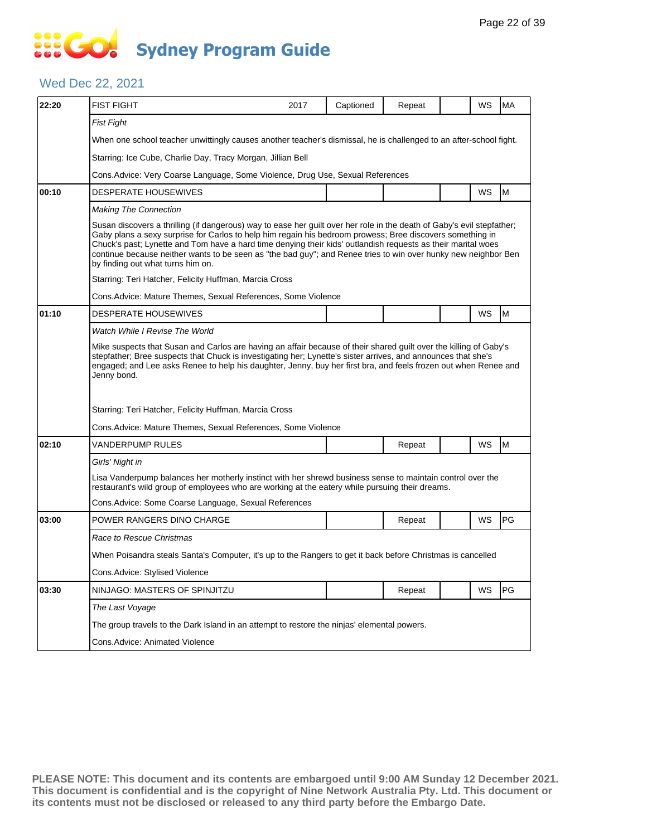### Wed Dec 22, 2021

| 22:20 | <b>FIST FIGHT</b>                                                                                                                                                                                                                                                                                                                                                                                                                                                                                          | 2017 | Captioned | Repeat |  | WS | <b>MA</b> |  |  |
|-------|------------------------------------------------------------------------------------------------------------------------------------------------------------------------------------------------------------------------------------------------------------------------------------------------------------------------------------------------------------------------------------------------------------------------------------------------------------------------------------------------------------|------|-----------|--------|--|----|-----------|--|--|
|       | <b>Fist Fight</b>                                                                                                                                                                                                                                                                                                                                                                                                                                                                                          |      |           |        |  |    |           |  |  |
|       | When one school teacher unwittingly causes another teacher's dismissal, he is challenged to an after-school fight.                                                                                                                                                                                                                                                                                                                                                                                         |      |           |        |  |    |           |  |  |
|       | Starring: Ice Cube, Charlie Day, Tracy Morgan, Jillian Bell                                                                                                                                                                                                                                                                                                                                                                                                                                                |      |           |        |  |    |           |  |  |
|       | Cons. Advice: Very Coarse Language, Some Violence, Drug Use, Sexual References                                                                                                                                                                                                                                                                                                                                                                                                                             |      |           |        |  |    |           |  |  |
| 00:10 | DESPERATE HOUSEWIVES                                                                                                                                                                                                                                                                                                                                                                                                                                                                                       |      |           |        |  | WS | M         |  |  |
|       | <b>Making The Connection</b>                                                                                                                                                                                                                                                                                                                                                                                                                                                                               |      |           |        |  |    |           |  |  |
|       | Susan discovers a thrilling (if dangerous) way to ease her guilt over her role in the death of Gaby's evil stepfather;<br>Gaby plans a sexy surprise for Carlos to help him regain his bedroom prowess; Bree discovers something in<br>Chuck's past; Lynette and Tom have a hard time denying their kids' outlandish requests as their marital woes<br>continue because neither wants to be seen as "the bad guy"; and Renee tries to win over hunky new neighbor Ben<br>by finding out what turns him on. |      |           |        |  |    |           |  |  |
|       | Starring: Teri Hatcher, Felicity Huffman, Marcia Cross                                                                                                                                                                                                                                                                                                                                                                                                                                                     |      |           |        |  |    |           |  |  |
|       | Cons. Advice: Mature Themes, Sexual References, Some Violence                                                                                                                                                                                                                                                                                                                                                                                                                                              |      |           |        |  |    |           |  |  |
| 01:10 | <b>DESPERATE HOUSEWIVES</b>                                                                                                                                                                                                                                                                                                                                                                                                                                                                                |      |           |        |  | WS | M         |  |  |
|       | Watch While I Revise The World                                                                                                                                                                                                                                                                                                                                                                                                                                                                             |      |           |        |  |    |           |  |  |
|       | Mike suspects that Susan and Carlos are having an affair because of their shared guilt over the killing of Gaby's<br>stepfather; Bree suspects that Chuck is investigating her; Lynette's sister arrives, and announces that she's<br>engaged; and Lee asks Renee to help his daughter, Jenny, buy her first bra, and feels frozen out when Renee and<br>Jenny bond.                                                                                                                                       |      |           |        |  |    |           |  |  |
|       | Starring: Teri Hatcher, Felicity Huffman, Marcia Cross                                                                                                                                                                                                                                                                                                                                                                                                                                                     |      |           |        |  |    |           |  |  |
|       | Cons. Advice: Mature Themes, Sexual References, Some Violence                                                                                                                                                                                                                                                                                                                                                                                                                                              |      |           |        |  |    |           |  |  |
| 02:10 | VANDERPUMP RULES                                                                                                                                                                                                                                                                                                                                                                                                                                                                                           |      |           | Repeat |  | WS | M         |  |  |
|       | Girls' Night in                                                                                                                                                                                                                                                                                                                                                                                                                                                                                            |      |           |        |  |    |           |  |  |
|       | Lisa Vanderpump balances her motherly instinct with her shrewd business sense to maintain control over the<br>restaurant's wild group of employees who are working at the eatery while pursuing their dreams.                                                                                                                                                                                                                                                                                              |      |           |        |  |    |           |  |  |
|       | Cons. Advice: Some Coarse Language, Sexual References                                                                                                                                                                                                                                                                                                                                                                                                                                                      |      |           |        |  |    |           |  |  |
| 03:00 | POWER RANGERS DINO CHARGE                                                                                                                                                                                                                                                                                                                                                                                                                                                                                  |      |           | Repeat |  | WS | PG        |  |  |
|       | Race to Rescue Christmas                                                                                                                                                                                                                                                                                                                                                                                                                                                                                   |      |           |        |  |    |           |  |  |
|       | When Poisandra steals Santa's Computer, it's up to the Rangers to get it back before Christmas is cancelled                                                                                                                                                                                                                                                                                                                                                                                                |      |           |        |  |    |           |  |  |
|       | Cons.Advice: Stylised Violence                                                                                                                                                                                                                                                                                                                                                                                                                                                                             |      |           |        |  |    |           |  |  |
| 03:30 | NINJAGO: MASTERS OF SPINJITZU                                                                                                                                                                                                                                                                                                                                                                                                                                                                              |      |           | Repeat |  | WS | PG        |  |  |
|       | The Last Voyage                                                                                                                                                                                                                                                                                                                                                                                                                                                                                            |      |           |        |  |    |           |  |  |
|       | The group travels to the Dark Island in an attempt to restore the ninjas' elemental powers.                                                                                                                                                                                                                                                                                                                                                                                                                |      |           |        |  |    |           |  |  |
|       | Cons.Advice: Animated Violence                                                                                                                                                                                                                                                                                                                                                                                                                                                                             |      |           |        |  |    |           |  |  |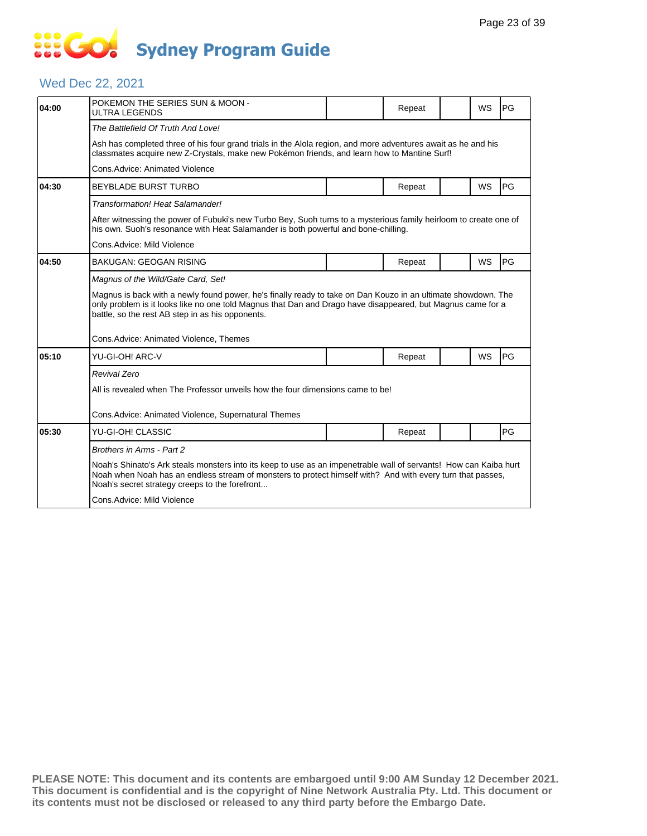## **... Go Sydney Program Guide**

### Wed Dec 22, 2021

| 04:00                      | POKEMON THE SERIES SUN & MOON -<br>ULTRA LEGENDS                                                                                                                                                                                                                                  |  | Repeat |  | WS        | PG        |  |  |  |
|----------------------------|-----------------------------------------------------------------------------------------------------------------------------------------------------------------------------------------------------------------------------------------------------------------------------------|--|--------|--|-----------|-----------|--|--|--|
|                            | The Battlefield Of Truth And Love!                                                                                                                                                                                                                                                |  |        |  |           |           |  |  |  |
|                            | Ash has completed three of his four grand trials in the Alola region, and more adventures await as he and his<br>classmates acquire new Z-Crystals, make new Pokémon friends, and learn how to Mantine Surf!                                                                      |  |        |  |           |           |  |  |  |
|                            | Cons.Advice: Animated Violence                                                                                                                                                                                                                                                    |  |        |  |           |           |  |  |  |
| 04:30                      | <b>BEYBLADE BURST TURBO</b>                                                                                                                                                                                                                                                       |  | Repeat |  | WS        | PG        |  |  |  |
|                            | Transformation! Heat Salamander!                                                                                                                                                                                                                                                  |  |        |  |           |           |  |  |  |
|                            | After witnessing the power of Fubuki's new Turbo Bey, Suoh turns to a mysterious family heirloom to create one of<br>his own. Suoh's resonance with Heat Salamander is both powerful and bone-chilling.                                                                           |  |        |  |           |           |  |  |  |
| Cons.Advice: Mild Violence |                                                                                                                                                                                                                                                                                   |  |        |  |           |           |  |  |  |
| 04:50                      | <b>BAKUGAN: GEOGAN RISING</b>                                                                                                                                                                                                                                                     |  | Repeat |  | <b>WS</b> | PG        |  |  |  |
|                            | Magnus of the Wild/Gate Card, Set!                                                                                                                                                                                                                                                |  |        |  |           |           |  |  |  |
|                            | Magnus is back with a newly found power, he's finally ready to take on Dan Kouzo in an ultimate showdown. The<br>only problem is it looks like no one told Magnus that Dan and Drago have disappeared, but Magnus came for a<br>battle, so the rest AB step in as his opponents.  |  |        |  |           |           |  |  |  |
|                            | Cons.Advice: Animated Violence, Themes                                                                                                                                                                                                                                            |  |        |  |           |           |  |  |  |
| 05:10                      | YU-GI-OH! ARC-V                                                                                                                                                                                                                                                                   |  | Repeat |  | <b>WS</b> | <b>PG</b> |  |  |  |
|                            | <b>Revival Zero</b>                                                                                                                                                                                                                                                               |  |        |  |           |           |  |  |  |
|                            | All is revealed when The Professor unveils how the four dimensions came to be!                                                                                                                                                                                                    |  |        |  |           |           |  |  |  |
|                            | Cons.Advice: Animated Violence, Supernatural Themes                                                                                                                                                                                                                               |  |        |  |           |           |  |  |  |
| 05:30                      | YU-GI-OH! CLASSIC                                                                                                                                                                                                                                                                 |  | Repeat |  |           | PG        |  |  |  |
|                            | Brothers in Arms - Part 2                                                                                                                                                                                                                                                         |  |        |  |           |           |  |  |  |
|                            | Noah's Shinato's Ark steals monsters into its keep to use as an impenetrable wall of servants! How can Kaiba hurt<br>Noah when Noah has an endless stream of monsters to protect himself with? And with every turn that passes,<br>Noah's secret strategy creeps to the forefront |  |        |  |           |           |  |  |  |
|                            | Cons.Advice: Mild Violence                                                                                                                                                                                                                                                        |  |        |  |           |           |  |  |  |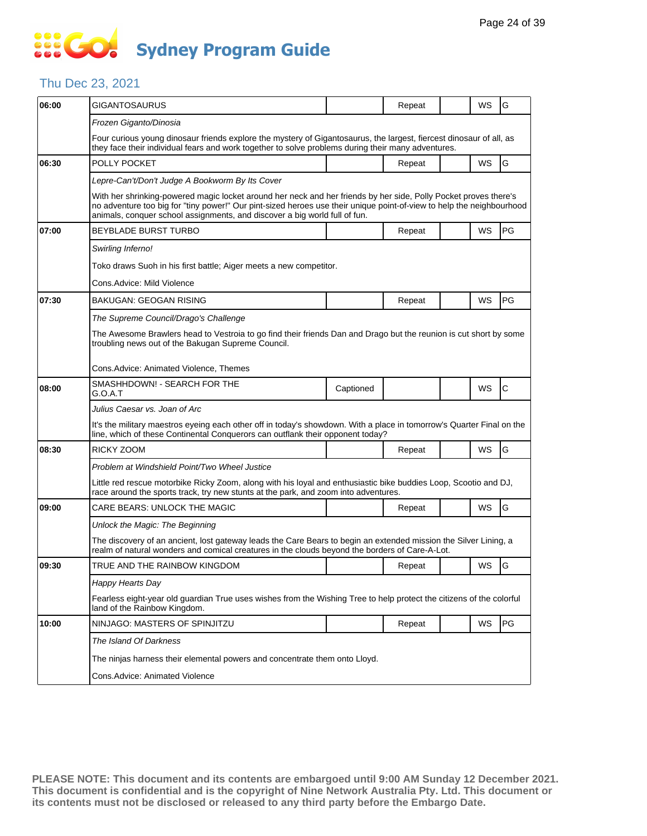### Thu Dec 23, 2021

| 06:00 | GIGANTOSAURUS                                                                                                                                                                                                                                                                                                           |                                                                                                                      | Repeat |  | WS        | G            |  |  |  |  |
|-------|-------------------------------------------------------------------------------------------------------------------------------------------------------------------------------------------------------------------------------------------------------------------------------------------------------------------------|----------------------------------------------------------------------------------------------------------------------|--------|--|-----------|--------------|--|--|--|--|
|       | Frozen Giganto/Dinosia                                                                                                                                                                                                                                                                                                  |                                                                                                                      |        |  |           |              |  |  |  |  |
|       | Four curious young dinosaur friends explore the mystery of Gigantosaurus, the largest, fiercest dinosaur of all, as<br>they face their individual fears and work together to solve problems during their many adventures.                                                                                               |                                                                                                                      |        |  |           |              |  |  |  |  |
| 06:30 | POLLY POCKET                                                                                                                                                                                                                                                                                                            |                                                                                                                      | Repeat |  | <b>WS</b> | G            |  |  |  |  |
|       | Lepre-Can't/Don't Judge A Bookworm By Its Cover                                                                                                                                                                                                                                                                         |                                                                                                                      |        |  |           |              |  |  |  |  |
|       | With her shrinking-powered magic locket around her neck and her friends by her side, Polly Pocket proves there's<br>no adventure too big for "tiny power!" Our pint-sized heroes use their unique point-of-view to help the neighbourhood<br>animals, conquer school assignments, and discover a big world full of fun. |                                                                                                                      |        |  |           |              |  |  |  |  |
| 07:00 | BEYBLADE BURST TURBO                                                                                                                                                                                                                                                                                                    |                                                                                                                      | Repeat |  | WS        | PG           |  |  |  |  |
|       | Swirling Inferno!                                                                                                                                                                                                                                                                                                       |                                                                                                                      |        |  |           |              |  |  |  |  |
|       | Toko draws Suoh in his first battle; Aiger meets a new competitor.                                                                                                                                                                                                                                                      |                                                                                                                      |        |  |           |              |  |  |  |  |
|       | Cons.Advice: Mild Violence                                                                                                                                                                                                                                                                                              |                                                                                                                      |        |  |           |              |  |  |  |  |
| 07:30 | BAKUGAN: GEOGAN RISING                                                                                                                                                                                                                                                                                                  |                                                                                                                      | Repeat |  | WS        | PG           |  |  |  |  |
|       | The Supreme Council/Drago's Challenge                                                                                                                                                                                                                                                                                   |                                                                                                                      |        |  |           |              |  |  |  |  |
|       | The Awesome Brawlers head to Vestroia to go find their friends Dan and Drago but the reunion is cut short by some<br>troubling news out of the Bakugan Supreme Council.                                                                                                                                                 |                                                                                                                      |        |  |           |              |  |  |  |  |
|       | Cons.Advice: Animated Violence, Themes                                                                                                                                                                                                                                                                                  |                                                                                                                      |        |  |           |              |  |  |  |  |
| 08:00 | SMASHHDOWN! - SEARCH FOR THE<br>G.O.A.T                                                                                                                                                                                                                                                                                 | Captioned                                                                                                            |        |  | WS        | $\mathsf{C}$ |  |  |  |  |
|       | Julius Caesar vs. Joan of Arc                                                                                                                                                                                                                                                                                           |                                                                                                                      |        |  |           |              |  |  |  |  |
|       | It's the military maestros eyeing each other off in today's showdown. With a place in tomorrow's Quarter Final on the<br>line, which of these Continental Conquerors can outflank their opponent today?                                                                                                                 |                                                                                                                      |        |  |           |              |  |  |  |  |
| 08:30 | RICKY ZOOM                                                                                                                                                                                                                                                                                                              |                                                                                                                      | Repeat |  | WS        | G            |  |  |  |  |
|       | Problem at Windshield Point/Two Wheel Justice                                                                                                                                                                                                                                                                           |                                                                                                                      |        |  |           |              |  |  |  |  |
|       | Little red rescue motorbike Ricky Zoom, along with his loyal and enthusiastic bike buddies Loop, Scootio and DJ,<br>race around the sports track, try new stunts at the park, and zoom into adventures.                                                                                                                 |                                                                                                                      |        |  |           |              |  |  |  |  |
| 09:00 | CARE BEARS: UNLOCK THE MAGIC                                                                                                                                                                                                                                                                                            |                                                                                                                      | Repeat |  | <b>WS</b> | G            |  |  |  |  |
|       | Unlock the Magic: The Beginning                                                                                                                                                                                                                                                                                         |                                                                                                                      |        |  |           |              |  |  |  |  |
|       | The discovery of an ancient, lost gateway leads the Care Bears to begin an extended mission the Silver Lining, a<br>realm of natural wonders and comical creatures in the clouds beyond the borders of Care-A-Lot.                                                                                                      |                                                                                                                      |        |  |           |              |  |  |  |  |
| 09:30 | TRUE AND THE RAINBOW KINGDOM                                                                                                                                                                                                                                                                                            |                                                                                                                      | Repeat |  | <b>WS</b> | lG           |  |  |  |  |
|       | Happy Hearts Day                                                                                                                                                                                                                                                                                                        |                                                                                                                      |        |  |           |              |  |  |  |  |
|       | land of the Rainbow Kingdom.                                                                                                                                                                                                                                                                                            | Fearless eight-year old guardian True uses wishes from the Wishing Tree to help protect the citizens of the colorful |        |  |           |              |  |  |  |  |
| 10:00 | NINJAGO: MASTERS OF SPINJITZU                                                                                                                                                                                                                                                                                           |                                                                                                                      | Repeat |  | WS        | PG           |  |  |  |  |
|       | The Island Of Darkness                                                                                                                                                                                                                                                                                                  |                                                                                                                      |        |  |           |              |  |  |  |  |
|       | The ninjas harness their elemental powers and concentrate them onto Lloyd.                                                                                                                                                                                                                                              |                                                                                                                      |        |  |           |              |  |  |  |  |
|       | Cons.Advice: Animated Violence                                                                                                                                                                                                                                                                                          |                                                                                                                      |        |  |           |              |  |  |  |  |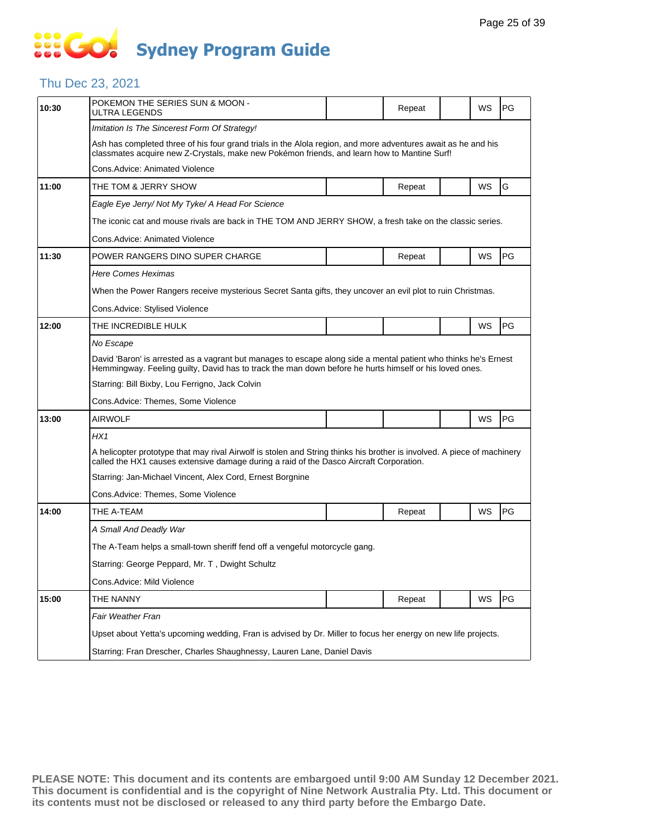### Thu Dec 23, 2021

| 10:30 | POKEMON THE SERIES SUN & MOON -<br>ULTRA LEGENDS                                                                                                                                                                          |  | Repeat |  | WS | PG |  |  |  |
|-------|---------------------------------------------------------------------------------------------------------------------------------------------------------------------------------------------------------------------------|--|--------|--|----|----|--|--|--|
|       | Imitation Is The Sincerest Form Of Strategy!                                                                                                                                                                              |  |        |  |    |    |  |  |  |
|       | Ash has completed three of his four grand trials in the Alola region, and more adventures await as he and his<br>classmates acquire new Z-Crystals, make new Pokémon friends, and learn how to Mantine Surf!              |  |        |  |    |    |  |  |  |
|       | Cons.Advice: Animated Violence                                                                                                                                                                                            |  |        |  |    |    |  |  |  |
| 11:00 | THE TOM & JERRY SHOW                                                                                                                                                                                                      |  | Repeat |  | WS | G  |  |  |  |
|       | Eagle Eye Jerry/ Not My Tyke/ A Head For Science                                                                                                                                                                          |  |        |  |    |    |  |  |  |
|       | The iconic cat and mouse rivals are back in THE TOM AND JERRY SHOW, a fresh take on the classic series.                                                                                                                   |  |        |  |    |    |  |  |  |
|       | Cons.Advice: Animated Violence                                                                                                                                                                                            |  |        |  |    |    |  |  |  |
| 11:30 | POWER RANGERS DINO SUPER CHARGE                                                                                                                                                                                           |  | Repeat |  | WS | PG |  |  |  |
|       | <b>Here Comes Heximas</b>                                                                                                                                                                                                 |  |        |  |    |    |  |  |  |
|       | When the Power Rangers receive mysterious Secret Santa gifts, they uncover an evil plot to ruin Christmas.                                                                                                                |  |        |  |    |    |  |  |  |
|       | Cons.Advice: Stylised Violence                                                                                                                                                                                            |  |        |  |    |    |  |  |  |
| 12:00 | THE INCREDIBLE HULK                                                                                                                                                                                                       |  |        |  | WS | PG |  |  |  |
|       | No Escape                                                                                                                                                                                                                 |  |        |  |    |    |  |  |  |
|       | David 'Baron' is arrested as a vagrant but manages to escape along side a mental patient who thinks he's Ernest<br>Hemmingway. Feeling guilty, David has to track the man down before he hurts himself or his loved ones. |  |        |  |    |    |  |  |  |
|       | Starring: Bill Bixby, Lou Ferrigno, Jack Colvin                                                                                                                                                                           |  |        |  |    |    |  |  |  |
|       | Cons.Advice: Themes, Some Violence                                                                                                                                                                                        |  |        |  |    |    |  |  |  |
| 13:00 | <b>AIRWOLF</b>                                                                                                                                                                                                            |  |        |  | WS | PG |  |  |  |
|       | HX1                                                                                                                                                                                                                       |  |        |  |    |    |  |  |  |
|       | A helicopter prototype that may rival Airwolf is stolen and String thinks his brother is involved. A piece of machinery<br>called the HX1 causes extensive damage during a raid of the Dasco Aircraft Corporation.        |  |        |  |    |    |  |  |  |
|       | Starring: Jan-Michael Vincent, Alex Cord, Ernest Borgnine                                                                                                                                                                 |  |        |  |    |    |  |  |  |
|       | Cons.Advice: Themes, Some Violence                                                                                                                                                                                        |  |        |  |    |    |  |  |  |
| 14:00 | THE A-TEAM                                                                                                                                                                                                                |  | Repeat |  | WS | PG |  |  |  |
|       | A Small And Deadly War                                                                                                                                                                                                    |  |        |  |    |    |  |  |  |
|       | The A-Team helps a small-town sheriff fend off a vengeful motorcycle gang.                                                                                                                                                |  |        |  |    |    |  |  |  |
|       | Starring: George Peppard, Mr. T, Dwight Schultz                                                                                                                                                                           |  |        |  |    |    |  |  |  |
|       | Cons.Advice: Mild Violence                                                                                                                                                                                                |  |        |  |    |    |  |  |  |
| 15:00 | THE NANNY                                                                                                                                                                                                                 |  | Repeat |  | WS | PG |  |  |  |
|       | Fair Weather Fran                                                                                                                                                                                                         |  |        |  |    |    |  |  |  |
|       | Upset about Yetta's upcoming wedding, Fran is advised by Dr. Miller to focus her energy on new life projects.                                                                                                             |  |        |  |    |    |  |  |  |
|       | Starring: Fran Drescher, Charles Shaughnessy, Lauren Lane, Daniel Davis                                                                                                                                                   |  |        |  |    |    |  |  |  |
|       |                                                                                                                                                                                                                           |  |        |  |    |    |  |  |  |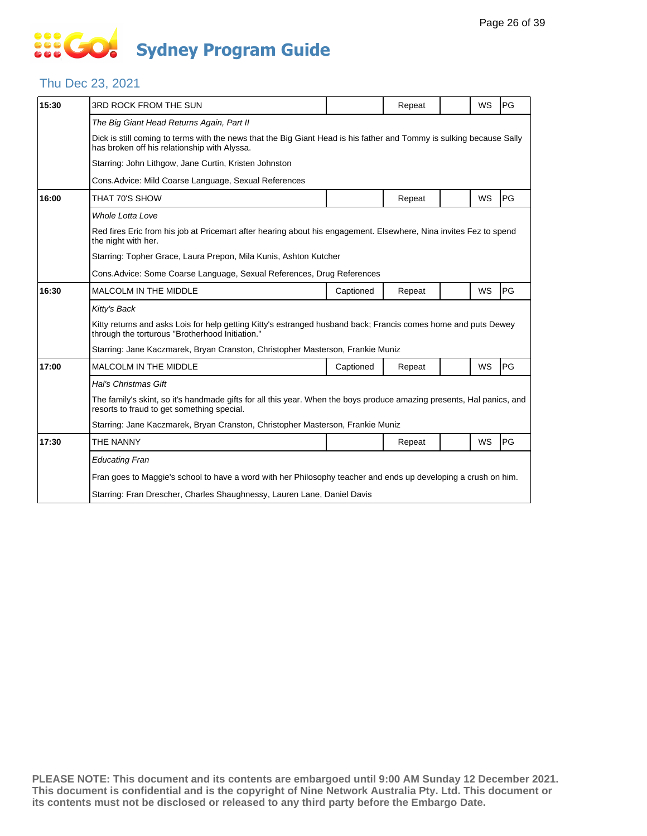# **... Go Sydney Program Guide**

### Thu Dec 23, 2021

| 15:30 | 3RD ROCK FROM THE SUN                                                                                                                                                |           | Repeat |  | <b>WS</b> | PG |  |  |  |
|-------|----------------------------------------------------------------------------------------------------------------------------------------------------------------------|-----------|--------|--|-----------|----|--|--|--|
|       | The Big Giant Head Returns Again, Part II                                                                                                                            |           |        |  |           |    |  |  |  |
|       | Dick is still coming to terms with the news that the Big Giant Head is his father and Tommy is sulking because Sally<br>has broken off his relationship with Alyssa. |           |        |  |           |    |  |  |  |
|       | Starring: John Lithgow, Jane Curtin, Kristen Johnston                                                                                                                |           |        |  |           |    |  |  |  |
|       | Cons.Advice: Mild Coarse Language, Sexual References                                                                                                                 |           |        |  |           |    |  |  |  |
| 16:00 | THAT 70'S SHOW                                                                                                                                                       |           | Repeat |  | WS        | PG |  |  |  |
|       | Whole Lotta Love                                                                                                                                                     |           |        |  |           |    |  |  |  |
|       | Red fires Eric from his job at Pricemart after hearing about his engagement. Elsewhere, Nina invites Fez to spend<br>the night with her.                             |           |        |  |           |    |  |  |  |
|       | Starring: Topher Grace, Laura Prepon, Mila Kunis, Ashton Kutcher                                                                                                     |           |        |  |           |    |  |  |  |
|       | Cons. Advice: Some Coarse Language, Sexual References, Drug References                                                                                               |           |        |  |           |    |  |  |  |
| 16:30 | <b>MALCOLM IN THE MIDDLE</b>                                                                                                                                         | Captioned | Repeat |  | WS        | PG |  |  |  |
|       | Kitty's Back                                                                                                                                                         |           |        |  |           |    |  |  |  |
|       | Kitty returns and asks Lois for help getting Kitty's estranged husband back; Francis comes home and puts Dewey<br>through the torturous "Brotherhood Initiation."    |           |        |  |           |    |  |  |  |
|       | Starring: Jane Kaczmarek, Bryan Cranston, Christopher Masterson, Frankie Muniz                                                                                       |           |        |  |           |    |  |  |  |
| 17:00 | <b>MALCOLM IN THE MIDDLE</b>                                                                                                                                         | Captioned | Repeat |  | WS        | PG |  |  |  |
|       | Hal's Christmas Gift                                                                                                                                                 |           |        |  |           |    |  |  |  |
|       | The family's skint, so it's handmade gifts for all this year. When the boys produce amazing presents, Hal panics, and<br>resorts to fraud to get something special.  |           |        |  |           |    |  |  |  |
|       | Starring: Jane Kaczmarek, Bryan Cranston, Christopher Masterson, Frankie Muniz                                                                                       |           |        |  |           |    |  |  |  |
| 17:30 | THE NANNY                                                                                                                                                            |           | Repeat |  | WS        | PG |  |  |  |
|       | <b>Educating Fran</b>                                                                                                                                                |           |        |  |           |    |  |  |  |
|       | Fran goes to Maggie's school to have a word with her Philosophy teacher and ends up developing a crush on him.                                                       |           |        |  |           |    |  |  |  |
|       | Starring: Fran Drescher, Charles Shaughnessy, Lauren Lane, Daniel Davis                                                                                              |           |        |  |           |    |  |  |  |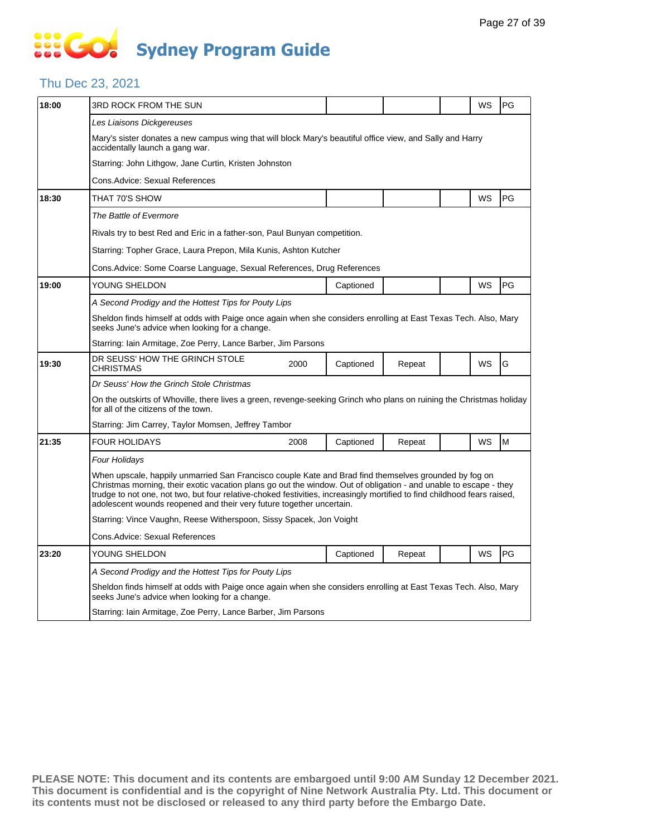### Thu Dec 23, 2021

| 18:00 | 3RD ROCK FROM THE SUN                                                                                                                                                                                                                                                                                                                                                                                                          |      |           |        |  | WS | PG |  |  |
|-------|--------------------------------------------------------------------------------------------------------------------------------------------------------------------------------------------------------------------------------------------------------------------------------------------------------------------------------------------------------------------------------------------------------------------------------|------|-----------|--------|--|----|----|--|--|
|       | Les Liaisons Dickgereuses                                                                                                                                                                                                                                                                                                                                                                                                      |      |           |        |  |    |    |  |  |
|       | Mary's sister donates a new campus wing that will block Mary's beautiful office view, and Sally and Harry<br>accidentally launch a gang war.                                                                                                                                                                                                                                                                                   |      |           |        |  |    |    |  |  |
|       | Starring: John Lithgow, Jane Curtin, Kristen Johnston                                                                                                                                                                                                                                                                                                                                                                          |      |           |        |  |    |    |  |  |
|       | Cons.Advice: Sexual References                                                                                                                                                                                                                                                                                                                                                                                                 |      |           |        |  |    |    |  |  |
| 18:30 | THAT 70'S SHOW                                                                                                                                                                                                                                                                                                                                                                                                                 |      |           |        |  | WS | PG |  |  |
|       | The Battle of Evermore                                                                                                                                                                                                                                                                                                                                                                                                         |      |           |        |  |    |    |  |  |
|       | Rivals try to best Red and Eric in a father-son, Paul Bunyan competition.                                                                                                                                                                                                                                                                                                                                                      |      |           |        |  |    |    |  |  |
|       | Starring: Topher Grace, Laura Prepon, Mila Kunis, Ashton Kutcher                                                                                                                                                                                                                                                                                                                                                               |      |           |        |  |    |    |  |  |
|       | Cons. Advice: Some Coarse Language, Sexual References, Drug References                                                                                                                                                                                                                                                                                                                                                         |      |           |        |  |    |    |  |  |
| 19:00 | YOUNG SHELDON                                                                                                                                                                                                                                                                                                                                                                                                                  |      | Captioned |        |  | WS | PG |  |  |
|       | A Second Prodigy and the Hottest Tips for Pouty Lips                                                                                                                                                                                                                                                                                                                                                                           |      |           |        |  |    |    |  |  |
|       | Sheldon finds himself at odds with Paige once again when she considers enrolling at East Texas Tech. Also, Mary<br>seeks June's advice when looking for a change.                                                                                                                                                                                                                                                              |      |           |        |  |    |    |  |  |
|       | Starring: Iain Armitage, Zoe Perry, Lance Barber, Jim Parsons                                                                                                                                                                                                                                                                                                                                                                  |      |           |        |  |    |    |  |  |
| 19:30 | DR SEUSS' HOW THE GRINCH STOLE<br>CHRISTMAS                                                                                                                                                                                                                                                                                                                                                                                    | 2000 | Captioned | Repeat |  | WS | G  |  |  |
|       | Dr Seuss' How the Grinch Stole Christmas                                                                                                                                                                                                                                                                                                                                                                                       |      |           |        |  |    |    |  |  |
|       | On the outskirts of Whoville, there lives a green, revenge-seeking Grinch who plans on ruining the Christmas holiday<br>for all of the citizens of the town.                                                                                                                                                                                                                                                                   |      |           |        |  |    |    |  |  |
|       | Starring: Jim Carrey, Taylor Momsen, Jeffrey Tambor                                                                                                                                                                                                                                                                                                                                                                            |      |           |        |  |    |    |  |  |
| 21:35 | <b>FOUR HOLIDAYS</b>                                                                                                                                                                                                                                                                                                                                                                                                           | 2008 | Captioned | Repeat |  | WS | M  |  |  |
|       | Four Holidays                                                                                                                                                                                                                                                                                                                                                                                                                  |      |           |        |  |    |    |  |  |
|       | When upscale, happily unmarried San Francisco couple Kate and Brad find themselves grounded by fog on<br>Christmas morning, their exotic vacation plans go out the window. Out of obligation - and unable to escape - they<br>trudge to not one, not two, but four relative-choked festivities, increasingly mortified to find childhood fears raised,<br>adolescent wounds reopened and their very future together uncertain. |      |           |        |  |    |    |  |  |
|       | Starring: Vince Vaughn, Reese Witherspoon, Sissy Spacek, Jon Voight                                                                                                                                                                                                                                                                                                                                                            |      |           |        |  |    |    |  |  |
|       | Cons.Advice: Sexual References                                                                                                                                                                                                                                                                                                                                                                                                 |      |           |        |  |    |    |  |  |
| 23:20 | YOUNG SHELDON                                                                                                                                                                                                                                                                                                                                                                                                                  |      | Captioned | Repeat |  | WS | PG |  |  |
|       | A Second Prodigy and the Hottest Tips for Pouty Lips                                                                                                                                                                                                                                                                                                                                                                           |      |           |        |  |    |    |  |  |
|       | Sheldon finds himself at odds with Paige once again when she considers enrolling at East Texas Tech. Also, Mary<br>seeks June's advice when looking for a change.                                                                                                                                                                                                                                                              |      |           |        |  |    |    |  |  |
|       | Starring: Iain Armitage, Zoe Perry, Lance Barber, Jim Parsons                                                                                                                                                                                                                                                                                                                                                                  |      |           |        |  |    |    |  |  |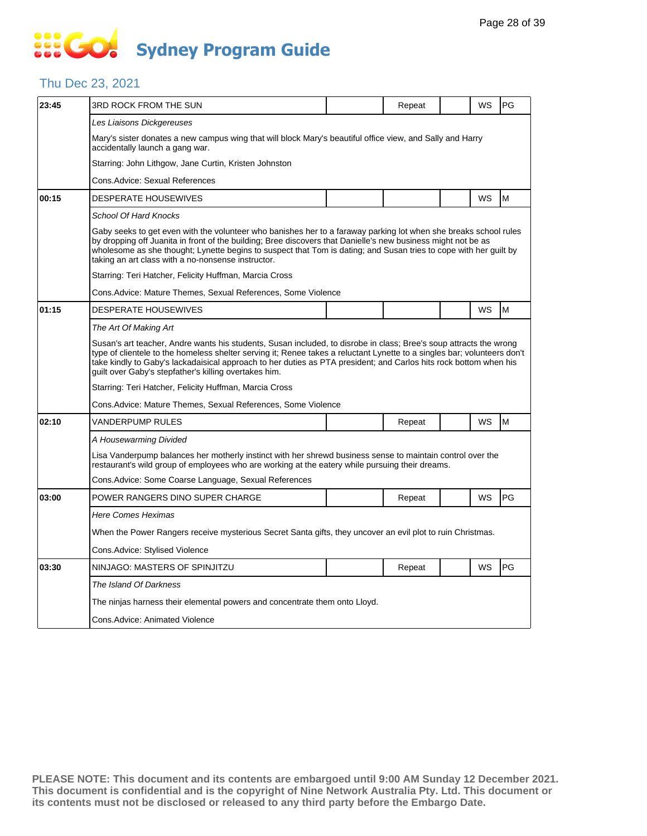### Thu Dec 23, 2021

| 23:45 | 3RD ROCK FROM THE SUN                                                                                                                                                                                                                                                                                                                                                                                                        |  | Repeat |  | WS | PG |  |  |  |
|-------|------------------------------------------------------------------------------------------------------------------------------------------------------------------------------------------------------------------------------------------------------------------------------------------------------------------------------------------------------------------------------------------------------------------------------|--|--------|--|----|----|--|--|--|
|       | Les Liaisons Dickgereuses                                                                                                                                                                                                                                                                                                                                                                                                    |  |        |  |    |    |  |  |  |
|       | Mary's sister donates a new campus wing that will block Mary's beautiful office view, and Sally and Harry<br>accidentally launch a gang war.                                                                                                                                                                                                                                                                                 |  |        |  |    |    |  |  |  |
|       | Starring: John Lithgow, Jane Curtin, Kristen Johnston                                                                                                                                                                                                                                                                                                                                                                        |  |        |  |    |    |  |  |  |
|       | Cons. Advice: Sexual References                                                                                                                                                                                                                                                                                                                                                                                              |  |        |  |    |    |  |  |  |
| 00:15 | <b>DESPERATE HOUSEWIVES</b>                                                                                                                                                                                                                                                                                                                                                                                                  |  |        |  | WS | M  |  |  |  |
|       | School Of Hard Knocks                                                                                                                                                                                                                                                                                                                                                                                                        |  |        |  |    |    |  |  |  |
|       | Gaby seeks to get even with the volunteer who banishes her to a faraway parking lot when she breaks school rules<br>by dropping off Juanita in front of the building; Bree discovers that Danielle's new business might not be as<br>wholesome as she thought; Lynette begins to suspect that Tom is dating; and Susan tries to cope with her guilt by<br>taking an art class with a no-nonsense instructor.                 |  |        |  |    |    |  |  |  |
|       | Starring: Teri Hatcher, Felicity Huffman, Marcia Cross                                                                                                                                                                                                                                                                                                                                                                       |  |        |  |    |    |  |  |  |
|       | Cons. Advice: Mature Themes, Sexual References, Some Violence                                                                                                                                                                                                                                                                                                                                                                |  |        |  |    |    |  |  |  |
| 01:15 | <b>DESPERATE HOUSEWIVES</b>                                                                                                                                                                                                                                                                                                                                                                                                  |  |        |  | WS | M  |  |  |  |
|       | The Art Of Making Art                                                                                                                                                                                                                                                                                                                                                                                                        |  |        |  |    |    |  |  |  |
|       | Susan's art teacher, Andre wants his students, Susan included, to disrobe in class; Bree's soup attracts the wrong<br>type of clientele to the homeless shelter serving it; Renee takes a reluctant Lynette to a singles bar; volunteers don't<br>take kindly to Gaby's lackadaisical approach to her duties as PTA president; and Carlos hits rock bottom when his<br>guilt over Gaby's stepfather's killing overtakes him. |  |        |  |    |    |  |  |  |
|       | Starring: Teri Hatcher, Felicity Huffman, Marcia Cross                                                                                                                                                                                                                                                                                                                                                                       |  |        |  |    |    |  |  |  |
|       | Cons. Advice: Mature Themes, Sexual References, Some Violence                                                                                                                                                                                                                                                                                                                                                                |  |        |  |    |    |  |  |  |
| 02:10 | VANDERPUMP RULES                                                                                                                                                                                                                                                                                                                                                                                                             |  | Repeat |  | WS | M  |  |  |  |
|       | A Housewarming Divided                                                                                                                                                                                                                                                                                                                                                                                                       |  |        |  |    |    |  |  |  |
|       | Lisa Vanderpump balances her motherly instinct with her shrewd business sense to maintain control over the<br>restaurant's wild group of employees who are working at the eatery while pursuing their dreams.                                                                                                                                                                                                                |  |        |  |    |    |  |  |  |
|       | Cons. Advice: Some Coarse Language, Sexual References                                                                                                                                                                                                                                                                                                                                                                        |  |        |  |    |    |  |  |  |
| 03:00 | POWER RANGERS DINO SUPER CHARGE                                                                                                                                                                                                                                                                                                                                                                                              |  | Repeat |  | WS | PG |  |  |  |
|       | Here Comes Heximas                                                                                                                                                                                                                                                                                                                                                                                                           |  |        |  |    |    |  |  |  |
|       | When the Power Rangers receive mysterious Secret Santa gifts, they uncover an evil plot to ruin Christmas.                                                                                                                                                                                                                                                                                                                   |  |        |  |    |    |  |  |  |
|       | Cons.Advice: Stylised Violence                                                                                                                                                                                                                                                                                                                                                                                               |  |        |  |    |    |  |  |  |
| 03:30 | NINJAGO: MASTERS OF SPINJITZU                                                                                                                                                                                                                                                                                                                                                                                                |  | Repeat |  | WS | PG |  |  |  |
|       | The Island Of Darkness                                                                                                                                                                                                                                                                                                                                                                                                       |  |        |  |    |    |  |  |  |
|       | The ninjas harness their elemental powers and concentrate them onto Lloyd.                                                                                                                                                                                                                                                                                                                                                   |  |        |  |    |    |  |  |  |
|       | Cons.Advice: Animated Violence                                                                                                                                                                                                                                                                                                                                                                                               |  |        |  |    |    |  |  |  |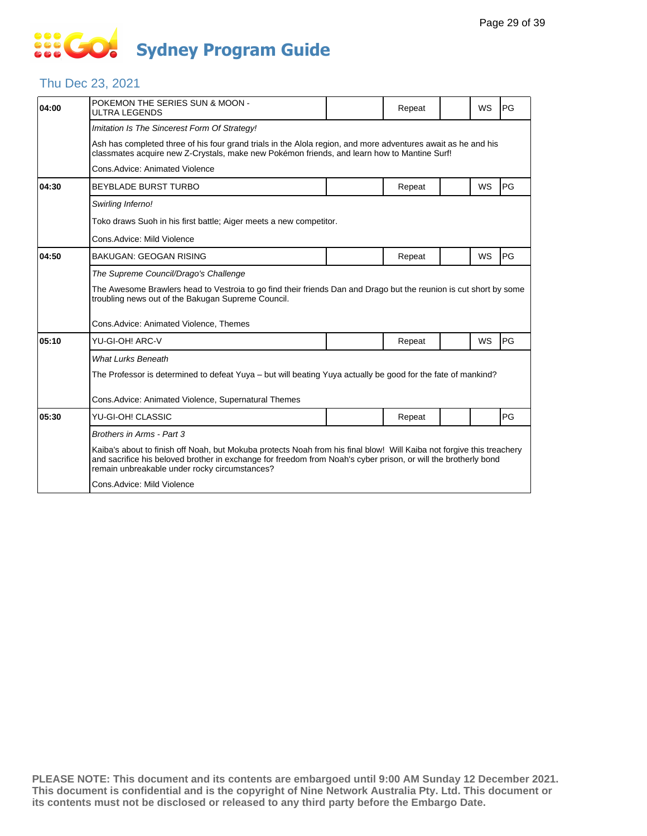# **... Go Sydney Program Guide**

### Thu Dec 23, 2021

| 04:00 | POKEMON THE SERIES SUN & MOON -<br><b>ULTRA LEGENDS</b>                                                                                                                                                                                                                                  |  | Repeat |  | <b>WS</b> | PG        |  |  |
|-------|------------------------------------------------------------------------------------------------------------------------------------------------------------------------------------------------------------------------------------------------------------------------------------------|--|--------|--|-----------|-----------|--|--|
|       | Imitation Is The Sincerest Form Of Strategy!                                                                                                                                                                                                                                             |  |        |  |           |           |  |  |
|       | Ash has completed three of his four grand trials in the Alola region, and more adventures await as he and his<br>classmates acquire new Z-Crystals, make new Pokémon friends, and learn how to Mantine Surf!                                                                             |  |        |  |           |           |  |  |
|       | Cons. Advice: Animated Violence                                                                                                                                                                                                                                                          |  |        |  |           |           |  |  |
| 04:30 | <b>BEYBLADE BURST TURBO</b>                                                                                                                                                                                                                                                              |  | Repeat |  | WS        | <b>PG</b> |  |  |
|       | Swirling Inferno!                                                                                                                                                                                                                                                                        |  |        |  |           |           |  |  |
|       | Toko draws Suoh in his first battle; Aiger meets a new competitor.                                                                                                                                                                                                                       |  |        |  |           |           |  |  |
|       | Cons.Advice: Mild Violence                                                                                                                                                                                                                                                               |  |        |  |           |           |  |  |
| 04:50 | <b>BAKUGAN: GEOGAN RISING</b>                                                                                                                                                                                                                                                            |  | Repeat |  | <b>WS</b> | PG        |  |  |
|       | The Supreme Council/Drago's Challenge                                                                                                                                                                                                                                                    |  |        |  |           |           |  |  |
|       | The Awesome Brawlers head to Vestroia to go find their friends Dan and Drago but the reunion is cut short by some<br>troubling news out of the Bakugan Supreme Council.                                                                                                                  |  |        |  |           |           |  |  |
|       | Cons.Advice: Animated Violence, Themes                                                                                                                                                                                                                                                   |  |        |  |           |           |  |  |
| 05:10 | YU-GI-OH! ARC-V                                                                                                                                                                                                                                                                          |  | Repeat |  | WS        | PG        |  |  |
|       | <b>What Lurks Beneath</b>                                                                                                                                                                                                                                                                |  |        |  |           |           |  |  |
|       | The Professor is determined to defeat Yuya – but will beating Yuya actually be good for the fate of mankind?                                                                                                                                                                             |  |        |  |           |           |  |  |
|       | Cons. Advice: Animated Violence, Supernatural Themes                                                                                                                                                                                                                                     |  |        |  |           |           |  |  |
|       |                                                                                                                                                                                                                                                                                          |  |        |  |           |           |  |  |
| 05:30 | YU-GI-OH! CLASSIC                                                                                                                                                                                                                                                                        |  | Repeat |  |           | PG        |  |  |
|       | Brothers in Arms - Part 3                                                                                                                                                                                                                                                                |  |        |  |           |           |  |  |
|       | Kaiba's about to finish off Noah, but Mokuba protects Noah from his final blow! Will Kaiba not forgive this treachery<br>and sacrifice his beloved brother in exchange for freedom from Noah's cyber prison, or will the brotherly bond<br>remain unbreakable under rocky circumstances? |  |        |  |           |           |  |  |
|       | Cons.Advice: Mild Violence                                                                                                                                                                                                                                                               |  |        |  |           |           |  |  |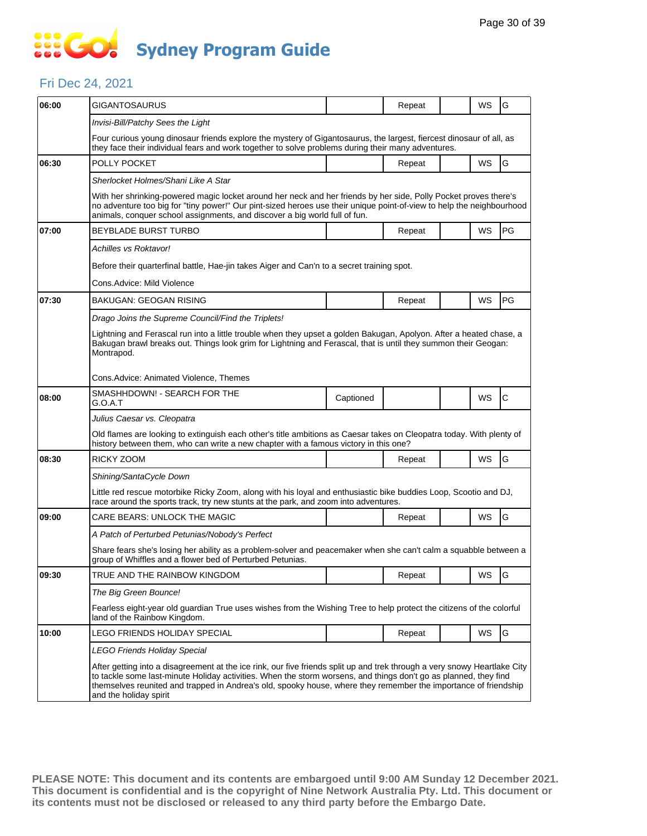## SSE GO **Sydney Program Guide**

#### Fri Dec 24, 2021

| 06:00 | GIGANTOSAURUS                                                                                                                                                                                                                                                                                                                                                                              |           | Repeat |  | WS        | G            |  |  |  |
|-------|--------------------------------------------------------------------------------------------------------------------------------------------------------------------------------------------------------------------------------------------------------------------------------------------------------------------------------------------------------------------------------------------|-----------|--------|--|-----------|--------------|--|--|--|
|       | Invisi-Bill/Patchy Sees the Light                                                                                                                                                                                                                                                                                                                                                          |           |        |  |           |              |  |  |  |
|       | Four curious young dinosaur friends explore the mystery of Gigantosaurus, the largest, fiercest dinosaur of all, as                                                                                                                                                                                                                                                                        |           |        |  |           |              |  |  |  |
|       | they face their individual fears and work together to solve problems during their many adventures.                                                                                                                                                                                                                                                                                         |           |        |  |           |              |  |  |  |
| 06:30 | POLLY POCKET                                                                                                                                                                                                                                                                                                                                                                               |           | Repeat |  | WS        | G            |  |  |  |
|       | Sherlocket Holmes/Shani Like A Star                                                                                                                                                                                                                                                                                                                                                        |           |        |  |           |              |  |  |  |
|       | With her shrinking-powered magic locket around her neck and her friends by her side, Polly Pocket proves there's<br>no adventure too big for "tiny power!" Our pint-sized heroes use their unique point-of-view to help the neighbourhood<br>animals, conquer school assignments, and discover a big world full of fun.                                                                    |           |        |  |           |              |  |  |  |
| 07:00 | <b>BEYBLADE BURST TURBO</b>                                                                                                                                                                                                                                                                                                                                                                |           | Repeat |  | WS        | PG           |  |  |  |
|       | Achilles vs Roktavor!                                                                                                                                                                                                                                                                                                                                                                      |           |        |  |           |              |  |  |  |
|       | Before their quarterfinal battle, Hae-jin takes Aiger and Can'n to a secret training spot.                                                                                                                                                                                                                                                                                                 |           |        |  |           |              |  |  |  |
|       | Cons.Advice: Mild Violence                                                                                                                                                                                                                                                                                                                                                                 |           |        |  |           |              |  |  |  |
| 07:30 | <b>BAKUGAN: GEOGAN RISING</b>                                                                                                                                                                                                                                                                                                                                                              |           | Repeat |  | WS        | PG           |  |  |  |
|       | Drago Joins the Supreme Council/Find the Triplets!                                                                                                                                                                                                                                                                                                                                         |           |        |  |           |              |  |  |  |
|       | Lightning and Ferascal run into a little trouble when they upset a golden Bakugan, Apolyon. After a heated chase, a<br>Bakugan brawl breaks out. Things look grim for Lightning and Ferascal, that is until they summon their Geogan:<br>Montrapod.                                                                                                                                        |           |        |  |           |              |  |  |  |
|       | Cons.Advice: Animated Violence, Themes                                                                                                                                                                                                                                                                                                                                                     |           |        |  |           |              |  |  |  |
| 08:00 | SMASHHDOWN! - SEARCH FOR THE<br>G.O.A.T                                                                                                                                                                                                                                                                                                                                                    | Captioned |        |  | WS        | $\mathsf{C}$ |  |  |  |
|       | Julius Caesar vs. Cleopatra                                                                                                                                                                                                                                                                                                                                                                |           |        |  |           |              |  |  |  |
|       | Old flames are looking to extinguish each other's title ambitions as Caesar takes on Cleopatra today. With plenty of<br>history between them, who can write a new chapter with a famous victory in this one?                                                                                                                                                                               |           |        |  |           |              |  |  |  |
| 08:30 | RICKY ZOOM                                                                                                                                                                                                                                                                                                                                                                                 |           | Repeat |  | <b>WS</b> | G            |  |  |  |
|       | Shining/SantaCycle Down                                                                                                                                                                                                                                                                                                                                                                    |           |        |  |           |              |  |  |  |
|       | Little red rescue motorbike Ricky Zoom, along with his loyal and enthusiastic bike buddies Loop, Scootio and DJ,<br>race around the sports track, try new stunts at the park, and zoom into adventures.                                                                                                                                                                                    |           |        |  |           |              |  |  |  |
| 09:00 | <b>CARE BEARS: UNLOCK THE MAGIC</b>                                                                                                                                                                                                                                                                                                                                                        |           | Repeat |  | WS        | G            |  |  |  |
|       | A Patch of Perturbed Petunias/Nobody's Perfect                                                                                                                                                                                                                                                                                                                                             |           |        |  |           |              |  |  |  |
|       | Share fears she's losing her ability as a problem-solver and peacemaker when she can't calm a squabble between a<br>group of Whiffles and a flower bed of Perturbed Petunias.                                                                                                                                                                                                              |           |        |  |           |              |  |  |  |
| 09:30 | TRUE AND THE RAINBOW KINGDOM                                                                                                                                                                                                                                                                                                                                                               |           | Repeat |  | WS        | G            |  |  |  |
|       | The Big Green Bounce!                                                                                                                                                                                                                                                                                                                                                                      |           |        |  |           |              |  |  |  |
|       | Fearless eight-year old guardian True uses wishes from the Wishing Tree to help protect the citizens of the colorful<br>land of the Rainbow Kingdom.                                                                                                                                                                                                                                       |           |        |  |           |              |  |  |  |
| 10:00 | LEGO FRIENDS HOLIDAY SPECIAL                                                                                                                                                                                                                                                                                                                                                               |           | Repeat |  | WS        | G            |  |  |  |
|       | LEGO Friends Holiday Special                                                                                                                                                                                                                                                                                                                                                               |           |        |  |           |              |  |  |  |
|       | After getting into a disagreement at the ice rink, our five friends split up and trek through a very snowy Heartlake City<br>to tackle some last-minute Holiday activities. When the storm worsens, and things don't go as planned, they find<br>themselves reunited and trapped in Andrea's old, spooky house, where they remember the importance of friendship<br>and the holiday spirit |           |        |  |           |              |  |  |  |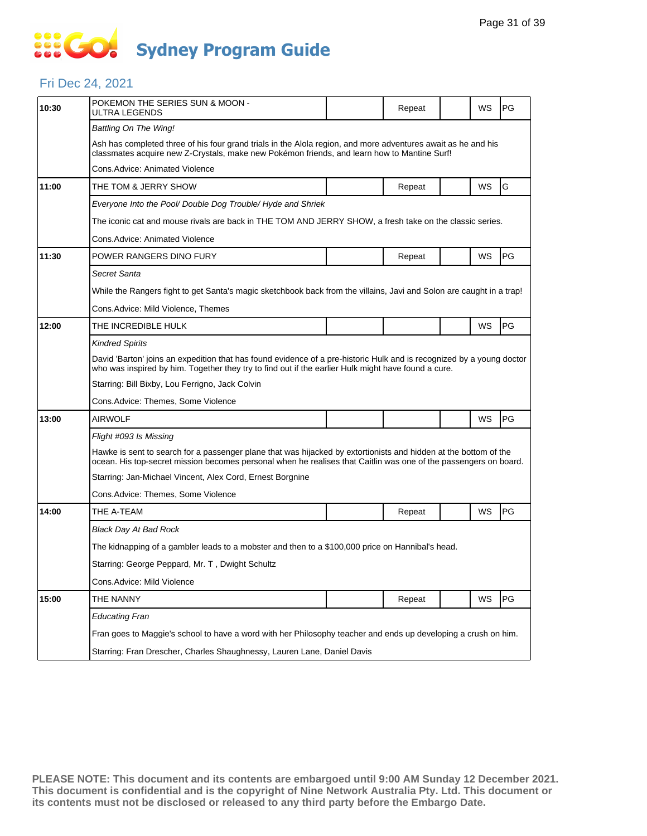# **SSIGC Sydney Program Guide**

#### Fri Dec 24, 2021

| 10:30 | POKEMON THE SERIES SUN & MOON -<br>ULTRA LEGENDS                                                                                                                                                                                     |  | Repeat |  | WS | PG |  |  |
|-------|--------------------------------------------------------------------------------------------------------------------------------------------------------------------------------------------------------------------------------------|--|--------|--|----|----|--|--|
|       | Battling On The Wing!                                                                                                                                                                                                                |  |        |  |    |    |  |  |
|       | Ash has completed three of his four grand trials in the Alola region, and more adventures await as he and his<br>classmates acquire new Z-Crystals, make new Pokémon friends, and learn how to Mantine Surf!                         |  |        |  |    |    |  |  |
|       | Cons.Advice: Animated Violence                                                                                                                                                                                                       |  |        |  |    |    |  |  |
| 11:00 | THE TOM & JERRY SHOW                                                                                                                                                                                                                 |  | Repeat |  | WS | G  |  |  |
|       | Everyone Into the Pool/ Double Dog Trouble/ Hyde and Shriek                                                                                                                                                                          |  |        |  |    |    |  |  |
|       | The iconic cat and mouse rivals are back in THE TOM AND JERRY SHOW, a fresh take on the classic series.                                                                                                                              |  |        |  |    |    |  |  |
|       | Cons.Advice: Animated Violence                                                                                                                                                                                                       |  |        |  |    |    |  |  |
| 11:30 | POWER RANGERS DINO FURY                                                                                                                                                                                                              |  | Repeat |  | WS | PG |  |  |
|       | Secret Santa                                                                                                                                                                                                                         |  |        |  |    |    |  |  |
|       | While the Rangers fight to get Santa's magic sketchbook back from the villains, Javi and Solon are caught in a trap!                                                                                                                 |  |        |  |    |    |  |  |
|       | Cons.Advice: Mild Violence, Themes                                                                                                                                                                                                   |  |        |  |    |    |  |  |
| 12:00 | THE INCREDIBLE HULK                                                                                                                                                                                                                  |  |        |  | WS | PG |  |  |
|       | <b>Kindred Spirits</b>                                                                                                                                                                                                               |  |        |  |    |    |  |  |
|       | David 'Barton' joins an expedition that has found evidence of a pre-historic Hulk and is recognized by a young doctor<br>who was inspired by him. Together they try to find out if the earlier Hulk might have found a cure.         |  |        |  |    |    |  |  |
|       | Starring: Bill Bixby, Lou Ferrigno, Jack Colvin                                                                                                                                                                                      |  |        |  |    |    |  |  |
|       | Cons.Advice: Themes, Some Violence                                                                                                                                                                                                   |  |        |  |    |    |  |  |
| 13:00 | <b>AIRWOLF</b>                                                                                                                                                                                                                       |  |        |  | WS | PG |  |  |
|       | Flight #093 Is Missing                                                                                                                                                                                                               |  |        |  |    |    |  |  |
|       | Hawke is sent to search for a passenger plane that was hijacked by extortionists and hidden at the bottom of the<br>ocean. His top-secret mission becomes personal when he realises that Caitlin was one of the passengers on board. |  |        |  |    |    |  |  |
|       | Starring: Jan-Michael Vincent, Alex Cord, Ernest Borgnine                                                                                                                                                                            |  |        |  |    |    |  |  |
|       | Cons.Advice: Themes, Some Violence                                                                                                                                                                                                   |  |        |  |    |    |  |  |
| 14:00 | THE A-TEAM                                                                                                                                                                                                                           |  | Repeat |  | WS | PG |  |  |
|       | <b>Black Day At Bad Rock</b>                                                                                                                                                                                                         |  |        |  |    |    |  |  |
|       | The kidnapping of a gambler leads to a mobster and then to a \$100,000 price on Hannibal's head.                                                                                                                                     |  |        |  |    |    |  |  |
|       | Starring: George Peppard, Mr. T, Dwight Schultz                                                                                                                                                                                      |  |        |  |    |    |  |  |
|       | Cons.Advice: Mild Violence                                                                                                                                                                                                           |  |        |  |    |    |  |  |
| 15:00 | THE NANNY                                                                                                                                                                                                                            |  | Repeat |  | WS | PG |  |  |
|       | <b>Educating Fran</b>                                                                                                                                                                                                                |  |        |  |    |    |  |  |
|       | Fran goes to Maggie's school to have a word with her Philosophy teacher and ends up developing a crush on him.                                                                                                                       |  |        |  |    |    |  |  |
|       | Starring: Fran Drescher, Charles Shaughnessy, Lauren Lane, Daniel Davis                                                                                                                                                              |  |        |  |    |    |  |  |
|       |                                                                                                                                                                                                                                      |  |        |  |    |    |  |  |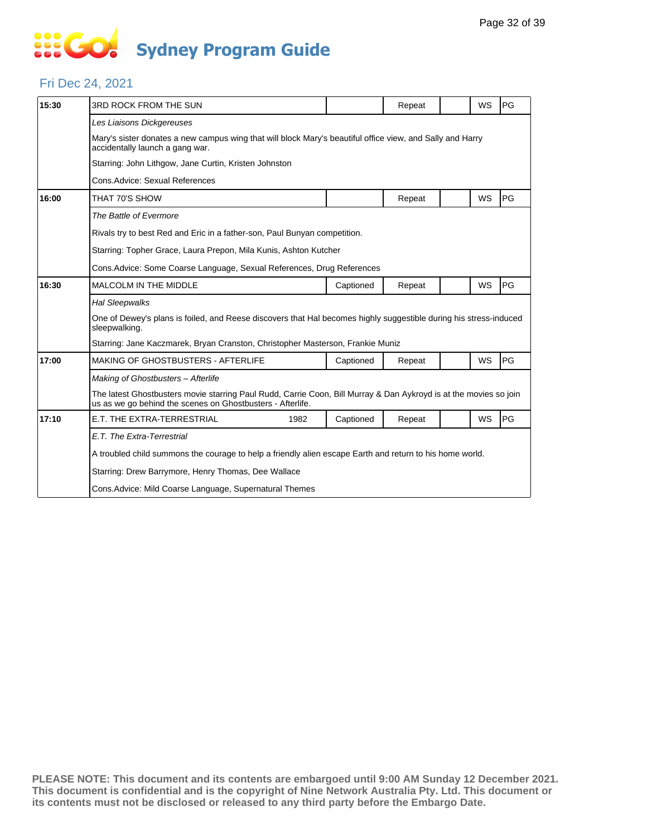# **... Go Sydney Program Guide**

### Fri Dec 24, 2021

| 15:30 | 3RD ROCK FROM THE SUN                                                                                                                                                           |           | Repeat |  | WS        | PG |  |  |
|-------|---------------------------------------------------------------------------------------------------------------------------------------------------------------------------------|-----------|--------|--|-----------|----|--|--|
|       | Les Liaisons Dickgereuses                                                                                                                                                       |           |        |  |           |    |  |  |
|       | Mary's sister donates a new campus wing that will block Mary's beautiful office view, and Sally and Harry<br>accidentally launch a gang war.                                    |           |        |  |           |    |  |  |
|       | Starring: John Lithgow, Jane Curtin, Kristen Johnston                                                                                                                           |           |        |  |           |    |  |  |
|       | Cons. Advice: Sexual References                                                                                                                                                 |           |        |  |           |    |  |  |
| 16:00 | THAT 70'S SHOW                                                                                                                                                                  |           | Repeat |  | WS        | PG |  |  |
|       | The Battle of Evermore                                                                                                                                                          |           |        |  |           |    |  |  |
|       | Rivals try to best Red and Eric in a father-son, Paul Bunyan competition.                                                                                                       |           |        |  |           |    |  |  |
|       | Starring: Topher Grace, Laura Prepon, Mila Kunis, Ashton Kutcher                                                                                                                |           |        |  |           |    |  |  |
|       |                                                                                                                                                                                 |           |        |  |           |    |  |  |
| 16:30 | MALCOLM IN THE MIDDLE                                                                                                                                                           | Captioned | Repeat |  | WS        | PG |  |  |
|       | <b>Hal Sleepwalks</b>                                                                                                                                                           |           |        |  |           |    |  |  |
|       | One of Dewey's plans is foiled, and Reese discovers that Hal becomes highly suggestible during his stress-induced<br>sleepwalking.                                              |           |        |  |           |    |  |  |
|       | Starring: Jane Kaczmarek, Bryan Cranston, Christopher Masterson, Frankie Muniz                                                                                                  |           |        |  |           |    |  |  |
| 17:00 | <b>MAKING OF GHOSTBUSTERS - AFTERLIFE</b>                                                                                                                                       | Captioned | Repeat |  | <b>WS</b> | PG |  |  |
|       | Making of Ghostbusters - Afterlife                                                                                                                                              |           |        |  |           |    |  |  |
|       | The latest Ghostbusters movie starring Paul Rudd, Carrie Coon, Bill Murray & Dan Aykroyd is at the movies so join<br>us as we go behind the scenes on Ghostbusters - Afterlife. |           |        |  |           |    |  |  |
| 17:10 | E.T. THE EXTRA-TERRESTRIAL<br>1982                                                                                                                                              | Captioned | Repeat |  | WS        | PG |  |  |
|       | E.T. The Extra-Terrestrial                                                                                                                                                      |           |        |  |           |    |  |  |
|       | A troubled child summons the courage to help a friendly alien escape Earth and return to his home world.                                                                        |           |        |  |           |    |  |  |
|       | Starring: Drew Barrymore, Henry Thomas, Dee Wallace                                                                                                                             |           |        |  |           |    |  |  |
|       | Cons. Advice: Mild Coarse Language, Supernatural Themes                                                                                                                         |           |        |  |           |    |  |  |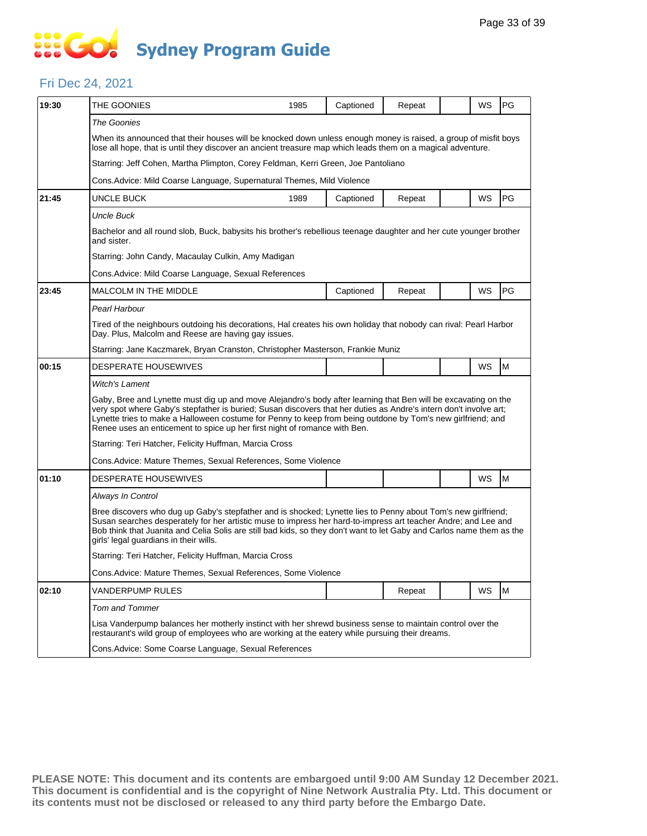#### Fri Dec 24, 2021

| 19:30 | THE GOONIES                                                                                                                                                                                                                                                                                                                                                                                                                     | 1985                                                                                                                                                                     | Captioned | Repeat |  | WS | PG |  |  |  |
|-------|---------------------------------------------------------------------------------------------------------------------------------------------------------------------------------------------------------------------------------------------------------------------------------------------------------------------------------------------------------------------------------------------------------------------------------|--------------------------------------------------------------------------------------------------------------------------------------------------------------------------|-----------|--------|--|----|----|--|--|--|
|       | The Goonies                                                                                                                                                                                                                                                                                                                                                                                                                     |                                                                                                                                                                          |           |        |  |    |    |  |  |  |
|       | When its announced that their houses will be knocked down unless enough money is raised, a group of misfit boys<br>lose all hope, that is until they discover an ancient treasure map which leads them on a magical adventure.                                                                                                                                                                                                  |                                                                                                                                                                          |           |        |  |    |    |  |  |  |
|       |                                                                                                                                                                                                                                                                                                                                                                                                                                 | Starring: Jeff Cohen, Martha Plimpton, Corey Feldman, Kerri Green, Joe Pantoliano                                                                                        |           |        |  |    |    |  |  |  |
|       | Cons. Advice: Mild Coarse Language, Supernatural Themes, Mild Violence                                                                                                                                                                                                                                                                                                                                                          |                                                                                                                                                                          |           |        |  |    |    |  |  |  |
| 21:45 | UNCLE BUCK                                                                                                                                                                                                                                                                                                                                                                                                                      | 1989                                                                                                                                                                     | Captioned | Repeat |  | WS | PG |  |  |  |
|       | <b>Uncle Buck</b>                                                                                                                                                                                                                                                                                                                                                                                                               |                                                                                                                                                                          |           |        |  |    |    |  |  |  |
|       | Bachelor and all round slob, Buck, babysits his brother's rebellious teenage daughter and her cute younger brother<br>and sister.                                                                                                                                                                                                                                                                                               |                                                                                                                                                                          |           |        |  |    |    |  |  |  |
|       | Starring: John Candy, Macaulay Culkin, Amy Madigan                                                                                                                                                                                                                                                                                                                                                                              |                                                                                                                                                                          |           |        |  |    |    |  |  |  |
|       | Cons.Advice: Mild Coarse Language, Sexual References                                                                                                                                                                                                                                                                                                                                                                            |                                                                                                                                                                          |           |        |  |    |    |  |  |  |
| 23:45 | MALCOLM IN THE MIDDLE                                                                                                                                                                                                                                                                                                                                                                                                           |                                                                                                                                                                          | Captioned | Repeat |  | WS | PG |  |  |  |
|       | Pearl Harbour                                                                                                                                                                                                                                                                                                                                                                                                                   |                                                                                                                                                                          |           |        |  |    |    |  |  |  |
|       |                                                                                                                                                                                                                                                                                                                                                                                                                                 | Tired of the neighbours outdoing his decorations, Hal creates his own holiday that nobody can rival: Pearl Harbor<br>Day. Plus, Malcolm and Reese are having gay issues. |           |        |  |    |    |  |  |  |
|       | Starring: Jane Kaczmarek, Bryan Cranston, Christopher Masterson, Frankie Muniz                                                                                                                                                                                                                                                                                                                                                  |                                                                                                                                                                          |           |        |  |    |    |  |  |  |
| 00:15 | <b>DESPERATE HOUSEWIVES</b>                                                                                                                                                                                                                                                                                                                                                                                                     |                                                                                                                                                                          |           |        |  | WS | M  |  |  |  |
|       | <b>Witch's Lament</b>                                                                                                                                                                                                                                                                                                                                                                                                           |                                                                                                                                                                          |           |        |  |    |    |  |  |  |
|       | Gaby, Bree and Lynette must dig up and move Alejandro's body after learning that Ben will be excavating on the<br>very spot where Gaby's stepfather is buried; Susan discovers that her duties as Andre's intern don't involve art;<br>Lynette tries to make a Halloween costume for Penny to keep from being outdone by Tom's new girlfriend; and<br>Renee uses an enticement to spice up her first night of romance with Ben. |                                                                                                                                                                          |           |        |  |    |    |  |  |  |
|       | Starring: Teri Hatcher, Felicity Huffman, Marcia Cross                                                                                                                                                                                                                                                                                                                                                                          |                                                                                                                                                                          |           |        |  |    |    |  |  |  |
|       | Cons. Advice: Mature Themes, Sexual References, Some Violence                                                                                                                                                                                                                                                                                                                                                                   |                                                                                                                                                                          |           |        |  |    |    |  |  |  |
| 01:10 | <b>DESPERATE HOUSEWIVES</b>                                                                                                                                                                                                                                                                                                                                                                                                     |                                                                                                                                                                          |           |        |  | WS | M  |  |  |  |
|       | Always In Control                                                                                                                                                                                                                                                                                                                                                                                                               |                                                                                                                                                                          |           |        |  |    |    |  |  |  |
|       | Bree discovers who dug up Gaby's stepfather and is shocked; Lynette lies to Penny about Tom's new girlfriend;<br>Susan searches desperately for her artistic muse to impress her hard-to-impress art teacher Andre; and Lee and<br>Bob think that Juanita and Celia Solis are still bad kids, so they don't want to let Gaby and Carlos name them as the<br>girls' legal guardians in their wills.                              |                                                                                                                                                                          |           |        |  |    |    |  |  |  |
|       |                                                                                                                                                                                                                                                                                                                                                                                                                                 | Starring: Teri Hatcher, Felicity Huffman, Marcia Cross                                                                                                                   |           |        |  |    |    |  |  |  |
|       |                                                                                                                                                                                                                                                                                                                                                                                                                                 | Cons. Advice: Mature Themes, Sexual References, Some Violence                                                                                                            |           |        |  |    |    |  |  |  |
| 02:10 | VANDERPUMP RULES                                                                                                                                                                                                                                                                                                                                                                                                                |                                                                                                                                                                          |           | Repeat |  | WS | M  |  |  |  |
|       | <b>Tom and Tommer</b>                                                                                                                                                                                                                                                                                                                                                                                                           |                                                                                                                                                                          |           |        |  |    |    |  |  |  |
|       | Lisa Vanderpump balances her motherly instinct with her shrewd business sense to maintain control over the<br>restaurant's wild group of employees who are working at the eatery while pursuing their dreams.                                                                                                                                                                                                                   |                                                                                                                                                                          |           |        |  |    |    |  |  |  |
|       | Cons.Advice: Some Coarse Language, Sexual References                                                                                                                                                                                                                                                                                                                                                                            |                                                                                                                                                                          |           |        |  |    |    |  |  |  |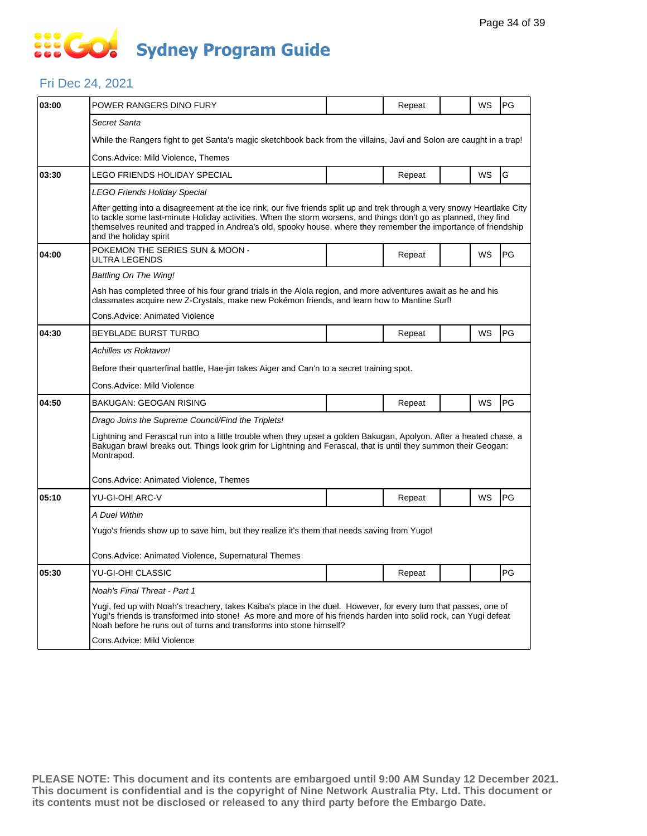#### Fri Dec 24, 2021

| 03:00 | POWER RANGERS DINO FURY                                                                                                                                                                                                                                                                                                                                                                    |  | Repeat |  | WS        | PG |  |  |  |
|-------|--------------------------------------------------------------------------------------------------------------------------------------------------------------------------------------------------------------------------------------------------------------------------------------------------------------------------------------------------------------------------------------------|--|--------|--|-----------|----|--|--|--|
|       |                                                                                                                                                                                                                                                                                                                                                                                            |  |        |  |           |    |  |  |  |
|       | Secret Santa                                                                                                                                                                                                                                                                                                                                                                               |  |        |  |           |    |  |  |  |
|       | While the Rangers fight to get Santa's magic sketchbook back from the villains, Javi and Solon are caught in a trap!                                                                                                                                                                                                                                                                       |  |        |  |           |    |  |  |  |
|       | Cons.Advice: Mild Violence, Themes                                                                                                                                                                                                                                                                                                                                                         |  |        |  |           |    |  |  |  |
| 03:30 | LEGO FRIENDS HOLIDAY SPECIAL                                                                                                                                                                                                                                                                                                                                                               |  | Repeat |  | WS        | G  |  |  |  |
|       | LEGO Friends Holiday Special                                                                                                                                                                                                                                                                                                                                                               |  |        |  |           |    |  |  |  |
|       | After getting into a disagreement at the ice rink, our five friends split up and trek through a very snowy Heartlake City<br>to tackle some last-minute Holiday activities. When the storm worsens, and things don't go as planned, they find<br>themselves reunited and trapped in Andrea's old, spooky house, where they remember the importance of friendship<br>and the holiday spirit |  |        |  |           |    |  |  |  |
| 04:00 | POKEMON THE SERIES SUN & MOON -<br>ULTRA LEGENDS                                                                                                                                                                                                                                                                                                                                           |  | Repeat |  | WS        | PG |  |  |  |
|       | Battling On The Wing!                                                                                                                                                                                                                                                                                                                                                                      |  |        |  |           |    |  |  |  |
|       | Ash has completed three of his four grand trials in the Alola region, and more adventures await as he and his<br>classmates acquire new Z-Crystals, make new Pokémon friends, and learn how to Mantine Surf!                                                                                                                                                                               |  |        |  |           |    |  |  |  |
|       | Cons.Advice: Animated Violence                                                                                                                                                                                                                                                                                                                                                             |  |        |  |           |    |  |  |  |
| 04:30 | <b>BEYBLADE BURST TURBO</b>                                                                                                                                                                                                                                                                                                                                                                |  | Repeat |  | <b>WS</b> | PG |  |  |  |
|       | Achilles vs Roktavor!                                                                                                                                                                                                                                                                                                                                                                      |  |        |  |           |    |  |  |  |
|       | Before their quarterfinal battle, Hae-jin takes Aiger and Can'n to a secret training spot.                                                                                                                                                                                                                                                                                                 |  |        |  |           |    |  |  |  |
|       | Cons.Advice: Mild Violence                                                                                                                                                                                                                                                                                                                                                                 |  |        |  |           |    |  |  |  |
| 04:50 | <b>BAKUGAN: GEOGAN RISING</b>                                                                                                                                                                                                                                                                                                                                                              |  | Repeat |  | WS        | PG |  |  |  |
|       | Drago Joins the Supreme Council/Find the Triplets!                                                                                                                                                                                                                                                                                                                                         |  |        |  |           |    |  |  |  |
|       | Lightning and Ferascal run into a little trouble when they upset a golden Bakugan, Apolyon. After a heated chase, a<br>Bakugan brawl breaks out. Things look grim for Lightning and Ferascal, that is until they summon their Geogan:<br>Montrapod.                                                                                                                                        |  |        |  |           |    |  |  |  |
|       | Cons.Advice: Animated Violence, Themes                                                                                                                                                                                                                                                                                                                                                     |  |        |  |           |    |  |  |  |
| 05:10 | YU-GI-OH! ARC-V                                                                                                                                                                                                                                                                                                                                                                            |  | Repeat |  | WS        | PG |  |  |  |
|       | A Duel Within                                                                                                                                                                                                                                                                                                                                                                              |  |        |  |           |    |  |  |  |
|       | Yugo's friends show up to save him, but they realize it's them that needs saving from Yugo!                                                                                                                                                                                                                                                                                                |  |        |  |           |    |  |  |  |
|       | Cons. Advice: Animated Violence, Supernatural Themes                                                                                                                                                                                                                                                                                                                                       |  |        |  |           |    |  |  |  |
| 05:30 | YU-GI-OH! CLASSIC                                                                                                                                                                                                                                                                                                                                                                          |  | Repeat |  |           | PG |  |  |  |
|       | Noah's Final Threat - Part 1                                                                                                                                                                                                                                                                                                                                                               |  |        |  |           |    |  |  |  |
|       | Yugi, fed up with Noah's treachery, takes Kaiba's place in the duel. However, for every turn that passes, one of<br>Yugi's friends is transformed into stone! As more and more of his friends harden into solid rock, can Yugi defeat<br>Noah before he runs out of turns and transforms into stone himself?                                                                               |  |        |  |           |    |  |  |  |
|       | Cons.Advice: Mild Violence                                                                                                                                                                                                                                                                                                                                                                 |  |        |  |           |    |  |  |  |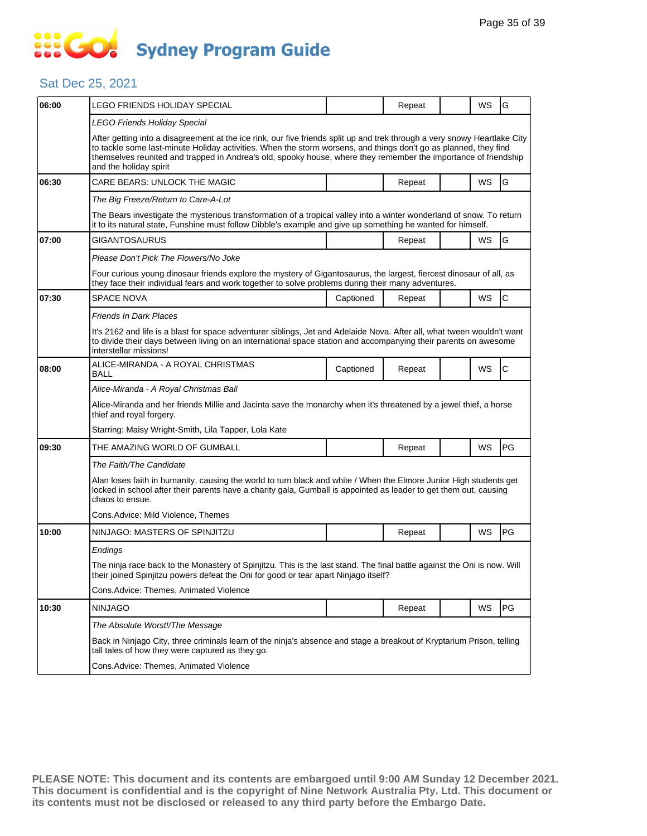### Sat Dec 25, 2021

| 06:00 | LEGO FRIENDS HOLIDAY SPECIAL                                                                                                                                                                                                                                                                                                                                                               |                                                                                                                       | Repeat |  | WS        | G            |  |  |  |
|-------|--------------------------------------------------------------------------------------------------------------------------------------------------------------------------------------------------------------------------------------------------------------------------------------------------------------------------------------------------------------------------------------------|-----------------------------------------------------------------------------------------------------------------------|--------|--|-----------|--------------|--|--|--|
|       | LEGO Friends Holiday Special                                                                                                                                                                                                                                                                                                                                                               |                                                                                                                       |        |  |           |              |  |  |  |
|       | After getting into a disagreement at the ice rink, our five friends split up and trek through a very snowy Heartlake City<br>to tackle some last-minute Holiday activities. When the storm worsens, and things don't go as planned, they find<br>themselves reunited and trapped in Andrea's old, spooky house, where they remember the importance of friendship<br>and the holiday spirit |                                                                                                                       |        |  |           |              |  |  |  |
| 06:30 | CARE BEARS: UNLOCK THE MAGIC                                                                                                                                                                                                                                                                                                                                                               |                                                                                                                       | Repeat |  | WS        | G            |  |  |  |
|       | The Big Freeze/Return to Care-A-Lot                                                                                                                                                                                                                                                                                                                                                        |                                                                                                                       |        |  |           |              |  |  |  |
|       | The Bears investigate the mysterious transformation of a tropical valley into a winter wonderland of snow. To return<br>it to its natural state, Funshine must follow Dibble's example and give up something he wanted for himself.                                                                                                                                                        |                                                                                                                       |        |  |           |              |  |  |  |
| 07:00 | GIGANTOSAURUS                                                                                                                                                                                                                                                                                                                                                                              |                                                                                                                       | Repeat |  | <b>WS</b> | G            |  |  |  |
|       | Please Don't Pick The Flowers/No Joke                                                                                                                                                                                                                                                                                                                                                      |                                                                                                                       |        |  |           |              |  |  |  |
|       | Four curious young dinosaur friends explore the mystery of Gigantosaurus, the largest, fiercest dinosaur of all, as<br>they face their individual fears and work together to solve problems during their many adventures.                                                                                                                                                                  |                                                                                                                       |        |  |           |              |  |  |  |
| 07:30 | <b>SPACE NOVA</b>                                                                                                                                                                                                                                                                                                                                                                          | Captioned                                                                                                             | Repeat |  | WS        | $\mathsf{C}$ |  |  |  |
|       | Friends In Dark Places                                                                                                                                                                                                                                                                                                                                                                     |                                                                                                                       |        |  |           |              |  |  |  |
|       | It's 2162 and life is a blast for space adventurer siblings, Jet and Adelaide Nova. After all, what tween wouldn't want<br>to divide their days between living on an international space station and accompanying their parents on awesome<br>interstellar missions!                                                                                                                       |                                                                                                                       |        |  |           |              |  |  |  |
| 08:00 | ALICE-MIRANDA - A ROYAL CHRISTMAS<br><b>BALL</b>                                                                                                                                                                                                                                                                                                                                           | Captioned                                                                                                             | Repeat |  | WS        | $\mathsf C$  |  |  |  |
|       | Alice-Miranda - A Royal Christmas Ball                                                                                                                                                                                                                                                                                                                                                     |                                                                                                                       |        |  |           |              |  |  |  |
|       | Alice-Miranda and her friends Millie and Jacinta save the monarchy when it's threatened by a jewel thief, a horse<br>thief and royal forgery.                                                                                                                                                                                                                                              |                                                                                                                       |        |  |           |              |  |  |  |
|       | Starring: Maisy Wright-Smith, Lila Tapper, Lola Kate                                                                                                                                                                                                                                                                                                                                       |                                                                                                                       |        |  |           |              |  |  |  |
| 09:30 | THE AMAZING WORLD OF GUMBALL                                                                                                                                                                                                                                                                                                                                                               |                                                                                                                       | Repeat |  | WS        | PG           |  |  |  |
|       | The Faith/The Candidate                                                                                                                                                                                                                                                                                                                                                                    |                                                                                                                       |        |  |           |              |  |  |  |
|       | Alan loses faith in humanity, causing the world to turn black and white / When the Elmore Junior High students get<br>locked in school after their parents have a charity gala, Gumball is appointed as leader to get them out, causing<br>chaos to ensue.                                                                                                                                 |                                                                                                                       |        |  |           |              |  |  |  |
|       | Cons.Advice: Mild Violence, Themes                                                                                                                                                                                                                                                                                                                                                         |                                                                                                                       |        |  |           |              |  |  |  |
| 10:00 | NINJAGO: MASTERS OF SPINJITZU                                                                                                                                                                                                                                                                                                                                                              |                                                                                                                       | Repeat |  | WS        | <b>PG</b>    |  |  |  |
|       | Endings                                                                                                                                                                                                                                                                                                                                                                                    |                                                                                                                       |        |  |           |              |  |  |  |
|       | The ninja race back to the Monastery of Spinjitzu. This is the last stand. The final battle against the Oni is now. Will<br>their joined Spinjitzu powers defeat the Oni for good or tear apart Ninjago itself?                                                                                                                                                                            |                                                                                                                       |        |  |           |              |  |  |  |
|       | Cons.Advice: Themes, Animated Violence                                                                                                                                                                                                                                                                                                                                                     |                                                                                                                       |        |  |           |              |  |  |  |
| 10:30 | NINJAGO                                                                                                                                                                                                                                                                                                                                                                                    |                                                                                                                       | Repeat |  | WS        | PG           |  |  |  |
|       | The Absolute Worst!/The Message                                                                                                                                                                                                                                                                                                                                                            |                                                                                                                       |        |  |           |              |  |  |  |
|       | tall tales of how they were captured as they go.                                                                                                                                                                                                                                                                                                                                           | Back in Ninjago City, three criminals learn of the ninja's absence and stage a breakout of Kryptarium Prison, telling |        |  |           |              |  |  |  |
|       | Cons.Advice: Themes, Animated Violence                                                                                                                                                                                                                                                                                                                                                     |                                                                                                                       |        |  |           |              |  |  |  |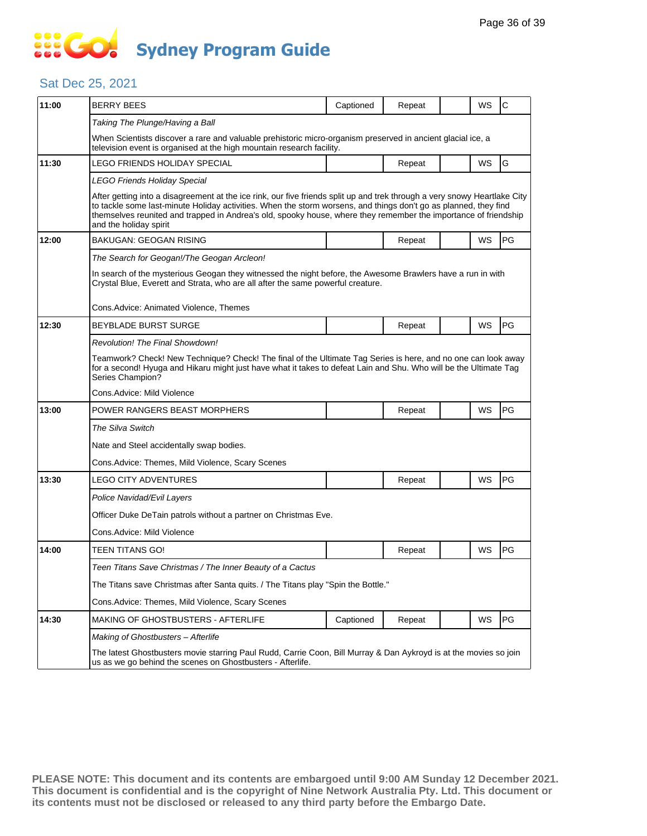### Sat Dec 25, 2021

| 11:00 | <b>BERRY BEES</b>                                                                                                                                                                                                                                                                                                                                                                          | Captioned | Repeat |  | WS | $\mathsf{C}$ |  |  |
|-------|--------------------------------------------------------------------------------------------------------------------------------------------------------------------------------------------------------------------------------------------------------------------------------------------------------------------------------------------------------------------------------------------|-----------|--------|--|----|--------------|--|--|
|       | Taking The Plunge/Having a Ball                                                                                                                                                                                                                                                                                                                                                            |           |        |  |    |              |  |  |
|       | When Scientists discover a rare and valuable prehistoric micro-organism preserved in ancient glacial ice, a<br>television event is organised at the high mountain research facility.                                                                                                                                                                                                       |           |        |  |    |              |  |  |
| 11:30 | LEGO FRIENDS HOLIDAY SPECIAL                                                                                                                                                                                                                                                                                                                                                               |           | Repeat |  | WS | G            |  |  |
|       | LEGO Friends Holiday Special                                                                                                                                                                                                                                                                                                                                                               |           |        |  |    |              |  |  |
|       | After getting into a disagreement at the ice rink, our five friends split up and trek through a very snowy Heartlake City<br>to tackle some last-minute Holiday activities. When the storm worsens, and things don't go as planned, they find<br>themselves reunited and trapped in Andrea's old, spooky house, where they remember the importance of friendship<br>and the holiday spirit |           |        |  |    |              |  |  |
| 12:00 | BAKUGAN: GEOGAN RISING                                                                                                                                                                                                                                                                                                                                                                     |           | Repeat |  | WS | PG           |  |  |
|       | The Search for Geogan!/The Geogan Arcleon!                                                                                                                                                                                                                                                                                                                                                 |           |        |  |    |              |  |  |
|       | In search of the mysterious Geogan they witnessed the night before, the Awesome Brawlers have a run in with<br>Crystal Blue, Everett and Strata, who are all after the same powerful creature.                                                                                                                                                                                             |           |        |  |    |              |  |  |
|       | Cons.Advice: Animated Violence, Themes                                                                                                                                                                                                                                                                                                                                                     |           |        |  |    |              |  |  |
| 12:30 | BEYBLADE BURST SURGE                                                                                                                                                                                                                                                                                                                                                                       |           | Repeat |  | WS | PG           |  |  |
|       | Revolution! The Final Showdown!                                                                                                                                                                                                                                                                                                                                                            |           |        |  |    |              |  |  |
|       | Teamwork? Check! New Technique? Check! The final of the Ultimate Tag Series is here, and no one can look away<br>for a second! Hyuga and Hikaru might just have what it takes to defeat Lain and Shu. Who will be the Ultimate Tag<br>Series Champion?                                                                                                                                     |           |        |  |    |              |  |  |
|       | Cons.Advice: Mild Violence                                                                                                                                                                                                                                                                                                                                                                 |           |        |  |    |              |  |  |
| 13:00 | POWER RANGERS BEAST MORPHERS                                                                                                                                                                                                                                                                                                                                                               |           | Repeat |  | WS | PG           |  |  |
|       | The Silva Switch                                                                                                                                                                                                                                                                                                                                                                           |           |        |  |    |              |  |  |
|       | Nate and Steel accidentally swap bodies.                                                                                                                                                                                                                                                                                                                                                   |           |        |  |    |              |  |  |
|       | Cons. Advice: Themes, Mild Violence, Scary Scenes                                                                                                                                                                                                                                                                                                                                          |           |        |  |    |              |  |  |
| 13:30 | <b>LEGO CITY ADVENTURES</b>                                                                                                                                                                                                                                                                                                                                                                |           | Repeat |  | WS | PG           |  |  |
|       | Police Navidad/Evil Layers                                                                                                                                                                                                                                                                                                                                                                 |           |        |  |    |              |  |  |
|       | Officer Duke DeTain patrols without a partner on Christmas Eve.                                                                                                                                                                                                                                                                                                                            |           |        |  |    |              |  |  |
|       | Cons.Advice: Mild Violence                                                                                                                                                                                                                                                                                                                                                                 |           |        |  |    |              |  |  |
| 14:00 | TEEN TITANS GO!                                                                                                                                                                                                                                                                                                                                                                            |           | Repeat |  | WS | PG           |  |  |
|       | Teen Titans Save Christmas / The Inner Beauty of a Cactus                                                                                                                                                                                                                                                                                                                                  |           |        |  |    |              |  |  |
|       | The Titans save Christmas after Santa quits. / The Titans play "Spin the Bottle."                                                                                                                                                                                                                                                                                                          |           |        |  |    |              |  |  |
|       | Cons.Advice: Themes, Mild Violence, Scary Scenes                                                                                                                                                                                                                                                                                                                                           |           |        |  |    |              |  |  |
| 14:30 | MAKING OF GHOSTBUSTERS - AFTERLIFE                                                                                                                                                                                                                                                                                                                                                         | Captioned | Repeat |  | WS | PG           |  |  |
|       | Making of Ghostbusters - Afterlife                                                                                                                                                                                                                                                                                                                                                         |           |        |  |    |              |  |  |
|       | The latest Ghostbusters movie starring Paul Rudd, Carrie Coon, Bill Murray & Dan Aykroyd is at the movies so join<br>us as we go behind the scenes on Ghostbusters - Afterlife.                                                                                                                                                                                                            |           |        |  |    |              |  |  |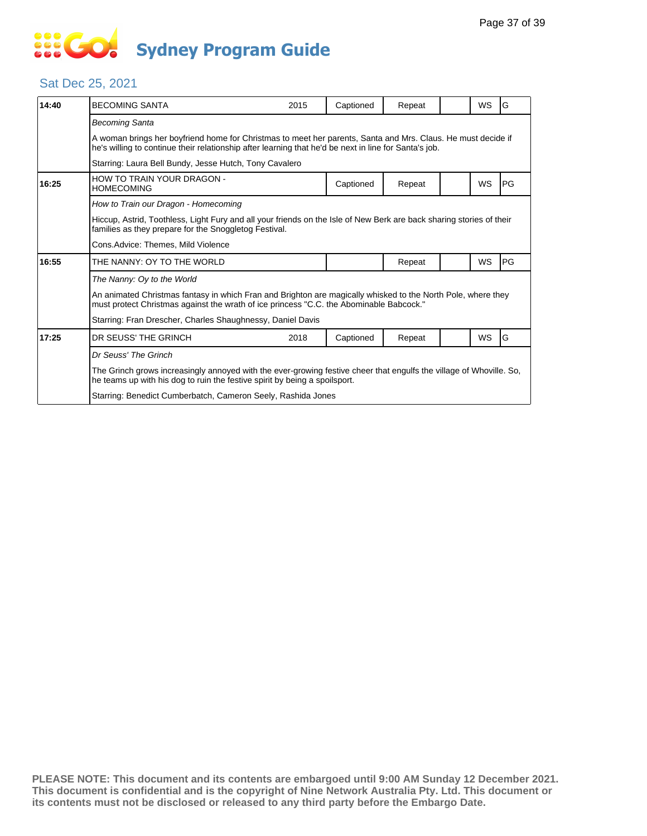# **... Go Sydney Program Guide**

### Sat Dec 25, 2021

| 14:40 | <b>BECOMING SANTA</b>                                                                                                                                                                                                 | 2015 | Captioned | Repeat |  | WS | G  |  |
|-------|-----------------------------------------------------------------------------------------------------------------------------------------------------------------------------------------------------------------------|------|-----------|--------|--|----|----|--|
|       | <b>Becoming Santa</b>                                                                                                                                                                                                 |      |           |        |  |    |    |  |
|       | A woman brings her boyfriend home for Christmas to meet her parents, Santa and Mrs. Claus. He must decide if<br>he's willing to continue their relationship after learning that he'd be next in line for Santa's job. |      |           |        |  |    |    |  |
|       | Starring: Laura Bell Bundy, Jesse Hutch, Tony Cavalero                                                                                                                                                                |      |           |        |  |    |    |  |
| 16:25 | HOW TO TRAIN YOUR DRAGON -<br><b>HOMECOMING</b>                                                                                                                                                                       |      | Captioned | Repeat |  | WS | PG |  |
|       | How to Train our Dragon - Homecoming                                                                                                                                                                                  |      |           |        |  |    |    |  |
|       | Hiccup, Astrid, Toothless, Light Fury and all your friends on the Isle of New Berk are back sharing stories of their<br>families as they prepare for the Snoggletog Festival.                                         |      |           |        |  |    |    |  |
|       | Cons.Advice: Themes, Mild Violence                                                                                                                                                                                    |      |           |        |  |    |    |  |
| 16:55 | THE NANNY: OY TO THE WORLD                                                                                                                                                                                            |      |           | Repeat |  | WS | PG |  |
|       | The Nanny: Oy to the World                                                                                                                                                                                            |      |           |        |  |    |    |  |
|       | An animated Christmas fantasy in which Fran and Brighton are magically whisked to the North Pole, where they<br>must protect Christmas against the wrath of ice princess "C.C. the Abominable Babcock."               |      |           |        |  |    |    |  |
|       | Starring: Fran Drescher, Charles Shaughnessy, Daniel Davis                                                                                                                                                            |      |           |        |  |    |    |  |
| 17:25 | DR SEUSS' THE GRINCH                                                                                                                                                                                                  | 2018 | Captioned | Repeat |  | WS | G  |  |
|       | Dr Seuss' The Grinch                                                                                                                                                                                                  |      |           |        |  |    |    |  |
|       | The Grinch grows increasingly annoyed with the ever-growing festive cheer that engulfs the village of Whoville. So,<br>he teams up with his dog to ruin the festive spirit by being a spoilsport.                     |      |           |        |  |    |    |  |
|       | Starring: Benedict Cumberbatch, Cameron Seely, Rashida Jones                                                                                                                                                          |      |           |        |  |    |    |  |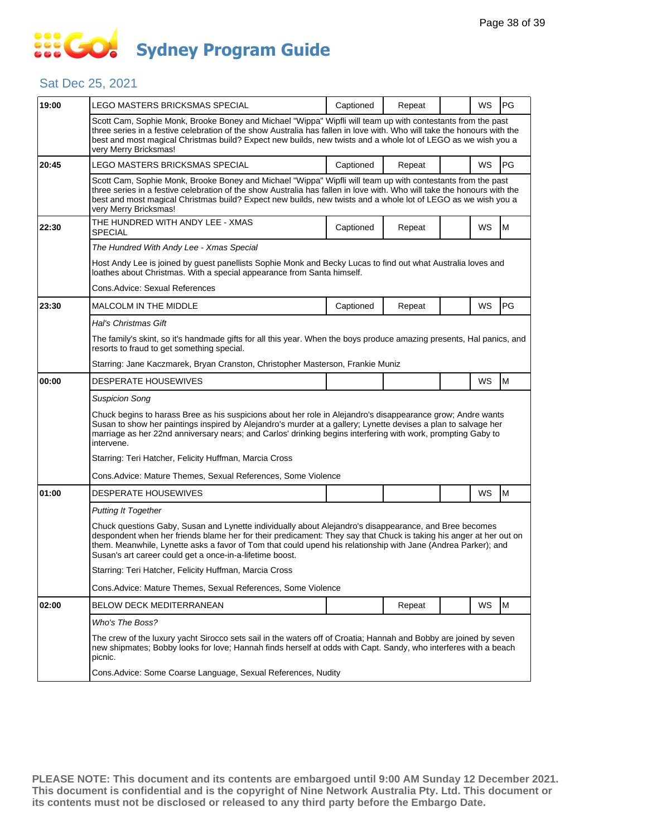### Sat Dec 25, 2021

| 19:00 | LEGO MASTERS BRICKSMAS SPECIAL                                                                                                                                                                                                                                                                                                                                                                            | Captioned | Repeat |  | WS        | PG |  |  |
|-------|-----------------------------------------------------------------------------------------------------------------------------------------------------------------------------------------------------------------------------------------------------------------------------------------------------------------------------------------------------------------------------------------------------------|-----------|--------|--|-----------|----|--|--|
|       | Scott Cam, Sophie Monk, Brooke Boney and Michael "Wippa" Wipfli will team up with contestants from the past<br>three series in a festive celebration of the show Australia has fallen in love with. Who will take the honours with the<br>best and most magical Christmas build? Expect new builds, new twists and a whole lot of LEGO as we wish you a<br>very Merry Bricksmas!                          |           |        |  |           |    |  |  |
| 20:45 | LEGO MASTERS BRICKSMAS SPECIAL                                                                                                                                                                                                                                                                                                                                                                            | Captioned | Repeat |  | WS        | PG |  |  |
|       | Scott Cam, Sophie Monk, Brooke Boney and Michael "Wippa" Wipfli will team up with contestants from the past<br>three series in a festive celebration of the show Australia has fallen in love with. Who will take the honours with the<br>best and most magical Christmas build? Expect new builds, new twists and a whole lot of LEGO as we wish you a<br>very Merry Bricksmas!                          |           |        |  |           |    |  |  |
| 22:30 | THE HUNDRED WITH ANDY LEE - XMAS<br><b>SPECIAL</b>                                                                                                                                                                                                                                                                                                                                                        | Captioned | Repeat |  | WS        | M  |  |  |
|       | The Hundred With Andy Lee - Xmas Special                                                                                                                                                                                                                                                                                                                                                                  |           |        |  |           |    |  |  |
|       | Host Andy Lee is joined by guest panellists Sophie Monk and Becky Lucas to find out what Australia loves and<br>loathes about Christmas. With a special appearance from Santa himself.                                                                                                                                                                                                                    |           |        |  |           |    |  |  |
|       | Cons.Advice: Sexual References                                                                                                                                                                                                                                                                                                                                                                            |           |        |  |           |    |  |  |
| 23:30 | MALCOLM IN THE MIDDLE                                                                                                                                                                                                                                                                                                                                                                                     | Captioned | Repeat |  | WS        | PG |  |  |
|       | Hal's Christmas Gift                                                                                                                                                                                                                                                                                                                                                                                      |           |        |  |           |    |  |  |
|       | The family's skint, so it's handmade gifts for all this year. When the boys produce amazing presents, Hal panics, and<br>resorts to fraud to get something special.                                                                                                                                                                                                                                       |           |        |  |           |    |  |  |
|       | Starring: Jane Kaczmarek, Bryan Cranston, Christopher Masterson, Frankie Muniz                                                                                                                                                                                                                                                                                                                            |           |        |  |           |    |  |  |
| 00:00 | DESPERATE HOUSEWIVES                                                                                                                                                                                                                                                                                                                                                                                      |           |        |  | WS        | M  |  |  |
|       | <b>Suspicion Song</b>                                                                                                                                                                                                                                                                                                                                                                                     |           |        |  |           |    |  |  |
|       | Chuck begins to harass Bree as his suspicions about her role in Alejandro's disappearance grow; Andre wants<br>Susan to show her paintings inspired by Alejandro's murder at a gallery; Lynette devises a plan to salvage her<br>marriage as her 22nd anniversary nears; and Carlos' drinking begins interfering with work, prompting Gaby to<br>intervene.                                               |           |        |  |           |    |  |  |
|       | Starring: Teri Hatcher, Felicity Huffman, Marcia Cross                                                                                                                                                                                                                                                                                                                                                    |           |        |  |           |    |  |  |
|       | Cons.Advice: Mature Themes, Sexual References, Some Violence                                                                                                                                                                                                                                                                                                                                              |           |        |  |           |    |  |  |
| 01:00 | <b>DESPERATE HOUSEWIVES</b>                                                                                                                                                                                                                                                                                                                                                                               |           |        |  | WS        | M  |  |  |
|       | <b>Putting It Together</b>                                                                                                                                                                                                                                                                                                                                                                                |           |        |  |           |    |  |  |
|       | Chuck questions Gaby, Susan and Lynette individually about Alejandro's disappearance, and Bree becomes<br>despondent when her friends blame her for their predicament: They say that Chuck is taking his anger at her out on<br>them. Meanwhile, Lynette asks a favor of Tom that could upend his relationship with Jane (Andrea Parker); and<br>Susan's art career could get a once-in-a-lifetime boost. |           |        |  |           |    |  |  |
|       | Starring: Teri Hatcher, Felicity Huffman, Marcia Cross                                                                                                                                                                                                                                                                                                                                                    |           |        |  |           |    |  |  |
|       | Cons. Advice: Mature Themes, Sexual References, Some Violence                                                                                                                                                                                                                                                                                                                                             |           |        |  |           |    |  |  |
| 02:00 | <b>BELOW DECK MEDITERRANEAN</b>                                                                                                                                                                                                                                                                                                                                                                           |           | Repeat |  | <b>WS</b> | M  |  |  |
|       | Who's The Boss?                                                                                                                                                                                                                                                                                                                                                                                           |           |        |  |           |    |  |  |
|       | The crew of the luxury yacht Sirocco sets sail in the waters off of Croatia; Hannah and Bobby are joined by seven<br>new shipmates; Bobby looks for love; Hannah finds herself at odds with Capt. Sandy, who interferes with a beach<br>picnic.                                                                                                                                                           |           |        |  |           |    |  |  |
|       | Cons. Advice: Some Coarse Language, Sexual References, Nudity                                                                                                                                                                                                                                                                                                                                             |           |        |  |           |    |  |  |